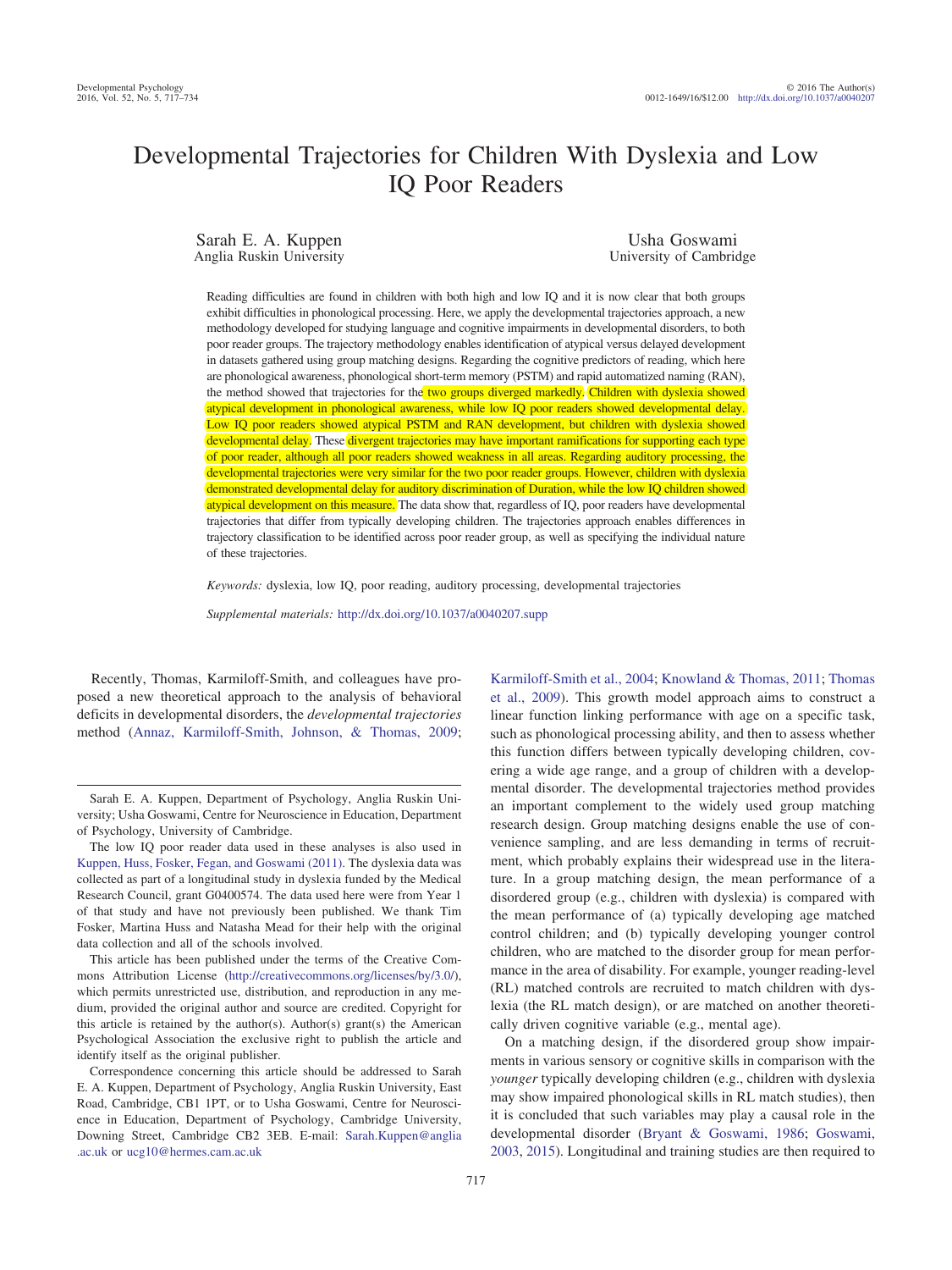# Developmental Trajectories for Children With Dyslexia and Low IQ Poor Readers

Sarah E. A. Kuppen Anglia Ruskin University

Usha Goswami University of Cambridge

Reading difficulties are found in children with both high and low IQ and it is now clear that both groups exhibit difficulties in phonological processing. Here, we apply the developmental trajectories approach, a new methodology developed for studying language and cognitive impairments in developmental disorders, to both poor reader groups. The trajectory methodology enables identification of atypical versus delayed development in datasets gathered using group matching designs. Regarding the cognitive predictors of reading, which here are phonological awareness, phonological short-term memory (PSTM) and rapid automatized naming (RAN), the method showed that trajectories for the two groups diverged markedly. Children with dyslexia showed atypical development in phonological awareness, while low IQ poor readers showed developmental delay. Low IQ poor readers showed atypical PSTM and RAN development, but children with dyslexia showed developmental delay. These divergent trajectories may have important ramifications for supporting each type of poor reader, although all poor readers showed weakness in all areas. Regarding auditory processing, the developmental trajectories were very similar for the two poor reader groups. However, children with dyslexia demonstrated developmental delay for auditory discrimination of Duration, while the low IQ children showed atypical development on this measure. The data show that, regardless of IQ, poor readers have developmental trajectories that differ from typically developing children. The trajectories approach enables differences in trajectory classification to be identified across poor reader group, as well as specifying the individual nature of these trajectories.

*Keywords:* dyslexia, low IQ, poor reading, auditory processing, developmental trajectories

*Supplemental materials:* http://dx.doi.org[/10.1037/a0040207.supp](http://dx.doi.org/10.1037/a0040207.supp)

Recently, Thomas, Karmiloff-Smith, and colleagues have proposed a new theoretical approach to the analysis of behavioral deficits in developmental disorders, the *developmental trajectories* method (Annaz, Karmiloff-Smith, Johnson, & Thomas, 2009;

This article has been published under the terms of the Creative Commons Attribution License [\(http://creativecommons.org/licenses/by/3.0/\)](http://creativecommons.org/licenses/by/3.0/), which permits unrestricted use, distribution, and reproduction in any medium, provided the original author and source are credited. Copyright for this article is retained by the author(s). Author(s) grant(s) the American Psychological Association the exclusive right to publish the article and identify itself as the original publisher.

Correspondence concerning this article should be addressed to Sarah E. A. Kuppen, Department of Psychology, Anglia Ruskin University, East Road, Cambridge, CB1 1PT, or to Usha Goswami, Centre for Neuroscience in Education, Department of Psychology, Cambridge University, Downing Street, Cambridge CB2 3EB. E-mail: [Sarah.Kuppen@anglia](mailto:Sarah.Kuppen@anglia.ac.uk) [.ac.uk](mailto:Sarah.Kuppen@anglia.ac.uk) or [ucg10@hermes.cam.ac.uk](mailto:ucg10@hermes.cam.ac.uk)

Karmiloff-Smith et al., 2004; Knowland & Thomas, 2011; Thomas et al., 2009). This growth model approach aims to construct a linear function linking performance with age on a specific task, such as phonological processing ability, and then to assess whether this function differs between typically developing children, covering a wide age range, and a group of children with a developmental disorder. The developmental trajectories method provides an important complement to the widely used group matching research design. Group matching designs enable the use of convenience sampling, and are less demanding in terms of recruitment, which probably explains their widespread use in the literature. In a group matching design, the mean performance of a disordered group (e.g., children with dyslexia) is compared with the mean performance of (a) typically developing age matched control children; and (b) typically developing younger control children, who are matched to the disorder group for mean performance in the area of disability. For example, younger reading-level (RL) matched controls are recruited to match children with dyslexia (the RL match design), or are matched on another theoretically driven cognitive variable (e.g., mental age).

On a matching design, if the disordered group show impairments in various sensory or cognitive skills in comparison with the *younger* typically developing children (e.g., children with dyslexia may show impaired phonological skills in RL match studies), then it is concluded that such variables may play a causal role in the developmental disorder (Bryant & Goswami, 1986; Goswami, 2003, 2015). Longitudinal and training studies are then required to

Sarah E. A. Kuppen, Department of Psychology, Anglia Ruskin University; Usha Goswami, Centre for Neuroscience in Education, Department of Psychology, University of Cambridge.

The low IQ poor reader data used in these analyses is also used in Kuppen, Huss, Fosker, Fegan, and Goswami (2011). The dyslexia data was collected as part of a longitudinal study in dyslexia funded by the Medical Research Council, grant G0400574. The data used here were from Year 1 of that study and have not previously been published. We thank Tim Fosker, Martina Huss and Natasha Mead for their help with the original data collection and all of the schools involved.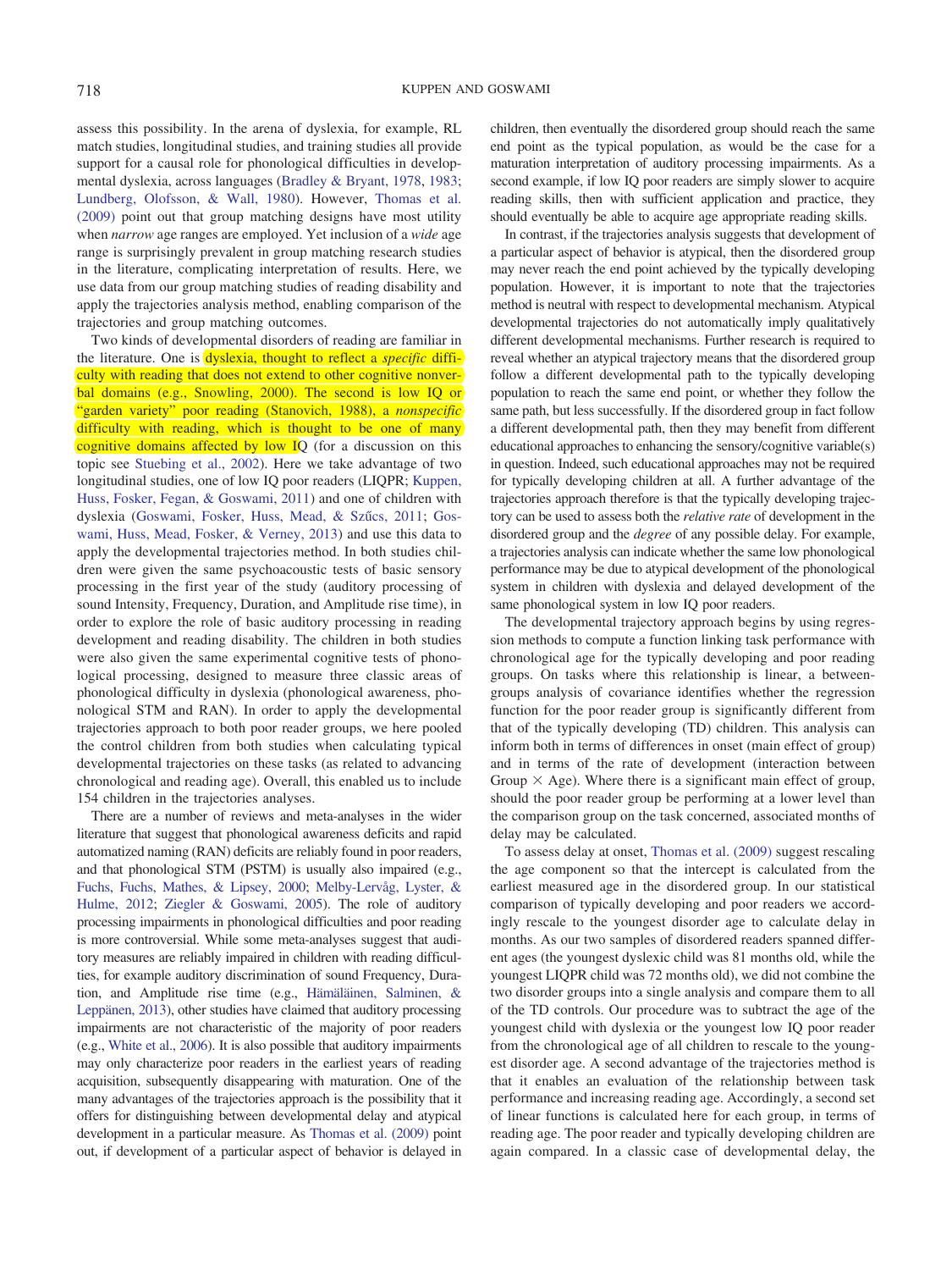assess this possibility. In the arena of dyslexia, for example, RL match studies, longitudinal studies, and training studies all provide support for a causal role for phonological difficulties in developmental dyslexia, across languages (Bradley & Bryant, 1978, 1983; Lundberg, Olofsson, & Wall, 1980). However, Thomas et al. (2009) point out that group matching designs have most utility when *narrow* age ranges are employed. Yet inclusion of a *wide* age range is surprisingly prevalent in group matching research studies in the literature, complicating interpretation of results. Here, we use data from our group matching studies of reading disability and apply the trajectories analysis method, enabling comparison of the trajectories and group matching outcomes.

Two kinds of developmental disorders of reading are familiar in the literature. One is dyslexia, thought to reflect a *specific* difficulty with reading that does not extend to other cognitive nonverbal domains (e.g., Snowling, 2000). The second is low IQ or "garden variety" poor reading (Stanovich, 1988), a *nonspecific* difficulty with reading, which is thought to be one of many cognitive domains affected by low IQ (for a discussion on this topic see Stuebing et al., 2002). Here we take advantage of two longitudinal studies, one of low IQ poor readers (LIQPR; Kuppen, Huss, Fosker, Fegan, & Goswami, 2011) and one of children with dyslexia (Goswami, Fosker, Huss, Mead, & Szűcs, 2011; Goswami, Huss, Mead, Fosker, & Verney, 2013) and use this data to apply the developmental trajectories method. In both studies children were given the same psychoacoustic tests of basic sensory processing in the first year of the study (auditory processing of sound Intensity, Frequency, Duration, and Amplitude rise time), in order to explore the role of basic auditory processing in reading development and reading disability. The children in both studies were also given the same experimental cognitive tests of phonological processing, designed to measure three classic areas of phonological difficulty in dyslexia (phonological awareness, phonological STM and RAN). In order to apply the developmental trajectories approach to both poor reader groups, we here pooled the control children from both studies when calculating typical developmental trajectories on these tasks (as related to advancing chronological and reading age). Overall, this enabled us to include 154 children in the trajectories analyses.

There are a number of reviews and meta-analyses in the wider literature that suggest that phonological awareness deficits and rapid automatized naming (RAN) deficits are reliably found in poor readers, and that phonological STM (PSTM) is usually also impaired (e.g., Fuchs, Fuchs, Mathes, & Lipsey, 2000; Melby-Lervåg, Lyster, & Hulme, 2012; Ziegler & Goswami, 2005). The role of auditory processing impairments in phonological difficulties and poor reading is more controversial. While some meta-analyses suggest that auditory measures are reliably impaired in children with reading difficulties, for example auditory discrimination of sound Frequency, Duration, and Amplitude rise time (e.g., Hämäläinen, Salminen, & Leppänen, 2013), other studies have claimed that auditory processing impairments are not characteristic of the majority of poor readers (e.g., White et al., 2006). It is also possible that auditory impairments may only characterize poor readers in the earliest years of reading acquisition, subsequently disappearing with maturation. One of the many advantages of the trajectories approach is the possibility that it offers for distinguishing between developmental delay and atypical development in a particular measure. As Thomas et al. (2009) point out, if development of a particular aspect of behavior is delayed in children, then eventually the disordered group should reach the same end point as the typical population, as would be the case for a maturation interpretation of auditory processing impairments. As a second example, if low IQ poor readers are simply slower to acquire reading skills, then with sufficient application and practice, they should eventually be able to acquire age appropriate reading skills.

In contrast, if the trajectories analysis suggests that development of a particular aspect of behavior is atypical, then the disordered group may never reach the end point achieved by the typically developing population. However, it is important to note that the trajectories method is neutral with respect to developmental mechanism. Atypical developmental trajectories do not automatically imply qualitatively different developmental mechanisms. Further research is required to reveal whether an atypical trajectory means that the disordered group follow a different developmental path to the typically developing population to reach the same end point, or whether they follow the same path, but less successfully. If the disordered group in fact follow a different developmental path, then they may benefit from different educational approaches to enhancing the sensory/cognitive variable(s) in question. Indeed, such educational approaches may not be required for typically developing children at all. A further advantage of the trajectories approach therefore is that the typically developing trajectory can be used to assess both the *relative rate* of development in the disordered group and the *degree* of any possible delay. For example, a trajectories analysis can indicate whether the same low phonological performance may be due to atypical development of the phonological system in children with dyslexia and delayed development of the same phonological system in low IQ poor readers.

The developmental trajectory approach begins by using regression methods to compute a function linking task performance with chronological age for the typically developing and poor reading groups. On tasks where this relationship is linear, a betweengroups analysis of covariance identifies whether the regression function for the poor reader group is significantly different from that of the typically developing (TD) children. This analysis can inform both in terms of differences in onset (main effect of group) and in terms of the rate of development (interaction between Group  $\times$  Age). Where there is a significant main effect of group, should the poor reader group be performing at a lower level than the comparison group on the task concerned, associated months of delay may be calculated.

To assess delay at onset, Thomas et al. (2009) suggest rescaling the age component so that the intercept is calculated from the earliest measured age in the disordered group. In our statistical comparison of typically developing and poor readers we accordingly rescale to the youngest disorder age to calculate delay in months. As our two samples of disordered readers spanned different ages (the youngest dyslexic child was 81 months old, while the youngest LIQPR child was 72 months old), we did not combine the two disorder groups into a single analysis and compare them to all of the TD controls. Our procedure was to subtract the age of the youngest child with dyslexia or the youngest low IQ poor reader from the chronological age of all children to rescale to the youngest disorder age. A second advantage of the trajectories method is that it enables an evaluation of the relationship between task performance and increasing reading age. Accordingly, a second set of linear functions is calculated here for each group, in terms of reading age. The poor reader and typically developing children are again compared. In a classic case of developmental delay, the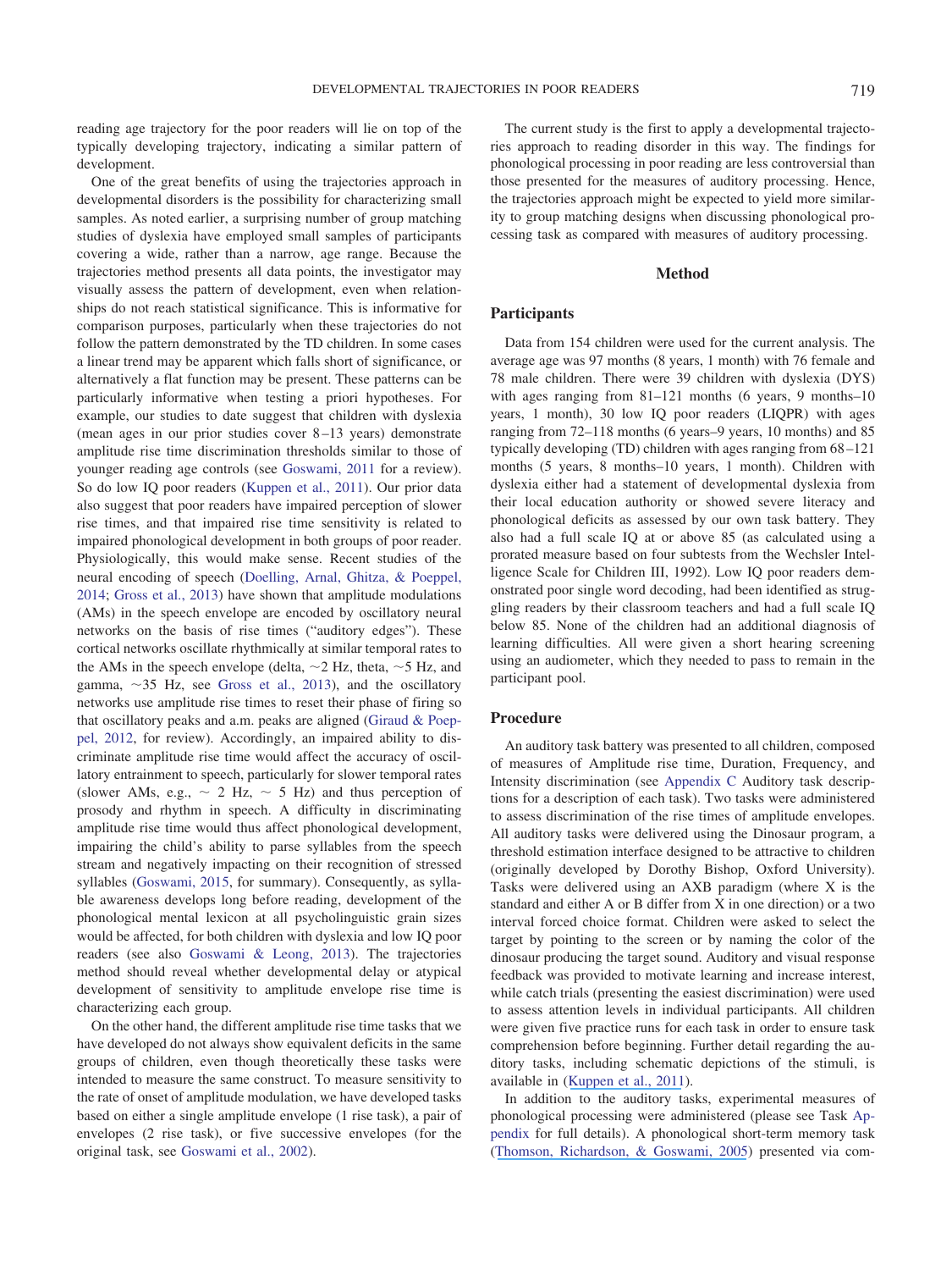reading age trajectory for the poor readers will lie on top of the typically developing trajectory, indicating a similar pattern of development.

One of the great benefits of using the trajectories approach in developmental disorders is the possibility for characterizing small samples. As noted earlier, a surprising number of group matching studies of dyslexia have employed small samples of participants covering a wide, rather than a narrow, age range. Because the trajectories method presents all data points, the investigator may visually assess the pattern of development, even when relationships do not reach statistical significance. This is informative for comparison purposes, particularly when these trajectories do not follow the pattern demonstrated by the TD children. In some cases a linear trend may be apparent which falls short of significance, or alternatively a flat function may be present. These patterns can be particularly informative when testing a priori hypotheses. For example, our studies to date suggest that children with dyslexia (mean ages in our prior studies cover 8–13 years) demonstrate amplitude rise time discrimination thresholds similar to those of younger reading age controls (see Goswami, 2011 for a review). So do low IQ poor readers (Kuppen et al., 2011). Our prior data also suggest that poor readers have impaired perception of slower rise times, and that impaired rise time sensitivity is related to impaired phonological development in both groups of poor reader. Physiologically, this would make sense. Recent studies of the neural encoding of speech (Doelling, Arnal, Ghitza, & Poeppel, 2014; Gross et al., 2013) have shown that amplitude modulations (AMs) in the speech envelope are encoded by oscillatory neural networks on the basis of rise times ("auditory edges"). These cortical networks oscillate rhythmically at similar temporal rates to the AMs in the speech envelope (delta,  $\sim$ 2 Hz, theta,  $\sim$ 5 Hz, and gamma,  $\sim$ 35 Hz, see Gross et al., 2013), and the oscillatory networks use amplitude rise times to reset their phase of firing so that oscillatory peaks and a.m. peaks are aligned (Giraud & Poeppel, 2012, for review). Accordingly, an impaired ability to discriminate amplitude rise time would affect the accuracy of oscillatory entrainment to speech, particularly for slower temporal rates (slower AMs, e.g.,  $\sim$  2 Hz,  $\sim$  5 Hz) and thus perception of prosody and rhythm in speech. A difficulty in discriminating amplitude rise time would thus affect phonological development, impairing the child's ability to parse syllables from the speech stream and negatively impacting on their recognition of stressed syllables (Goswami, 2015, for summary). Consequently, as syllable awareness develops long before reading, development of the phonological mental lexicon at all psycholinguistic grain sizes would be affected, for both children with dyslexia and low IQ poor readers (see also Goswami & Leong, 2013). The trajectories method should reveal whether developmental delay or atypical development of sensitivity to amplitude envelope rise time is characterizing each group.

On the other hand, the different amplitude rise time tasks that we have developed do not always show equivalent deficits in the same groups of children, even though theoretically these tasks were intended to measure the same construct. To measure sensitivity to the rate of onset of amplitude modulation, we have developed tasks based on either a single amplitude envelope (1 rise task), a pair of envelopes (2 rise task), or five successive envelopes (for the original task, see Goswami et al., 2002).

The current study is the first to apply a developmental trajectories approach to reading disorder in this way. The findings for phonological processing in poor reading are less controversial than those presented for the measures of auditory processing. Hence, the trajectories approach might be expected to yield more similarity to group matching designs when discussing phonological processing task as compared with measures of auditory processing.

# **Method**

# **Participants**

Data from 154 children were used for the current analysis. The average age was 97 months (8 years, 1 month) with 76 female and 78 male children. There were 39 children with dyslexia (DYS) with ages ranging from 81–121 months (6 years, 9 months–10 years, 1 month), 30 low IQ poor readers (LIQPR) with ages ranging from 72–118 months (6 years–9 years, 10 months) and 85 typically developing (TD) children with ages ranging from 68–121 months (5 years, 8 months–10 years, 1 month). Children with dyslexia either had a statement of developmental dyslexia from their local education authority or showed severe literacy and phonological deficits as assessed by our own task battery. They also had a full scale IQ at or above 85 (as calculated using a prorated measure based on four subtests from the Wechsler Intelligence Scale for Children III, 1992). Low IQ poor readers demonstrated poor single word decoding, had been identified as struggling readers by their classroom teachers and had a full scale IQ below 85. None of the children had an additional diagnosis of learning difficulties. All were given a short hearing screening using an audiometer, which they needed to pass to remain in the participant pool.

#### **Procedure**

An auditory task battery was presented to all children, composed of measures of Amplitude rise time, Duration, Frequency, and Intensity discrimination (see Appendix C Auditory task descriptions for a description of each task). Two tasks were administered to assess discrimination of the rise times of amplitude envelopes. All auditory tasks were delivered using the Dinosaur program, a threshold estimation interface designed to be attractive to children (originally developed by Dorothy Bishop, Oxford University). Tasks were delivered using an AXB paradigm (where X is the standard and either A or B differ from X in one direction) or a two interval forced choice format. Children were asked to select the target by pointing to the screen or by naming the color of the dinosaur producing the target sound. Auditory and visual response feedback was provided to motivate learning and increase interest, while catch trials (presenting the easiest discrimination) were used to assess attention levels in individual participants. All children were given five practice runs for each task in order to ensure task comprehension before beginning. Further detail regarding the auditory tasks, including schematic depictions of the stimuli, is available in ([Kuppen et al., 2011](https://www.researchgate.net/publication/233192936_Basic_Auditory_Processing_Skills_and_Phonological_Awareness_in_Low-IQ_Readers_and_Typically_Developing_Controls?el=1_x_8&enrichId=rgreq-a40c86c9051bab4ff578799ea7bd80c4-XXX&enrichSource=Y292ZXJQYWdlOzMwMTYzOTEwNDtBUzozNjQ5Njk4MjU3MTgyNzJAMTQ2NDAyNjk5NTUzMQ==)).

In addition to the auditory tasks, experimental measures of phonological processing were administered (please see Task Appendix for full details). A phonological short-term memory task ([Thomson, Richardson, & Goswami, 2005](https://www.researchgate.net/publication/7245418_Phonological_similarity_neighborhoods_and_children)) presented via com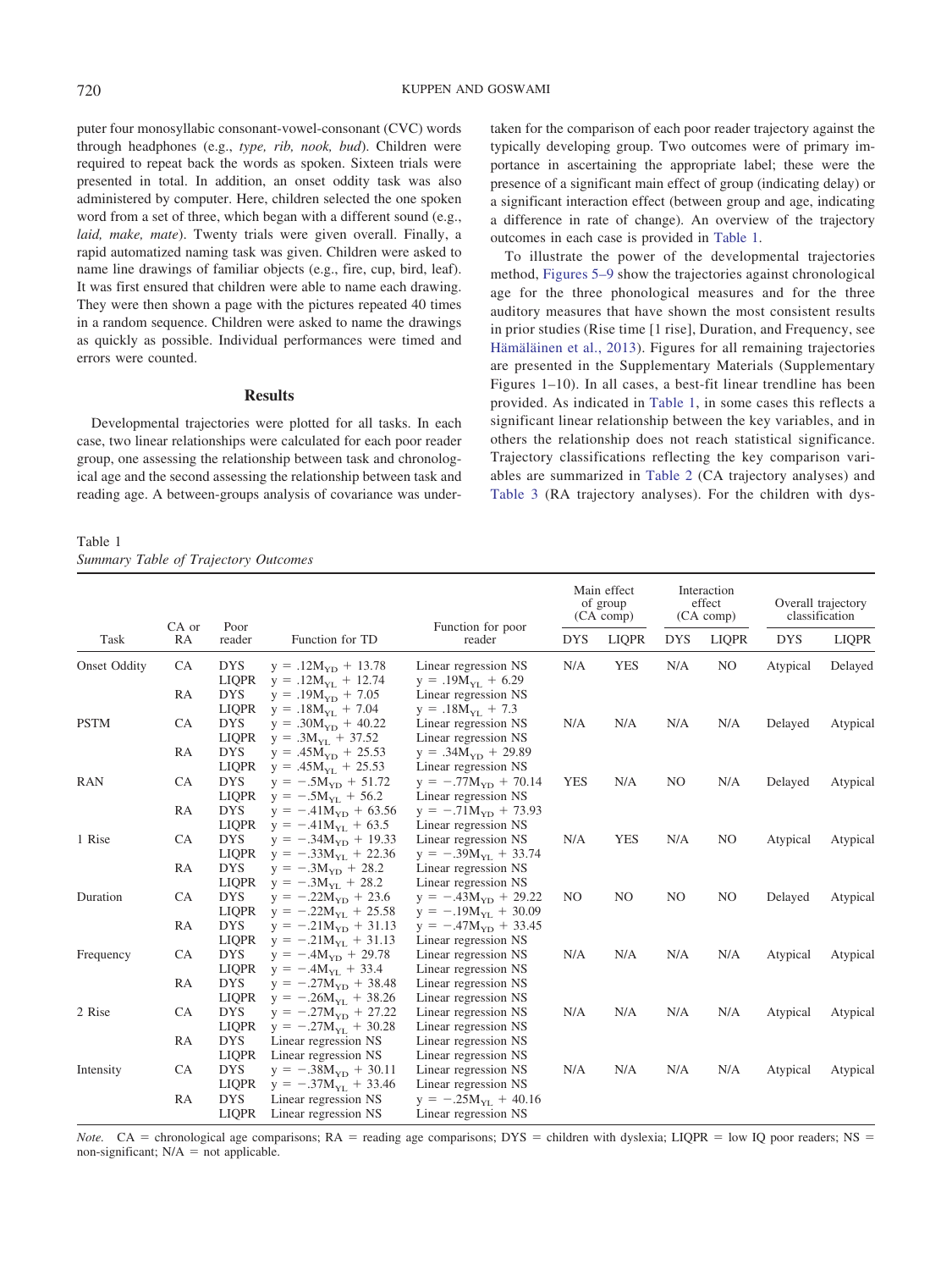puter four monosyllabic consonant-vowel-consonant (CVC) words through headphones (e.g., *type, rib, nook, bud*). Children were required to repeat back the words as spoken. Sixteen trials were presented in total. In addition, an onset oddity task was also administered by computer. Here, children selected the one spoken word from a set of three, which began with a different sound (e.g., *laid, make, mate*). Twenty trials were given overall. Finally, a rapid automatized naming task was given. Children were asked to name line drawings of familiar objects (e.g., fire, cup, bird, leaf). It was first ensured that children were able to name each drawing. They were then shown a page with the pictures repeated 40 times in a random sequence. Children were asked to name the drawings as quickly as possible. Individual performances were timed and errors were counted.

### **Results**

Developmental trajectories were plotted for all tasks. In each case, two linear relationships were calculated for each poor reader group, one assessing the relationship between task and chronological age and the second assessing the relationship between task and reading age. A between-groups analysis of covariance was under-

Table 1 *Summary Table of Trajectory Outcomes*

taken for the comparison of each poor reader trajectory against the typically developing group. Two outcomes were of primary importance in ascertaining the appropriate label; these were the presence of a significant main effect of group (indicating delay) or a significant interaction effect (between group and age, indicating a difference in rate of change). An overview of the trajectory outcomes in each case is provided in Table 1.

To illustrate the power of the developmental trajectories method, Figures 5–9 show the trajectories against chronological age for the three phonological measures and for the three auditory measures that have shown the most consistent results in prior studies (Rise time [1 rise], Duration, and Frequency, see Hämäläinen et al., 2013). Figures for all remaining trajectories are presented in the Supplementary Materials (Supplementary Figures 1–10). In all cases, a best-fit linear trendline has been provided. As indicated in Table 1, in some cases this reflects a significant linear relationship between the key variables, and in others the relationship does not reach statistical significance. Trajectory classifications reflecting the key comparison variables are summarized in Table 2 (CA trajectory analyses) and Table 3 (RA trajectory analyses). For the children with dys-

|                     |             |                                            |                                                                                         |                                                                              | Main effect<br>of group<br>(CA comp) |              | Interaction<br>effect<br>(CA comp) |                | Overall trajectory<br>classification |          |
|---------------------|-------------|--------------------------------------------|-----------------------------------------------------------------------------------------|------------------------------------------------------------------------------|--------------------------------------|--------------|------------------------------------|----------------|--------------------------------------|----------|
| Task                | CA or<br>RA | Poor<br>reader                             | Function for TD                                                                         | Function for poor<br>reader                                                  | <b>DYS</b>                           | <b>LIQPR</b> | <b>DYS</b>                         | <b>LIQPR</b>   | <b>DYS</b>                           | LIQPR    |
| <b>Onset Oddity</b> | <b>CA</b>   | <b>DYS</b><br><b>LIQPR</b>                 | $y = .12M_{VD} + 13.78$<br>$y = .12M_{\text{YL}} + 12.74$                               | Linear regression NS<br>$y = .19M_{\text{YL}} + 6.29$                        | N/A                                  | <b>YES</b>   | N/A                                | N <sub>O</sub> | Atypical                             | Delayed  |
|                     | RA          | <b>DYS</b><br><b>LIQPR</b>                 | $y = .19M_{\rm YD} + 7.05$<br>$y = .18M_{\text{YL}} + 7.04$                             | Linear regression NS<br>$y = .18M_{\text{YL}} + 7.3$                         |                                      |              |                                    |                |                                      |          |
| <b>PSTM</b>         | <b>CA</b>   | <b>DYS</b><br><b>LIQPR</b>                 | $y = .30M_{\rm YD} + 40.22$<br>$y = .3M_{\text{YL}} + 37.52$                            | Linear regression NS<br>Linear regression NS                                 | N/A                                  | N/A          | N/A                                | N/A            | Delayed                              | Atypical |
|                     | RA          | <b>DYS</b>                                 | $y = .45M_{VD} + 25.53$                                                                 | $y = .34M_{VD} + 29.89$                                                      |                                      |              |                                    |                |                                      |          |
| <b>RAN</b>          | <b>CA</b>   | <b>LIQPR</b><br><b>DYS</b><br><b>LIQPR</b> | $y = .45M_{\text{YL}} + 25.53$<br>$y = -.5M_{YD} + 51.72$<br>$y = -.5M_{\rm VI} + 56.2$ | Linear regression NS<br>$y = -.77M_{\rm YD} + 70.14$<br>Linear regression NS | <b>YES</b>                           | N/A          | N <sub>O</sub>                     | N/A            | Delayed                              | Atypical |
|                     | RA          | <b>DYS</b><br><b>LIQPR</b>                 | $y = -.41M_{YD} + 63.56$<br>$y = -.41M_{\text{YL}} + 63.5$                              | $y = -.71M_{YD} + 73.93$<br>Linear regression NS                             |                                      |              |                                    |                |                                      |          |
| 1 Rise              | <b>CA</b>   | <b>DYS</b><br><b>LIQPR</b>                 | $y = -.34M_{\rm YD} + 19.33$<br>$y = -.33M_{\text{YL}} + 22.36$                         | Linear regression NS<br>$y = -.39M_{YL} + 33.74$                             | N/A                                  | <b>YES</b>   | N/A                                | N <sub>O</sub> | Atypical                             | Atypical |
|                     | RA          | <b>DYS</b><br><b>LIQPR</b>                 | $y = -.3M_{\rm YD} + 28.2$<br>$y = -.3M_{\rm VI} + 28.2$                                | Linear regression NS<br>Linear regression NS                                 |                                      |              |                                    |                |                                      |          |
| Duration            | <b>CA</b>   | <b>DYS</b><br><b>LIQPR</b>                 | $y = -.22M_{YD} + 23.6$<br>$y = -.22M_{\text{YL}} + 25.58$                              | $y = -.43M_{YD} + 29.22$<br>$y = -.19M_{\text{YL}} + 30.09$                  | N <sub>O</sub>                       | NO.          | N <sub>O</sub>                     | N <sub>O</sub> | Delayed                              | Atypical |
|                     | RA          | <b>DYS</b><br><b>LIQPR</b>                 | $y = -.21M_{YD} + 31.13$<br>$y = -.21M_{\text{YL}} + 31.13$                             | $y = -.47M_{YD} + 33.45$<br>Linear regression NS                             |                                      |              |                                    |                |                                      |          |
| Frequency           | <b>CA</b>   | <b>DYS</b><br><b>LIQPR</b>                 | $y = -.4M_{YD} + 29.78$<br>$y = -.4M_{\rm VI} + 33.4$                                   | Linear regression NS<br>Linear regression NS                                 | N/A                                  | N/A          | N/A                                | N/A            | Atypical                             | Atypical |
|                     | RA          | <b>DYS</b><br><b>LIQPR</b>                 | $y = -.27M_{\rm YD} + 38.48$<br>$y = -.26M_{YL} + 38.26$                                | Linear regression NS<br>Linear regression NS                                 |                                      |              |                                    |                |                                      |          |
| 2 Rise              | CA          | <b>DYS</b><br><b>LIQPR</b>                 | $y = -.27M_{YD} + 27.22$<br>$y = -.27M_{YL} + 30.28$                                    | Linear regression NS<br>Linear regression NS                                 | N/A                                  | N/A          | N/A                                | N/A            | Atypical                             | Atypical |
|                     | RA          | <b>DYS</b><br><b>LIQPR</b>                 | Linear regression NS<br>Linear regression NS                                            | Linear regression NS<br>Linear regression NS                                 |                                      |              |                                    |                |                                      |          |
| Intensity           | CA          | <b>DYS</b><br><b>LIQPR</b>                 | $y = -.38M_{\text{YD}} + 30.11$<br>$y = -.37M_{YL} + 33.46$                             | Linear regression NS<br>Linear regression NS                                 | N/A                                  | N/A          | N/A                                | N/A            | Atypical                             | Atypical |
|                     | RA          | <b>DYS</b><br><b>LIOPR</b>                 | Linear regression NS<br>Linear regression NS                                            | $y = -.25M_{YL} + 40.16$<br>Linear regression NS                             |                                      |              |                                    |                |                                      |          |

*Note.* CA = chronological age comparisons; RA = reading age comparisons; DYS = children with dyslexia; LIQPR = low IQ poor readers; NS = non-significant;  $N/A$  = not applicable.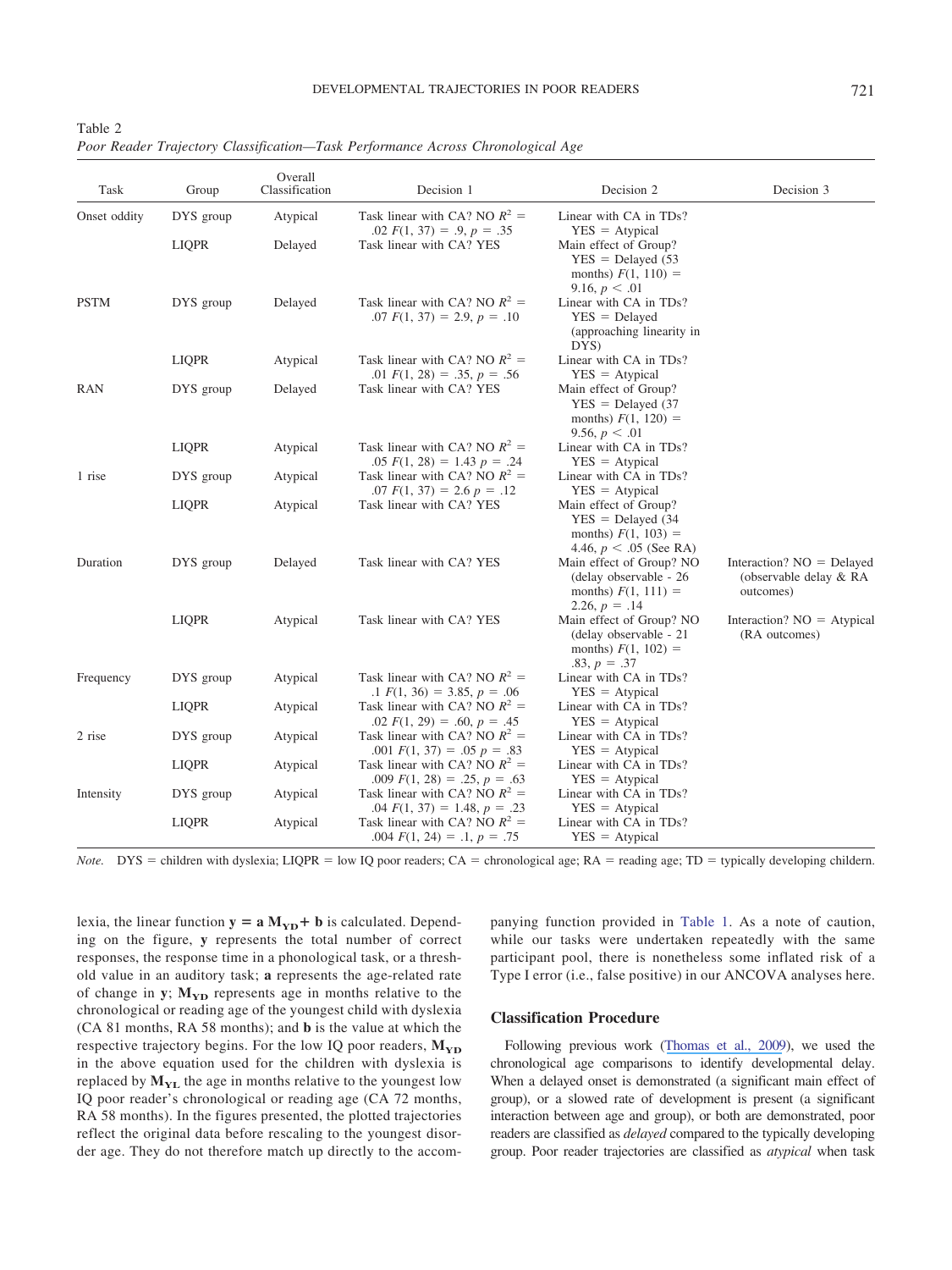| Table 2 |                                                                                 |  |
|---------|---------------------------------------------------------------------------------|--|
|         | Poor Reader Trajectory Classification—Task Performance Across Chronological Age |  |

| Task         | Group        | Overall<br>Classification | Decision 1                                                           | Decision 2                                                                                         | Decision 3                                                         |
|--------------|--------------|---------------------------|----------------------------------------------------------------------|----------------------------------------------------------------------------------------------------|--------------------------------------------------------------------|
| Onset oddity | DYS group    | Atypical                  | Task linear with CA? NO $R^2$ =<br>.02 $F(1, 37) = .9$ , $p = .35$   | Linear with CA in TDs?<br>$YES = Atypical$                                                         |                                                                    |
|              | <b>LIQPR</b> | Delayed                   | Task linear with CA? YES                                             | Main effect of Group?<br>$YES = Delayed (53)$<br>months) $F(1, 110) =$<br>9.16, $p < .01$          |                                                                    |
| <b>PSTM</b>  | DYS group    | Delayed                   | Task linear with CA? NO $R^2$ =<br>.07 $F(1, 37) = 2.9, p = .10$     | Linear with CA in TDs?<br>$YES = Delayed$<br>(approaching linearity in<br>DYS)                     |                                                                    |
|              | <b>LIQPR</b> | Atypical                  | Task linear with CA? NO $R^2$ =<br>.01 $F(1, 28) = .35$ , $p = .56$  | Linear with CA in TDs?<br>$YES = Atypical$                                                         |                                                                    |
| <b>RAN</b>   | DYS group    | Delayed                   | Task linear with CA? YES                                             | Main effect of Group?<br>$YES = Delayed (37)$<br>months) $F(1, 120) =$<br>9.56, $p < .01$          |                                                                    |
|              | <b>LIQPR</b> | Atypical                  | Task linear with CA? NO $R^2$ =<br>.05 $F(1, 28) = 1.43 p = .24$     | Linear with CA in TDs?<br>$YES = Atypical$                                                         |                                                                    |
| 1 rise       | DYS group    | Atypical                  | Task linear with CA? NO $R^2$ =<br>.07 $F(1, 37) = 2.6 p = .12$      | Linear with CA in TDs?<br>$YES = Atypical$                                                         |                                                                    |
|              | <b>LIQPR</b> | Atypical                  | Task linear with CA? YES                                             | Main effect of Group?<br>$YES = Delayed (34)$<br>months) $F(1, 103) =$<br>4.46, $p < .05$ (See RA) |                                                                    |
| Duration     | DYS group    | Delayed                   | Task linear with CA? YES                                             | Main effect of Group? NO<br>(delay observable - 26<br>months) $F(1, 111) =$<br>2.26, $p=.14$       | Interaction? $NO = Delayed$<br>(observable delay & RA<br>outcomes) |
|              | <b>LIQPR</b> | Atypical                  | Task linear with CA? YES                                             | Main effect of Group? NO<br>(delay observable - 21<br>months) $F(1, 102) =$<br>.83, $p = .37$      | Interaction? $NO = Atypical$<br>(RA outcomes)                      |
| Frequency    | DYS group    | Atypical                  | Task linear with CA? NO $R^2$ =<br>$F(1, 36) = 3.85, p = .06$        | Linear with CA in TDs?<br>$YES = Atypical$                                                         |                                                                    |
|              | <b>LIQPR</b> | Atypical                  | Task linear with CA? NO $R^2$ =<br>.02 $F(1, 29) = .60$ , $p = .45$  | Linear with CA in TDs?<br>$YES = Atypical$                                                         |                                                                    |
| 2 rise       | DYS group    | Atypical                  | Task linear with CA? NO $R^2$ =<br>.001 $F(1, 37) = .05$ $p = .83$   | Linear with CA in TDs?<br>$YES = Atypical$                                                         |                                                                    |
|              | <b>LIQPR</b> | Atypical                  | Task linear with CA? NO $R^2$ =<br>.009 $F(1, 28) = .25$ , $p = .63$ | Linear with CA in TDs?<br>$YES = Atypical$                                                         |                                                                    |
| Intensity    | DYS group    | Atypical                  | Task linear with CA? NO $R^2$ =<br>.04 $F(1, 37) = 1.48$ , $p = .23$ | Linear with CA in TDs?<br>$YES = Atypical$                                                         |                                                                    |
|              | <b>LIQPR</b> | Atypical                  | Task linear with CA? NO $R^2$ =<br>.004 $F(1, 24) = .1, p = .75$     | Linear with CA in TDs?<br>$YES = Atypical$                                                         |                                                                    |

*Note.*  $DYS =$  children with dyslexia; LIQPR = low IQ poor readers;  $CA =$  chronological age;  $RA =$  reading age;  $TD =$  typically developing childern.

lexia, the linear function  $y = a M_{YD} + b$  is calculated. Depending on the figure, **y** represents the total number of correct responses, the response time in a phonological task, or a threshold value in an auditory task; **a** represents the age-related rate of change in  $y$ ;  $M_{YD}$  represents age in months relative to the chronological or reading age of the youngest child with dyslexia (CA 81 months, RA 58 months); and **b** is the value at which the respective trajectory begins. For the low IQ poor readers,  $M_{\rm YD}$ in the above equation used for the children with dyslexia is replaced by  $M_{\text{YL}}$  the age in months relative to the youngest low IQ poor reader's chronological or reading age (CA 72 months, RA 58 months). In the figures presented, the plotted trajectories reflect the original data before rescaling to the youngest disorder age. They do not therefore match up directly to the accom-

panying function provided in Table 1. As a note of caution, while our tasks were undertaken repeatedly with the same participant pool, there is nonetheless some inflated risk of a Type I error (i.e., false positive) in our ANCOVA analyses here.

# **Classification Procedure**

Following previous work ([Thomas et al., 2009](https://www.researchgate.net/publication/24146666_Using_Developmental_Trajectories_to_Understand_Developmental_Disorders?el=1_x_8&enrichId=rgreq-a40c86c9051bab4ff578799ea7bd80c4-XXX&enrichSource=Y292ZXJQYWdlOzMwMTYzOTEwNDtBUzozNjQ5Njk4MjU3MTgyNzJAMTQ2NDAyNjk5NTUzMQ==)), we used the chronological age comparisons to identify developmental delay. When a delayed onset is demonstrated (a significant main effect of group), or a slowed rate of development is present (a significant interaction between age and group), or both are demonstrated, poor readers are classified as *delayed* compared to the typically developing group. Poor reader trajectories are classified as *atypical* when task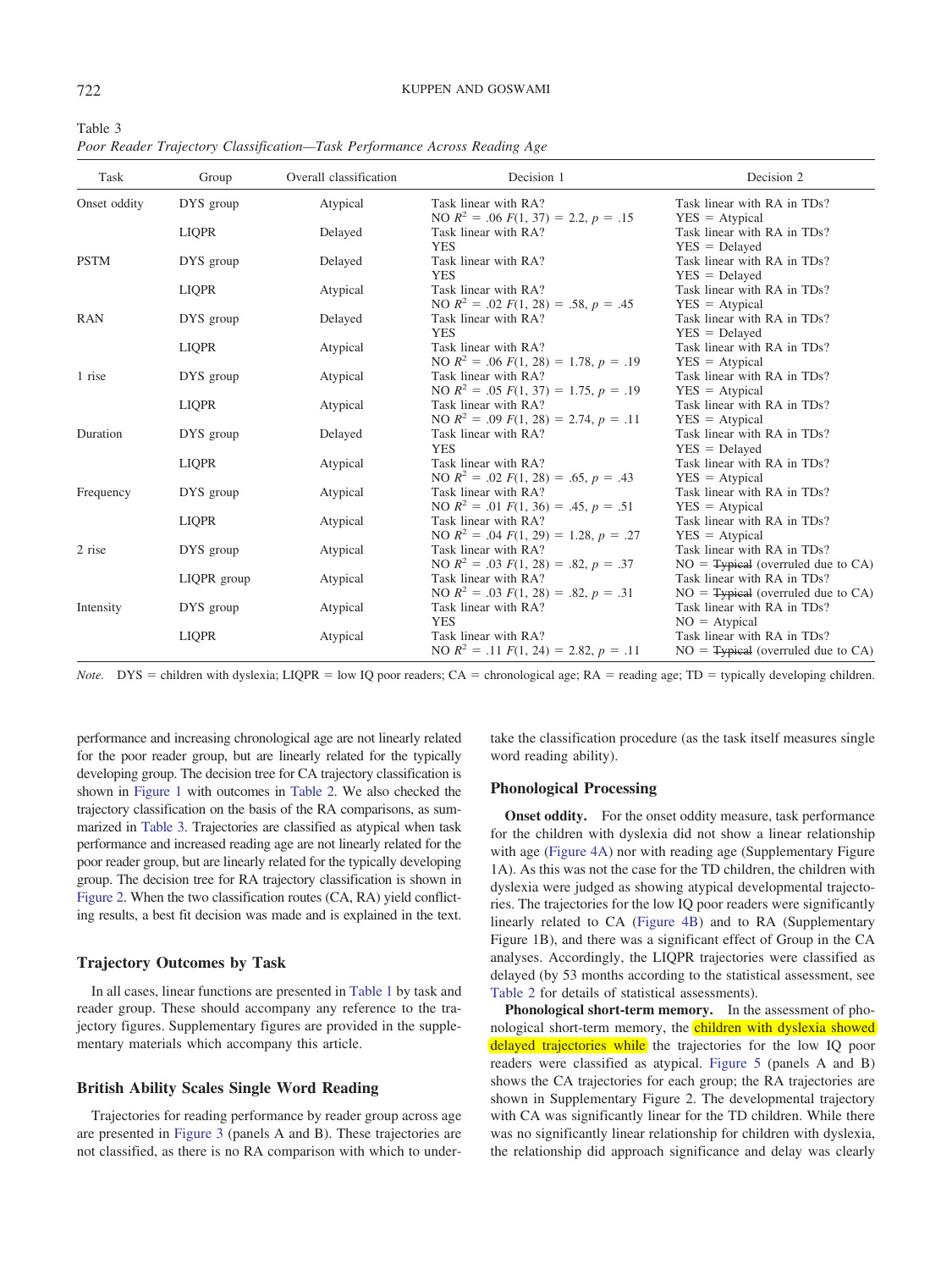| Table 3                                                                   |  |  |
|---------------------------------------------------------------------------|--|--|
| Poor Reader Trajectory Classification—Task Performance Across Reading Age |  |  |

| Task         | Group        | Overall classification | Decision 1                                  | Decision 2                                  |
|--------------|--------------|------------------------|---------------------------------------------|---------------------------------------------|
| Onset oddity | DYS group    | Atypical               | Task linear with RA?                        | Task linear with RA in TDs?                 |
|              |              |                        | NO $R^2$ = .06 $F(1, 37)$ = 2.2, $p = .15$  | $YES = Atypical$                            |
|              | <b>LIQPR</b> | Delayed                | Task linear with RA?                        | Task linear with RA in TDs?                 |
|              |              |                        | <b>YES</b>                                  | $YES = Delayed$                             |
| <b>PSTM</b>  | DYS group    | Delayed                | Task linear with RA?                        | Task linear with RA in TDs?                 |
|              |              |                        | <b>YES</b>                                  | $YES = Delayed$                             |
|              | <b>LIQPR</b> | Atypical               | Task linear with RA?                        | Task linear with RA in TDs?                 |
|              |              |                        | NO $R^2$ = .02 $F(1, 28)$ = .58, $p = .45$  | $YES = Atypical$                            |
| <b>RAN</b>   | DYS group    | Delayed                | Task linear with RA?                        | Task linear with RA in TDs?                 |
|              |              |                        | <b>YES</b>                                  | $YES = Delayed$                             |
|              | <b>LIOPR</b> | Atypical               | Task linear with RA?                        | Task linear with RA in TDs?                 |
|              |              |                        | NO $R^2 = .06 F(1, 28) = 1.78, p = .19$     | $YES = Atypical$                            |
| 1 rise       | DYS group    | Atypical               | Task linear with RA?                        | Task linear with RA in TDs?                 |
|              |              |                        | NO $R^2 = .05 F(1, 37) = 1.75$ , $p = .19$  | $YES = Atypical$                            |
|              | <b>LIQPR</b> | Atypical               | Task linear with RA?                        | Task linear with RA in TDs?                 |
|              |              |                        | NO $R^2 = .09 F(1, 28) = 2.74$ , $p = .11$  | $YES = Atypical$                            |
| Duration     | DYS group    | Delayed                | Task linear with RA?                        | Task linear with RA in TDs?                 |
|              |              |                        | <b>YES</b>                                  | $YES = Delayed$                             |
|              | <b>LIQPR</b> | Atypical               | Task linear with RA?                        | Task linear with RA in TDs?                 |
|              |              |                        | NO $R^2 = .02 F(1, 28) = .65$ , $p = .43$   | $YES = Atypical$                            |
| Frequency    | DYS group    | Atypical               | Task linear with RA?                        | Task linear with RA in TDs?                 |
|              |              |                        | NO $R^2 = .01$ $F(1, 36) = .45$ , $p = .51$ | $YES = Atypical$                            |
|              | <b>LIQPR</b> | Atypical               | Task linear with RA?                        | Task linear with RA in TDs?                 |
|              |              |                        | NO $R^2 = .04 F(1, 29) = 1.28, p = .27$     | $YES = Atypical$                            |
| 2 rise       | DYS group    | Atypical               | Task linear with RA?                        | Task linear with RA in TDs?                 |
|              |              |                        | NO $R^2 = .03 F(1, 28) = .82, p = .37$      | $NO = \text{Typical}$ (overruled due to CA) |
|              | LIQPR group  | Atypical               | Task linear with RA?                        | Task linear with RA in TDs?                 |
|              |              |                        | NO $R^2 = .03 F(1, 28) = .82, p = .31$      | $NO = \text{Typical}$ (overruled due to CA) |
| Intensity    | DYS group    | Atypical               | Task linear with RA?                        | Task linear with RA in TDs?                 |
|              |              |                        | <b>YES</b>                                  | $NO = Atypical$                             |
|              | <b>LIQPR</b> | Atypical               | Task linear with RA?                        | Task linear with RA in TDs?                 |
|              |              |                        | NO $R^2 = .11 F(1, 24) = 2.82, p = .11$     | $NO = \text{Typical}$ (overruled due to CA) |

*Note.* DYS = children with dyslexia; LIQPR = low IQ poor readers; CA = chronological age; RA = reading age; TD = typically developing children.

performance and increasing chronological age are not linearly related for the poor reader group, but are linearly related for the typically developing group. The decision tree for CA trajectory classification is shown in Figure 1 with outcomes in Table 2. We also checked the trajectory classification on the basis of the RA comparisons, as summarized in Table 3. Trajectories are classified as atypical when task performance and increased reading age are not linearly related for the poor reader group, but are linearly related for the typically developing group. The decision tree for RA trajectory classification is shown in Figure 2. When the two classification routes (CA, RA) yield conflicting results, a best fit decision was made and is explained in the text.

# **Trajectory Outcomes by Task**

In all cases, linear functions are presented in Table 1 by task and reader group. These should accompany any reference to the trajectory figures. Supplementary figures are provided in the supplementary materials which accompany this article.

# **British Ability Scales Single Word Reading**

Trajectories for reading performance by reader group across age are presented in Figure 3 (panels A and B). These trajectories are not classified, as there is no RA comparison with which to undertake the classification procedure (as the task itself measures single word reading ability).

# **Phonological Processing**

**Onset oddity.** For the onset oddity measure, task performance for the children with dyslexia did not show a linear relationship with age (Figure 4A) nor with reading age (Supplementary Figure 1A). As this was not the case for the TD children, the children with dyslexia were judged as showing atypical developmental trajectories. The trajectories for the low IQ poor readers were significantly linearly related to CA (Figure 4B) and to RA (Supplementary Figure 1B), and there was a significant effect of Group in the CA analyses. Accordingly, the LIQPR trajectories were classified as delayed (by 53 months according to the statistical assessment, see Table 2 for details of statistical assessments).

**Phonological short-term memory.** In the assessment of phonological short-term memory, the children with dyslexia showed delayed trajectories while the trajectories for the low IQ poor readers were classified as atypical. Figure 5 (panels A and B) shows the CA trajectories for each group; the RA trajectories are shown in Supplementary Figure 2. The developmental trajectory with CA was significantly linear for the TD children. While there was no significantly linear relationship for children with dyslexia, the relationship did approach significance and delay was clearly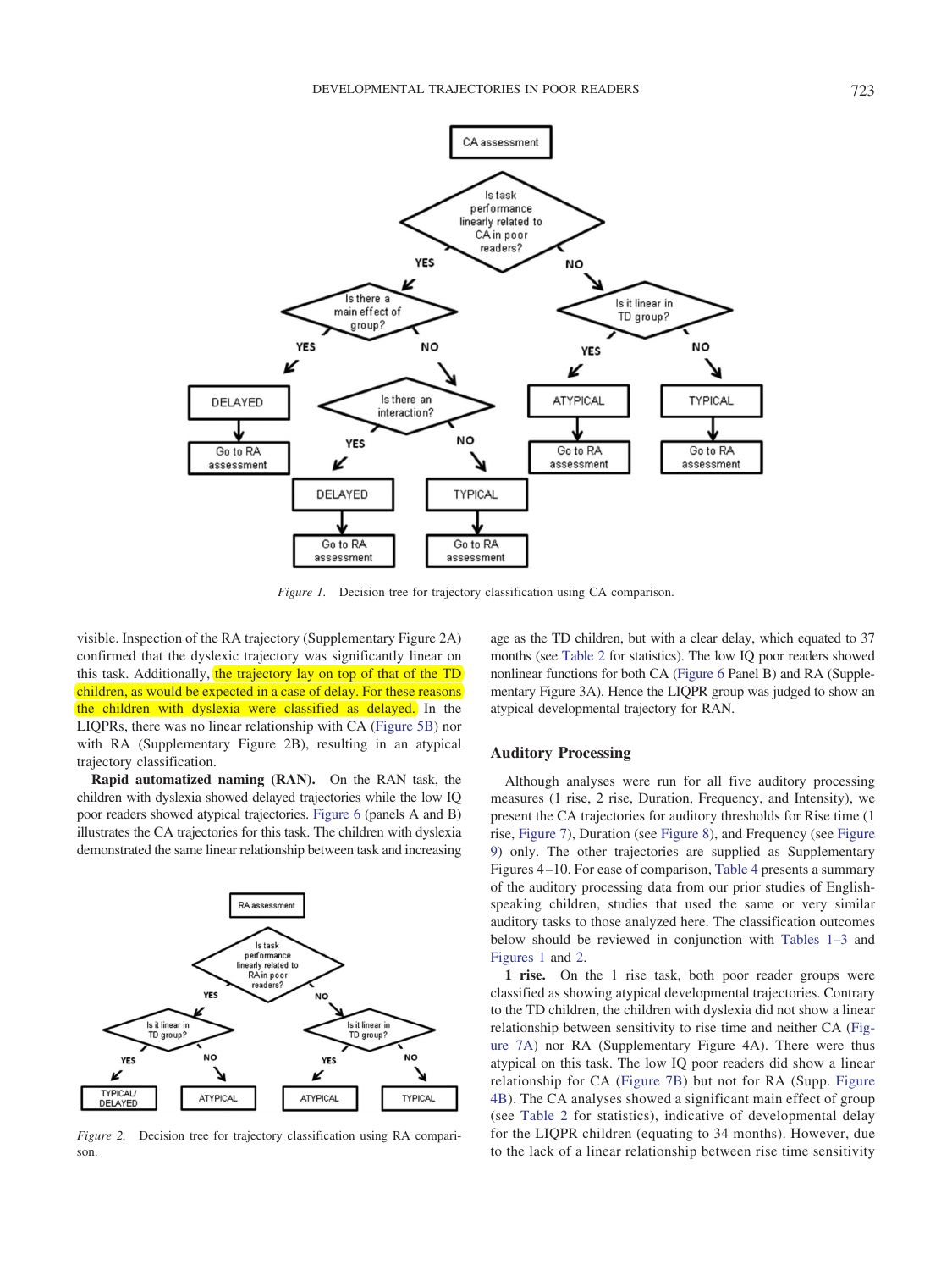

*Figure 1.* Decision tree for trajectory classification using CA comparison.

visible. Inspection of the RA trajectory (Supplementary Figure 2A) confirmed that the dyslexic trajectory was significantly linear on this task. Additionally, the trajectory lay on top of that of the TD children, as would be expected in a case of delay. For these reasons the children with dyslexia were classified as delayed. In the LIQPRs, there was no linear relationship with CA (Figure 5B) nor with RA (Supplementary Figure 2B), resulting in an atypical trajectory classification.

**Rapid automatized naming (RAN).** On the RAN task, the children with dyslexia showed delayed trajectories while the low IQ poor readers showed atypical trajectories. Figure 6 (panels A and B) illustrates the CA trajectories for this task. The children with dyslexia demonstrated the same linear relationship between task and increasing



*Figure 2.* Decision tree for trajectory classification using RA comparison.

age as the TD children, but with a clear delay, which equated to 37 months (see Table 2 for statistics). The low IQ poor readers showed nonlinear functions for both CA (Figure 6 Panel B) and RA (Supplementary Figure 3A). Hence the LIQPR group was judged to show an atypical developmental trajectory for RAN.

# **Auditory Processing**

Although analyses were run for all five auditory processing measures (1 rise, 2 rise, Duration, Frequency, and Intensity), we present the CA trajectories for auditory thresholds for Rise time (1 rise, Figure 7), Duration (see Figure 8), and Frequency (see Figure 9) only. The other trajectories are supplied as Supplementary Figures 4–10. For ease of comparison, Table 4 presents a summary of the auditory processing data from our prior studies of Englishspeaking children, studies that used the same or very similar auditory tasks to those analyzed here. The classification outcomes below should be reviewed in conjunction with Tables 1–3 and Figures 1 and 2.

**1 rise.** On the 1 rise task, both poor reader groups were classified as showing atypical developmental trajectories. Contrary to the TD children, the children with dyslexia did not show a linear relationship between sensitivity to rise time and neither CA (Figure 7A) nor RA (Supplementary Figure 4A). There were thus atypical on this task. The low IQ poor readers did show a linear relationship for CA (Figure 7B) but not for RA (Supp. Figure 4B). The CA analyses showed a significant main effect of group (see Table 2 for statistics), indicative of developmental delay for the LIQPR children (equating to 34 months). However, due to the lack of a linear relationship between rise time sensitivity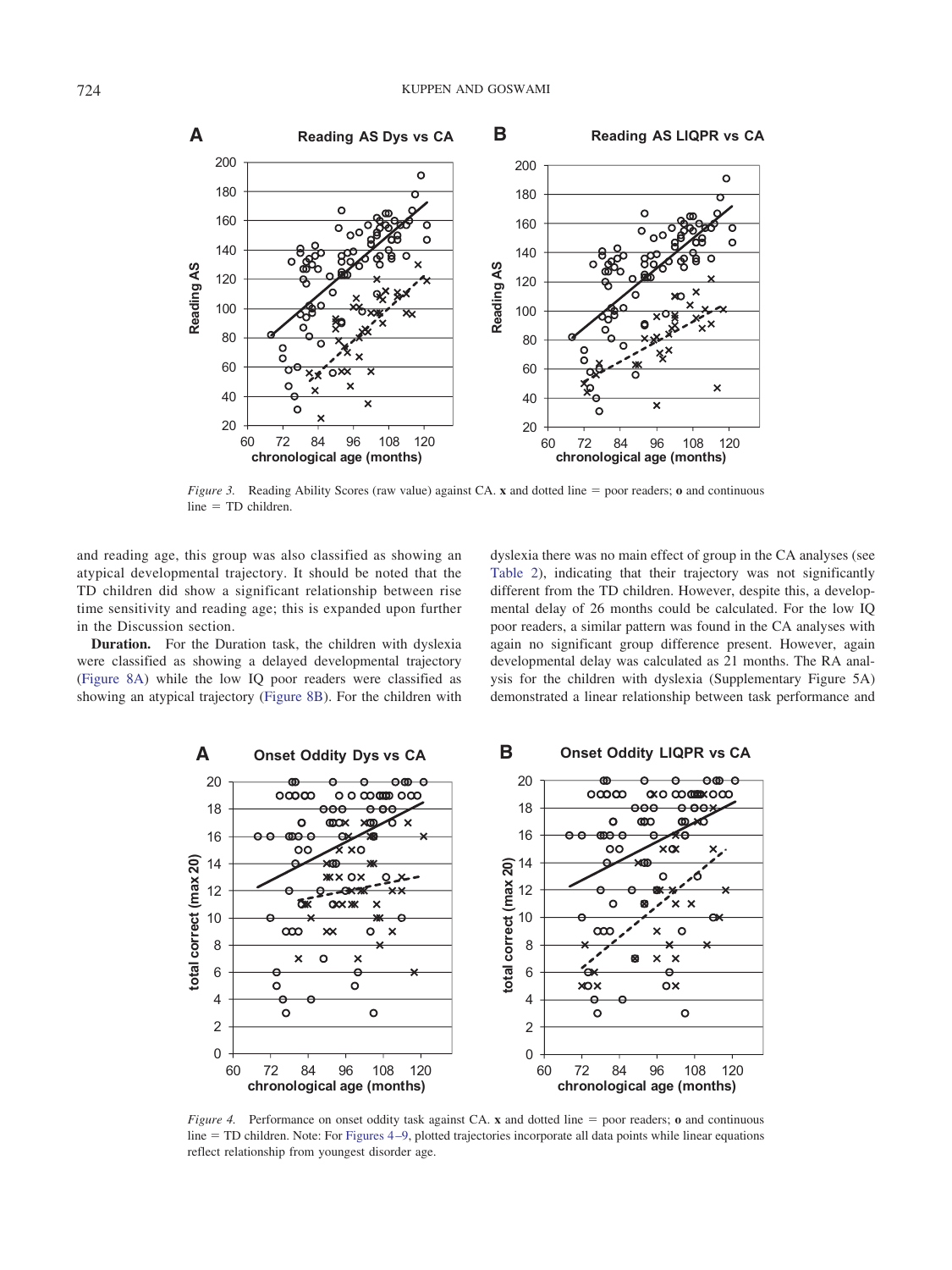

*Figure 3.* Reading Ability Scores (raw value) against CA. **x** and dotted line poor readers; **o** and continuous  $line = TD$  children.

and reading age, this group was also classified as showing an atypical developmental trajectory. It should be noted that the TD children did show a significant relationship between rise time sensitivity and reading age; this is expanded upon further in the Discussion section.

**Duration.** For the Duration task, the children with dyslexia were classified as showing a delayed developmental trajectory (Figure 8A) while the low IQ poor readers were classified as showing an atypical trajectory (Figure 8B). For the children with dyslexia there was no main effect of group in the CA analyses (see Table 2), indicating that their trajectory was not significantly different from the TD children. However, despite this, a developmental delay of 26 months could be calculated. For the low IQ poor readers, a similar pattern was found in the CA analyses with again no significant group difference present. However, again developmental delay was calculated as 21 months. The RA analysis for the children with dyslexia (Supplementary Figure 5A) demonstrated a linear relationship between task performance and



*Figure 4.* Performance on onset oddity task against CA. **x** and dotted line poor readers; **o** and continuous line = TD children. Note: For Figures 4–9, plotted trajectories incorporate all data points while linear equations reflect relationship from youngest disorder age.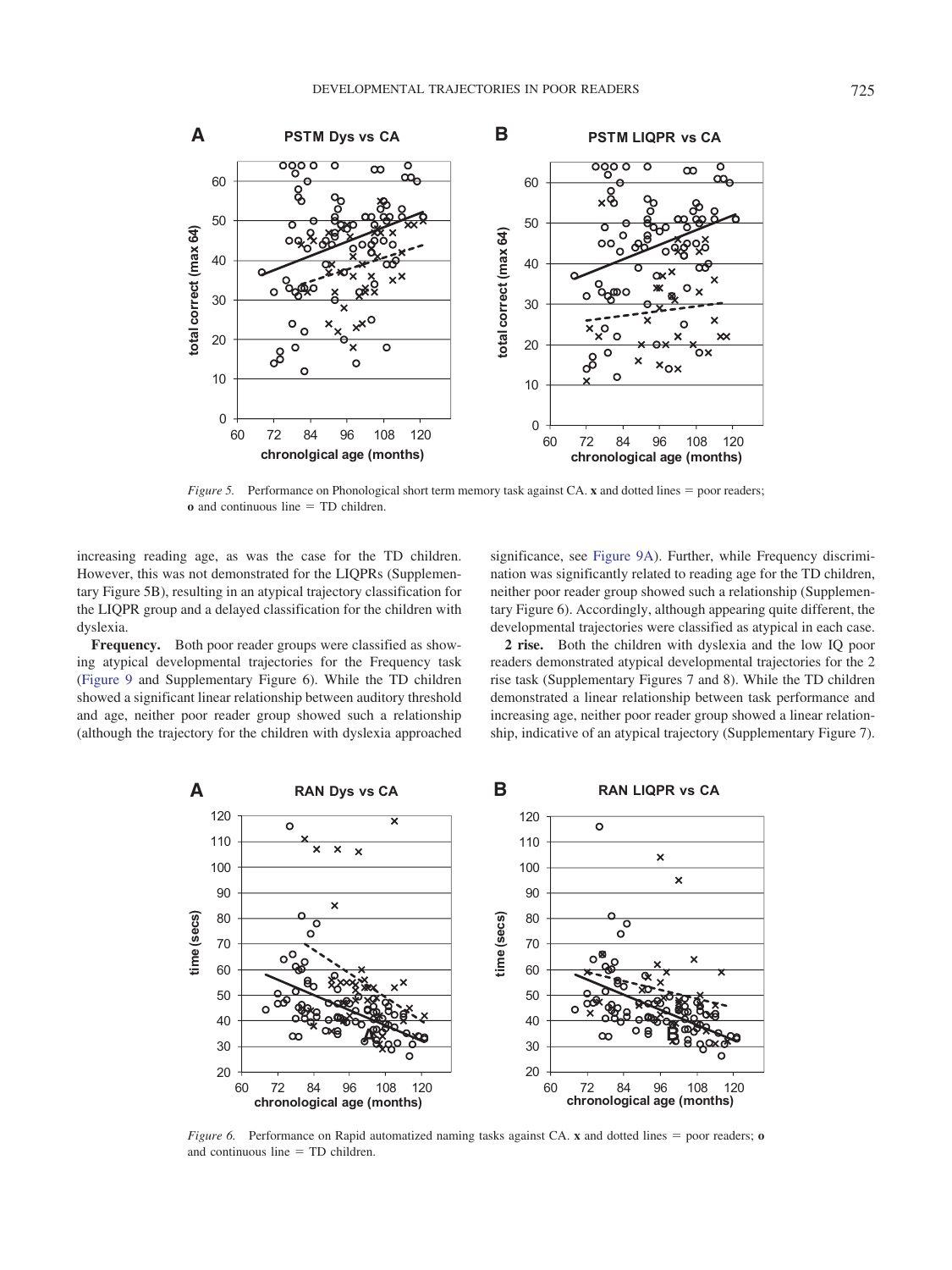

*Figure 5.* Performance on Phonological short term memory task against CA. **x** and dotted lines = poor readers; **o** and continuous line = TD children.

increasing reading age, as was the case for the TD children. However, this was not demonstrated for the LIQPRs (Supplementary Figure 5B), resulting in an atypical trajectory classification for the LIQPR group and a delayed classification for the children with dyslexia.

**Frequency.** Both poor reader groups were classified as showing atypical developmental trajectories for the Frequency task (Figure 9 and Supplementary Figure 6). While the TD children showed a significant linear relationship between auditory threshold and age, neither poor reader group showed such a relationship (although the trajectory for the children with dyslexia approached

significance, see Figure 9A). Further, while Frequency discrimination was significantly related to reading age for the TD children, neither poor reader group showed such a relationship (Supplementary Figure 6). Accordingly, although appearing quite different, the developmental trajectories were classified as atypical in each case.

**2 rise.** Both the children with dyslexia and the low IQ poor readers demonstrated atypical developmental trajectories for the 2 rise task (Supplementary Figures 7 and 8). While the TD children demonstrated a linear relationship between task performance and increasing age, neither poor reader group showed a linear relationship, indicative of an atypical trajectory (Supplementary Figure 7).



*Figure 6.* Performance on Rapid automatized naming tasks against CA. **x** and dotted lines poor readers; **o** and continuous line  $=$  TD children.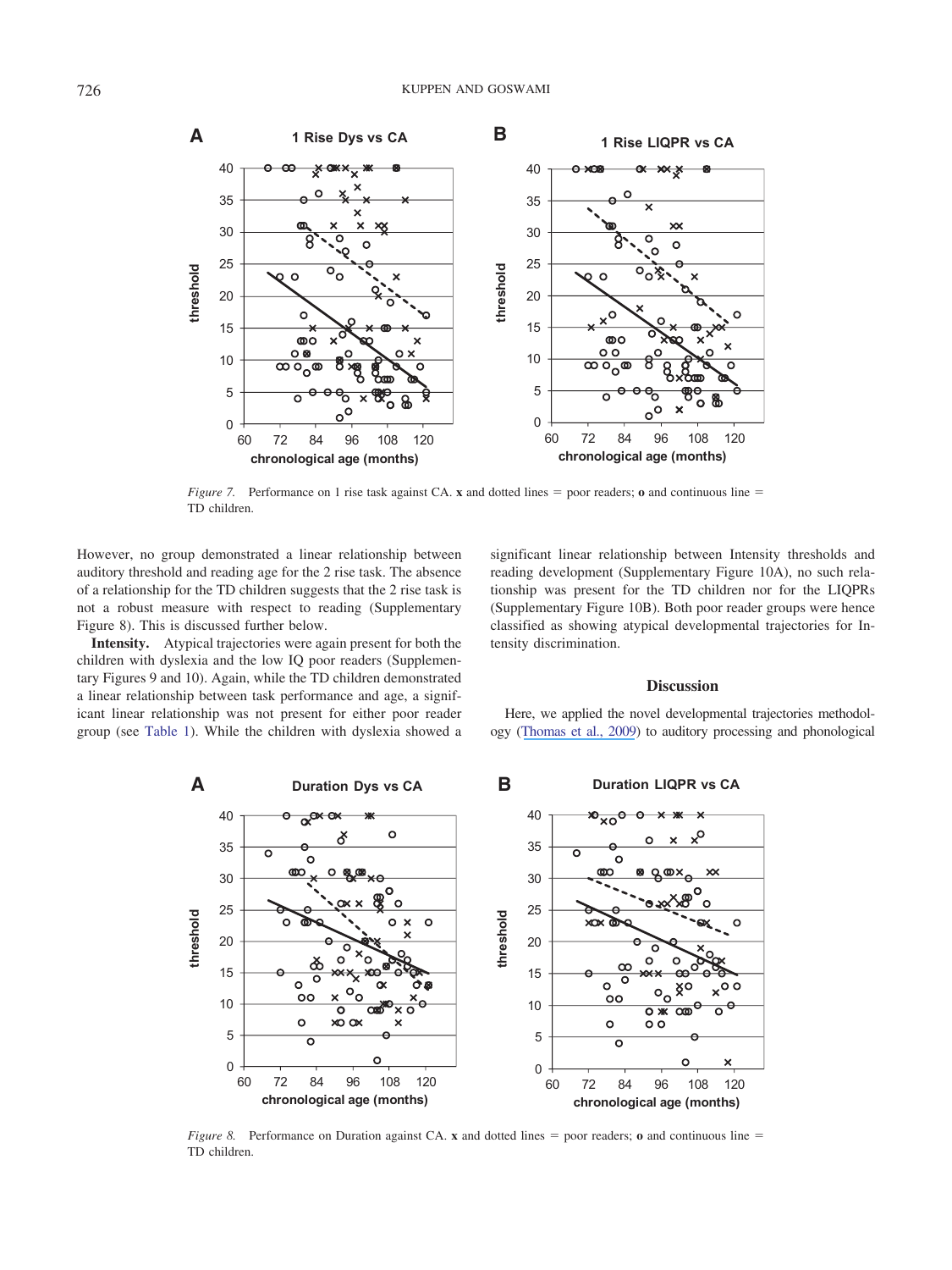

*Figure 7.* Performance on 1 rise task against CA. **x** and dotted lines = poor readers; **o** and continuous line = TD children.

However, no group demonstrated a linear relationship between auditory threshold and reading age for the 2 rise task. The absence of a relationship for the TD children suggests that the 2 rise task is not a robust measure with respect to reading (Supplementary Figure 8). This is discussed further below.

**Intensity.** Atypical trajectories were again present for both the children with dyslexia and the low IQ poor readers (Supplementary Figures 9 and 10). Again, while the TD children demonstrated a linear relationship between task performance and age, a significant linear relationship was not present for either poor reader group (see Table 1). While the children with dyslexia showed a significant linear relationship between Intensity thresholds and reading development (Supplementary Figure 10A), no such relationship was present for the TD children nor for the LIQPRs (Supplementary Figure 10B). Both poor reader groups were hence classified as showing atypical developmental trajectories for Intensity discrimination.

# **Discussion**



Here, we applied the novel developmental trajectories methodology ([Thomas et al., 2009](https://www.researchgate.net/publication/24146666_Using_Developmental_Trajectories_to_Understand_Developmental_Disorders?el=1_x_8&enrichId=rgreq-a40c86c9051bab4ff578799ea7bd80c4-XXX&enrichSource=Y292ZXJQYWdlOzMwMTYzOTEwNDtBUzozNjQ5Njk4MjU3MTgyNzJAMTQ2NDAyNjk5NTUzMQ==)) to auditory processing and phonological

*Figure 8.* Performance on Duration against CA. **x** and dotted lines = poor readers; **o** and continuous line = TD children.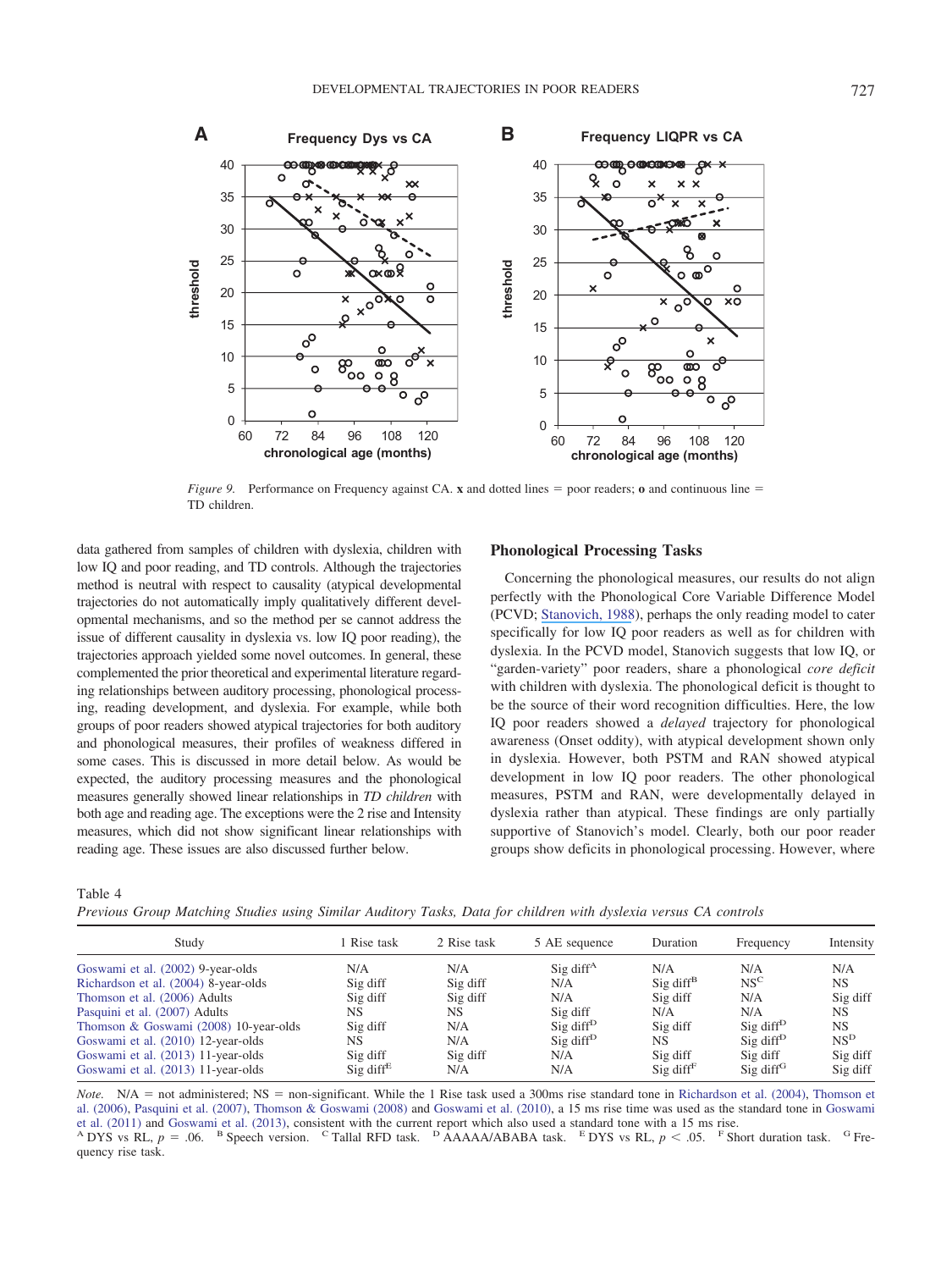

*Figure 9.* Performance on Frequency against CA. **x** and dotted lines = poor readers; **o** and continuous line = TD children.

data gathered from samples of children with dyslexia, children with low IQ and poor reading, and TD controls. Although the trajectories method is neutral with respect to causality (atypical developmental trajectories do not automatically imply qualitatively different developmental mechanisms, and so the method per se cannot address the issue of different causality in dyslexia vs. low IQ poor reading), the trajectories approach yielded some novel outcomes. In general, these complemented the prior theoretical and experimental literature regarding relationships between auditory processing, phonological processing, reading development, and dyslexia. For example, while both groups of poor readers showed atypical trajectories for both auditory and phonological measures, their profiles of weakness differed in some cases. This is discussed in more detail below. As would be expected, the auditory processing measures and the phonological measures generally showed linear relationships in *TD children* with both age and reading age. The exceptions were the 2 rise and Intensity measures, which did not show significant linear relationships with reading age. These issues are also discussed further below.

# **Phonological Processing Tasks**

Concerning the phonological measures, our results do not align perfectly with the Phonological Core Variable Difference Model (PCVD; [Stanovich, 1988](https://www.researchgate.net/publication/20691499_Explaining_the_Differences_Between_the_Dyslexic_and_the_Garden-Variety_Poor_Reader_The_Phonological-Core_Variable-Difference_Model?el=1_x_8&enrichId=rgreq-a40c86c9051bab4ff578799ea7bd80c4-XXX&enrichSource=Y292ZXJQYWdlOzMwMTYzOTEwNDtBUzozNjQ5Njk4MjU3MTgyNzJAMTQ2NDAyNjk5NTUzMQ==)), perhaps the only reading model to cater specifically for low IQ poor readers as well as for children with dyslexia. In the PCVD model, Stanovich suggests that low IQ, or "garden-variety" poor readers, share a phonological *core deficit* with children with dyslexia. The phonological deficit is thought to be the source of their word recognition difficulties. Here, the low IQ poor readers showed a *delayed* trajectory for phonological awareness (Onset oddity), with atypical development shown only in dyslexia. However, both PSTM and RAN showed atypical development in low IQ poor readers. The other phonological measures, PSTM and RAN, were developmentally delayed in dyslexia rather than atypical. These findings are only partially supportive of Stanovich's model. Clearly, both our poor reader groups show deficits in phonological processing. However, where

Table 4

*Previous Group Matching Studies using Similar Auditory Tasks, Data for children with dyslexia versus CA controls*

| Study                                   | 1 Rise task   | 2 Rise task | 5 AE sequence         | Duration              | Frequency             | Intensity       |
|-----------------------------------------|---------------|-------------|-----------------------|-----------------------|-----------------------|-----------------|
| Goswami et al. (2002) 9-year-olds       | N/A           | N/A         | $Sig\ diff^A$         | N/A                   | N/A                   | N/A             |
| Richardson et al. (2004) 8-year-olds    | Sig diff      | Sig diff    | N/A                   | $Sig\ diff^B$         | NS <sup>C</sup>       | <b>NS</b>       |
| Thomson et al. (2006) Adults            | Sig diff      | Sig diff    | N/A                   | Sig diff              | N/A                   | Sig diff        |
| Pasquini et al. (2007) Adults           | NS            | NS.         | Sig diff              | N/A                   | N/A                   | <b>NS</b>       |
| Thomson & Goswami $(2008)$ 10-year-olds | Sig diff      | N/A         | Sig diff <sup>D</sup> | Sig diff              | $Sig\ diffD$          | <b>NS</b>       |
| Goswami et al. (2010) 12-year-olds      | NS            | N/A         | Sig diff <sup>D</sup> | NS.                   | Sig diff <sup>D</sup> | NS <sup>D</sup> |
| Goswami et al. (2013) 11-year-olds      | Sig diff      | Sig diff    | N/A                   | Sig diff              | Sig diff              | Sig diff        |
| Goswami et al. (2013) 11-year-olds      | $Sig\ diff^E$ | N/A         | N/A                   | Sig diff <sup>r</sup> | Sig diff <sup>G</sup> | Sig diff        |

*Note.* N/A = not administered; NS = non-significant. While the 1 Rise task used a 300ms rise standard tone in Richardson et al. (2004), Thomson et al. (2006), Pasquini et al. (2007), Thomson & Goswami (2008) and Goswami et al. (2010), a 15 ms rise time was used as the standard tone in Goswami et al. (2011) and Goswami et al. (2013), consistent with the current report <sup>A</sup> DYS vs RL,  $p = .06$ . <sup>B</sup> Speech version. <sup>C</sup> Tallal RFD task. <sup>D</sup> AAAAA/ABABA task. <sup>E</sup> DYS vs RL,  $p < .05$ . <sup>F</sup> Short duration task. <sup>G</sup> Fre-

quency rise task.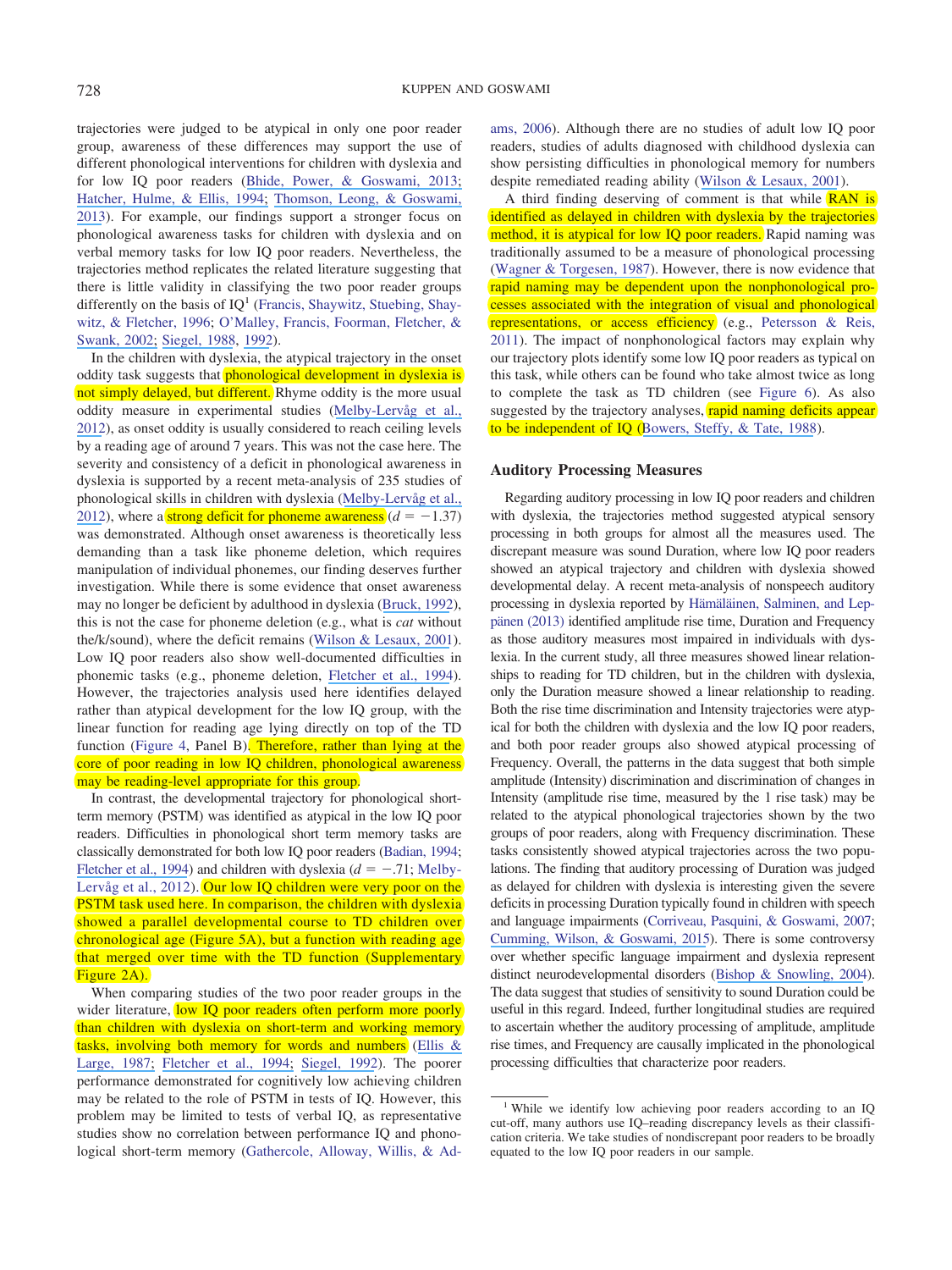trajectories were judged to be atypical in only one poor reader group, awareness of these differences may support the use of different phonological interventions for children with dyslexia and for low IQ poor readers ([Bhide, Power, & Goswami, 2013;](https://www.researchgate.net/publication/264733848_A_Rhythmic_Musical_Intervention_for_Poor_Readers_A_Comparison_of_Efficacy_With_a_Letter-Based_Intervention?el=1_x_8&enrichId=rgreq-a40c86c9051bab4ff578799ea7bd80c4-XXX&enrichSource=Y292ZXJQYWdlOzMwMTYzOTEwNDtBUzozNjQ5Njk4MjU3MTgyNzJAMTQ2NDAyNjk5NTUzMQ==) [Hatcher, Hulme, & Ellis, 1994;](https://www.researchgate.net/publication/227687377_Ameliorating_Early_Reading_Failure_by_Integrating_the_Teaching_of_Reading_and_Phonological_Skills_The_Phonological_Linkage_Hypothesis?el=1_x_8&enrichId=rgreq-a40c86c9051bab4ff578799ea7bd80c4-XXX&enrichSource=Y292ZXJQYWdlOzMwMTYzOTEwNDtBUzozNjQ5Njk4MjU3MTgyNzJAMTQ2NDAyNjk5NTUzMQ==) [Thomson, Leong, & Goswami,](https://www.researchgate.net/publication/235089617_Auditory_processing_interventions_and_developmental_dyslexia_A_comparison_of_phonemic_and_rhythmic_approaches?el=1_x_8&enrichId=rgreq-a40c86c9051bab4ff578799ea7bd80c4-XXX&enrichSource=Y292ZXJQYWdlOzMwMTYzOTEwNDtBUzozNjQ5Njk4MjU3MTgyNzJAMTQ2NDAyNjk5NTUzMQ==) [2013](https://www.researchgate.net/publication/235089617_Auditory_processing_interventions_and_developmental_dyslexia_A_comparison_of_phonemic_and_rhythmic_approaches?el=1_x_8&enrichId=rgreq-a40c86c9051bab4ff578799ea7bd80c4-XXX&enrichSource=Y292ZXJQYWdlOzMwMTYzOTEwNDtBUzozNjQ5Njk4MjU3MTgyNzJAMTQ2NDAyNjk5NTUzMQ==)). For example, our findings support a stronger focus on phonological awareness tasks for children with dyslexia and on verbal memory tasks for low IQ poor readers. Nevertheless, the trajectories method replicates the related literature suggesting that there is little validity in classifying the two poor reader groups differently on the basis of  $IQ<sup>1</sup>$  (Francis, Shaywitz, Stuebing, Shaywitz, & Fletcher, 1996; O'Malley, Francis, Foorman, Fletcher, & [Swank, 2002;](https://www.researchgate.net/publication/227609605_Growth_in_Precursor_and_Reading-Related_Skills_Do_Low-Achieving_and_IQ-Discrepant_Readers_Develop_Differently?el=1_x_8&enrichId=rgreq-a40c86c9051bab4ff578799ea7bd80c4-XXX&enrichSource=Y292ZXJQYWdlOzMwMTYzOTEwNDtBUzozNjQ5Njk4MjU3MTgyNzJAMTQ2NDAyNjk5NTUzMQ==) [Siegel, 1988](https://www.researchgate.net/publication/19988005_Evidence_that_IQ_Scores_are_Irrelevant_to_the_Definition_and_Analysis_of_Reading_Disability?el=1_x_8&enrichId=rgreq-a40c86c9051bab4ff578799ea7bd80c4-XXX&enrichSource=Y292ZXJQYWdlOzMwMTYzOTEwNDtBUzozNjQ5Njk4MjU3MTgyNzJAMTQ2NDAyNjk5NTUzMQ==), [1992](https://www.researchgate.net/publication/21696102_An_Evaluation_of_the_Discrepancy_Definition_of_Dyslexia?el=1_x_8&enrichId=rgreq-a40c86c9051bab4ff578799ea7bd80c4-XXX&enrichSource=Y292ZXJQYWdlOzMwMTYzOTEwNDtBUzozNjQ5Njk4MjU3MTgyNzJAMTQ2NDAyNjk5NTUzMQ==)).

In the children with dyslexia, the atypical trajectory in the onset oddity task suggests that **phonological development in dyslexia is** not simply delayed, but different. Rhyme oddity is the more usual oddity measure in experimental studies ([Melby-Lervåg et al.,](https://www.researchgate.net/publication/221752875_Phonological_skills_and_their_role_in_learning_to_read_A_meta-analytic_review?el=1_x_8&enrichId=rgreq-a40c86c9051bab4ff578799ea7bd80c4-XXX&enrichSource=Y292ZXJQYWdlOzMwMTYzOTEwNDtBUzozNjQ5Njk4MjU3MTgyNzJAMTQ2NDAyNjk5NTUzMQ==) [2012](https://www.researchgate.net/publication/221752875_Phonological_skills_and_their_role_in_learning_to_read_A_meta-analytic_review?el=1_x_8&enrichId=rgreq-a40c86c9051bab4ff578799ea7bd80c4-XXX&enrichSource=Y292ZXJQYWdlOzMwMTYzOTEwNDtBUzozNjQ5Njk4MjU3MTgyNzJAMTQ2NDAyNjk5NTUzMQ==)), as onset oddity is usually considered to reach ceiling levels by a reading age of around 7 years. This was not the case here. The severity and consistency of a deficit in phonological awareness in dyslexia is supported by a recent meta-analysis of 235 studies of phonological skills in children with dyslexia ([Melby-Lervåg et al.,](https://www.researchgate.net/publication/221752875_Phonological_skills_and_their_role_in_learning_to_read_A_meta-analytic_review?el=1_x_8&enrichId=rgreq-a40c86c9051bab4ff578799ea7bd80c4-XXX&enrichSource=Y292ZXJQYWdlOzMwMTYzOTEwNDtBUzozNjQ5Njk4MjU3MTgyNzJAMTQ2NDAyNjk5NTUzMQ==) [2012](https://www.researchgate.net/publication/221752875_Phonological_skills_and_their_role_in_learning_to_read_A_meta-analytic_review?el=1_x_8&enrichId=rgreq-a40c86c9051bab4ff578799ea7bd80c4-XXX&enrichSource=Y292ZXJQYWdlOzMwMTYzOTEwNDtBUzozNjQ5Njk4MjU3MTgyNzJAMTQ2NDAyNjk5NTUzMQ==)), where a strong deficit for phoneme awareness  $(d = -1.37)$ was demonstrated. Although onset awareness is theoretically less demanding than a task like phoneme deletion, which requires manipulation of individual phonemes, our finding deserves further investigation. While there is some evidence that onset awareness may no longer be deficient by adulthood in dyslexia ([Bruck, 1992](https://www.researchgate.net/publication/232482534_Persistence_of_Dyslexics)), this is not the case for phoneme deletion (e.g., what is *cat* without the/k/sound), where the deficit remains ([Wilson & Lesaux, 2001](https://www.researchgate.net/publication/8212824_Persistence_of_Phonological_Processing_Deficits_in_College_Students_with_Dyslexia_Who_Have_Age-Appropriate_Reading_Skills?el=1_x_8&enrichId=rgreq-a40c86c9051bab4ff578799ea7bd80c4-XXX&enrichSource=Y292ZXJQYWdlOzMwMTYzOTEwNDtBUzozNjQ5Njk4MjU3MTgyNzJAMTQ2NDAyNjk5NTUzMQ==)). Low IQ poor readers also show well-documented difficulties in phonemic tasks (e.g., phoneme deletion, [Fletcher et al., 1994](https://www.researchgate.net/publication/232487442_Cognitive_Profiles_of_Reading_Disability_Comparisons_of_Discrepancy_and_Low_Achievement_Definitions?el=1_x_8&enrichId=rgreq-a40c86c9051bab4ff578799ea7bd80c4-XXX&enrichSource=Y292ZXJQYWdlOzMwMTYzOTEwNDtBUzozNjQ5Njk4MjU3MTgyNzJAMTQ2NDAyNjk5NTUzMQ==)). However, the trajectories analysis used here identifies delayed rather than atypical development for the low IQ group, with the linear function for reading age lying directly on top of the TD function (Figure 4, Panel B). Therefore, rather than lying at the core of poor reading in low IQ children, phonological awareness may be reading-level appropriate for this group.

In contrast, the developmental trajectory for phonological shortterm memory (PSTM) was identified as atypical in the low IQ poor readers. Difficulties in phonological short term memory tasks are classically demonstrated for both low IQ poor readers (Badian, 1994; [Fletcher et al., 1994](https://www.researchgate.net/publication/232487442_Cognitive_Profiles_of_Reading_Disability_Comparisons_of_Discrepancy_and_Low_Achievement_Definitions?el=1_x_8&enrichId=rgreq-a40c86c9051bab4ff578799ea7bd80c4-XXX&enrichSource=Y292ZXJQYWdlOzMwMTYzOTEwNDtBUzozNjQ5Njk4MjU3MTgyNzJAMTQ2NDAyNjk5NTUzMQ==)) and children with dyslexia  $(d = -.71;$  Melby-Lervåg et al., 2012). Our low IQ children were very poor on the PSTM task used here. In comparison, the children with dyslexia showed a parallel developmental course to TD children over chronological age (Figure 5A), but a function with reading age that merged over time with the TD function (Supplementary) Figure 2A).

When comparing studies of the two poor reader groups in the wider literature, low IQ poor readers often perform more poorly than children with dyslexia on short-term and working memory tasks, involving both memory for words and numbers ([Ellis &](https://www.researchgate.net/publication/19332595_The_Development_of_Reading_As_You_Seek_So_Shall_You_Find?el=1_x_8&enrichId=rgreq-a40c86c9051bab4ff578799ea7bd80c4-XXX&enrichSource=Y292ZXJQYWdlOzMwMTYzOTEwNDtBUzozNjQ5Njk4MjU3MTgyNzJAMTQ2NDAyNjk5NTUzMQ==) [Large, 1987;](https://www.researchgate.net/publication/19332595_The_Development_of_Reading_As_You_Seek_So_Shall_You_Find?el=1_x_8&enrichId=rgreq-a40c86c9051bab4ff578799ea7bd80c4-XXX&enrichSource=Y292ZXJQYWdlOzMwMTYzOTEwNDtBUzozNjQ5Njk4MjU3MTgyNzJAMTQ2NDAyNjk5NTUzMQ==) [Fletcher et al., 1994;](https://www.researchgate.net/publication/232487442_Cognitive_Profiles_of_Reading_Disability_Comparisons_of_Discrepancy_and_Low_Achievement_Definitions?el=1_x_8&enrichId=rgreq-a40c86c9051bab4ff578799ea7bd80c4-XXX&enrichSource=Y292ZXJQYWdlOzMwMTYzOTEwNDtBUzozNjQ5Njk4MjU3MTgyNzJAMTQ2NDAyNjk5NTUzMQ==) [Siegel, 1992](https://www.researchgate.net/publication/21696102_An_Evaluation_of_the_Discrepancy_Definition_of_Dyslexia?el=1_x_8&enrichId=rgreq-a40c86c9051bab4ff578799ea7bd80c4-XXX&enrichSource=Y292ZXJQYWdlOzMwMTYzOTEwNDtBUzozNjQ5Njk4MjU3MTgyNzJAMTQ2NDAyNjk5NTUzMQ==)). The poorer performance demonstrated for cognitively low achieving children may be related to the role of PSTM in tests of IQ. However, this problem may be limited to tests of verbal IQ, as representative studies show no correlation between performance IQ and phonological short-term memory (Gathercole, Alloway, Willis, & Adams, 2006). Although there are no studies of adult low IQ poor readers, studies of adults diagnosed with childhood dyslexia can show persisting difficulties in phonological memory for numbers despite remediated reading ability ([Wilson & Lesaux, 2001](https://www.researchgate.net/publication/8212824_Persistence_of_Phonological_Processing_Deficits_in_College_Students_with_Dyslexia_Who_Have_Age-Appropriate_Reading_Skills?el=1_x_8&enrichId=rgreq-a40c86c9051bab4ff578799ea7bd80c4-XXX&enrichSource=Y292ZXJQYWdlOzMwMTYzOTEwNDtBUzozNjQ5Njk4MjU3MTgyNzJAMTQ2NDAyNjk5NTUzMQ==)).

A third finding deserving of comment is that while **RAN** is identified as delayed in children with dyslexia by the trajectories method, it is atypical for low IQ poor readers. Rapid naming was traditionally assumed to be a measure of phonological processing ([Wagner & Torgesen, 1987](https://www.researchgate.net/publication/279986719_The_Nature_of_Phonological_Processing_and_Its_Causal_Role_in_the_Acquisition_of_Reading_Skills?el=1_x_8&enrichId=rgreq-a40c86c9051bab4ff578799ea7bd80c4-XXX&enrichSource=Y292ZXJQYWdlOzMwMTYzOTEwNDtBUzozNjQ5Njk4MjU3MTgyNzJAMTQ2NDAyNjk5NTUzMQ==)). However, there is now evidence that rapid naming may be dependent upon the nonphonological processes associated with the integration of visual and phonological representations, or access efficiency (e.g., Petersson & Reis, 2011). The impact of nonphonological factors may explain why our trajectory plots identify some low IQ poor readers as typical on this task, while others can be found who take almost twice as long to complete the task as TD children (see Figure 6). As also suggested by the trajectory analyses, rapid naming deficits appear to be independent of IQ ([Bowers, Steffy, & Tate, 1988](https://www.researchgate.net/publication/235954350_Comparison_of_the_Effects_of_IQ_Control_Methods_on_Memory_and_Naming_Speed_Predictors_of_Reading_Disability?el=1_x_8&enrichId=rgreq-a40c86c9051bab4ff578799ea7bd80c4-XXX&enrichSource=Y292ZXJQYWdlOzMwMTYzOTEwNDtBUzozNjQ5Njk4MjU3MTgyNzJAMTQ2NDAyNjk5NTUzMQ==)).

# **Auditory Processing Measures**

Regarding auditory processing in low IQ poor readers and children with dyslexia, the trajectories method suggested atypical sensory processing in both groups for almost all the measures used. The discrepant measure was sound Duration, where low IQ poor readers showed an atypical trajectory and children with dyslexia showed developmental delay. A recent meta-analysis of nonspeech auditory processing in dyslexia reported by Hämäläinen, Salminen, and Leppänen (2013) identified amplitude rise time, Duration and Frequency as those auditory measures most impaired in individuals with dyslexia. In the current study, all three measures showed linear relationships to reading for TD children, but in the children with dyslexia, only the Duration measure showed a linear relationship to reading. Both the rise time discrimination and Intensity trajectories were atypical for both the children with dyslexia and the low IQ poor readers, and both poor reader groups also showed atypical processing of Frequency. Overall, the patterns in the data suggest that both simple amplitude (Intensity) discrimination and discrimination of changes in Intensity (amplitude rise time, measured by the 1 rise task) may be related to the atypical phonological trajectories shown by the two groups of poor readers, along with Frequency discrimination. These tasks consistently showed atypical trajectories across the two populations. The finding that auditory processing of Duration was judged as delayed for children with dyslexia is interesting given the severe deficits in processing Duration typically found in children with speech and language impairments (Corriveau, Pasquini, & Goswami, 2007; [Cumming, Wilson, & Goswami, 2015](https://www.researchgate.net/publication/280305181_Basic_auditory_processing_and_sensitivity_to_prosodic_structure_in_children_with_specific_language_impairments_A_new_look_at_a_perceptual_hypothesis?el=1_x_8&enrichId=rgreq-a40c86c9051bab4ff578799ea7bd80c4-XXX&enrichSource=Y292ZXJQYWdlOzMwMTYzOTEwNDtBUzozNjQ5Njk4MjU3MTgyNzJAMTQ2NDAyNjk5NTUzMQ==)). There is some controversy over whether specific language impairment and dyslexia represent distinct neurodevelopmental disorders ([Bishop & Snowling, 2004](https://www.researchgate.net/publication/215626859_Developmental_Dyslexia_and_Specific_Language_Impairment_Same_or_Different?el=1_x_8&enrichId=rgreq-a40c86c9051bab4ff578799ea7bd80c4-XXX&enrichSource=Y292ZXJQYWdlOzMwMTYzOTEwNDtBUzozNjQ5Njk4MjU3MTgyNzJAMTQ2NDAyNjk5NTUzMQ==)). The data suggest that studies of sensitivity to sound Duration could be useful in this regard. Indeed, further longitudinal studies are required to ascertain whether the auditory processing of amplitude, amplitude rise times, and Frequency are causally implicated in the phonological processing difficulties that characterize poor readers.

<sup>&</sup>lt;sup>1</sup> While we identify low achieving poor readers according to an IQ cut-off, many authors use IQ–reading discrepancy levels as their classification criteria. We take studies of nondiscrepant poor readers to be broadly equated to the low IQ poor readers in our sample.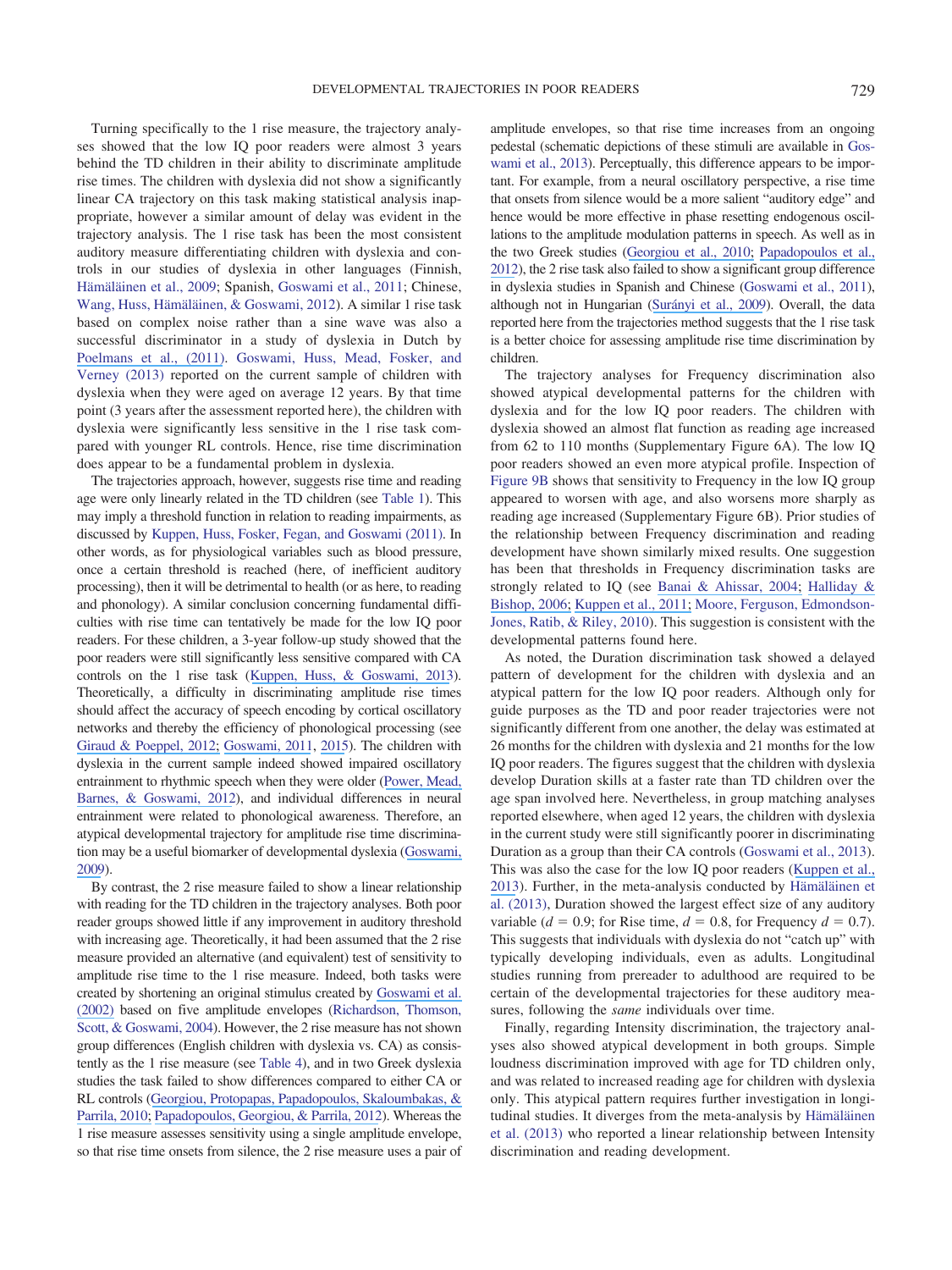Turning specifically to the 1 rise measure, the trajectory analyses showed that the low IQ poor readers were almost 3 years behind the TD children in their ability to discriminate amplitude rise times. The children with dyslexia did not show a significantly linear CA trajectory on this task making statistical analysis inappropriate, however a similar amount of delay was evident in the trajectory analysis. The 1 rise task has been the most consistent auditory measure differentiating children with dyslexia and controls in our studies of dyslexia in other languages (Finnish, Hämäläinen et al., 2009; Spanish, Goswami et al., 2011; Chinese, Wang, Huss, Hämäläinen, & Goswami, 2012). A similar 1 rise task based on complex noise rather than a sine wave was also a successful discriminator in a study of dyslexia in Dutch by [Poelmans et al., \(2011\)](https://www.researchgate.net/publication/51196167_Reduced_sensitivity_to_slow-rate_dynamic_auditory_information_in_children_with_dyslexia?el=1_x_8&enrichId=rgreq-a40c86c9051bab4ff578799ea7bd80c4-XXX&enrichSource=Y292ZXJQYWdlOzMwMTYzOTEwNDtBUzozNjQ5Njk4MjU3MTgyNzJAMTQ2NDAyNjk5NTUzMQ==). Goswami, Huss, Mead, Fosker, and Verney (2013) reported on the current sample of children with dyslexia when they were aged on average 12 years. By that time point (3 years after the assessment reported here), the children with dyslexia were significantly less sensitive in the 1 rise task compared with younger RL controls. Hence, rise time discrimination does appear to be a fundamental problem in dyslexia.

The trajectories approach, however, suggests rise time and reading age were only linearly related in the TD children (see Table 1). This may imply a threshold function in relation to reading impairments, as discussed by Kuppen, Huss, Fosker, Fegan, and Goswami (2011). In other words, as for physiological variables such as blood pressure, once a certain threshold is reached (here, of inefficient auditory processing), then it will be detrimental to health (or as here, to reading and phonology). A similar conclusion concerning fundamental difficulties with rise time can tentatively be made for the low IQ poor readers. For these children, a 3-year follow-up study showed that the poor readers were still significantly less sensitive compared with CA controls on the 1 rise task ([Kuppen, Huss, & Goswami, 2013](https://www.researchgate.net/publication/259286874_A_longitudinal_study_of_basic_auditory_processing_and_phonological_skills_in_children_with_low_IQ?el=1_x_8&enrichId=rgreq-a40c86c9051bab4ff578799ea7bd80c4-XXX&enrichSource=Y292ZXJQYWdlOzMwMTYzOTEwNDtBUzozNjQ5Njk4MjU3MTgyNzJAMTQ2NDAyNjk5NTUzMQ==)). Theoretically, a difficulty in discriminating amplitude rise times should affect the accuracy of speech encoding by cortical oscillatory networks and thereby the efficiency of phonological processing (see [Giraud & Poeppel, 2012;](https://www.researchgate.net/publication/221714690_Cortical_oscillations_and_speech_processing_Emerging_computational_principles_and_operations?el=1_x_8&enrichId=rgreq-a40c86c9051bab4ff578799ea7bd80c4-XXX&enrichSource=Y292ZXJQYWdlOzMwMTYzOTEwNDtBUzozNjQ5Njk4MjU3MTgyNzJAMTQ2NDAyNjk5NTUzMQ==) [Goswami, 2011](https://www.researchgate.net/publication/49624594_Temporal_sampling_framework_for_developmental_dyslexia?el=1_x_8&enrichId=rgreq-a40c86c9051bab4ff578799ea7bd80c4-XXX&enrichSource=Y292ZXJQYWdlOzMwMTYzOTEwNDtBUzozNjQ5Njk4MjU3MTgyNzJAMTQ2NDAyNjk5NTUzMQ==), [2015](https://www.researchgate.net/publication/267933289_Sensory_theories_of_developmental_dyslexia_Three_challenges_for_research?el=1_x_8&enrichId=rgreq-a40c86c9051bab4ff578799ea7bd80c4-XXX&enrichSource=Y292ZXJQYWdlOzMwMTYzOTEwNDtBUzozNjQ5Njk4MjU3MTgyNzJAMTQ2NDAyNjk5NTUzMQ==)). The children with dyslexia in the current sample indeed showed impaired oscillatory entrainment to rhythmic speech when they were older ([Power, Mead,](https://www.researchgate.net/publication/230571030_Neural_Entrainment_to_Rhythmically_Presented_Auditory_Visual_and_Audio-Visual_Speech_in_Children?el=1_x_8&enrichId=rgreq-a40c86c9051bab4ff578799ea7bd80c4-XXX&enrichSource=Y292ZXJQYWdlOzMwMTYzOTEwNDtBUzozNjQ5Njk4MjU3MTgyNzJAMTQ2NDAyNjk5NTUzMQ==) [Barnes, & Goswami, 2012](https://www.researchgate.net/publication/230571030_Neural_Entrainment_to_Rhythmically_Presented_Auditory_Visual_and_Audio-Visual_Speech_in_Children?el=1_x_8&enrichId=rgreq-a40c86c9051bab4ff578799ea7bd80c4-XXX&enrichSource=Y292ZXJQYWdlOzMwMTYzOTEwNDtBUzozNjQ5Njk4MjU3MTgyNzJAMTQ2NDAyNjk5NTUzMQ==)), and individual differences in neural entrainment were related to phonological awareness. Therefore, an atypical developmental trajectory for amplitude rise time discrimination may be a useful biomarker of developmental dyslexia ([Goswami,](https://www.researchgate.net/publication/227629492_Mind_Brain_and_Literacy_Biomarkers_as_Usable_Knowledge_for_Education?el=1_x_8&enrichId=rgreq-a40c86c9051bab4ff578799ea7bd80c4-XXX&enrichSource=Y292ZXJQYWdlOzMwMTYzOTEwNDtBUzozNjQ5Njk4MjU3MTgyNzJAMTQ2NDAyNjk5NTUzMQ==) [2009](https://www.researchgate.net/publication/227629492_Mind_Brain_and_Literacy_Biomarkers_as_Usable_Knowledge_for_Education?el=1_x_8&enrichId=rgreq-a40c86c9051bab4ff578799ea7bd80c4-XXX&enrichSource=Y292ZXJQYWdlOzMwMTYzOTEwNDtBUzozNjQ5Njk4MjU3MTgyNzJAMTQ2NDAyNjk5NTUzMQ==)).

By contrast, the 2 rise measure failed to show a linear relationship with reading for the TD children in the trajectory analyses. Both poor reader groups showed little if any improvement in auditory threshold with increasing age. Theoretically, it had been assumed that the 2 rise measure provided an alternative (and equivalent) test of sensitivity to amplitude rise time to the 1 rise measure. Indeed, both tasks were created by shortening an original stimulus created by [Goswami et al.](https://www.researchgate.net/publication/11240524_Amplitude_envelope_onsets_and_developmental_dyslexia_A_new_hypothesis?el=1_x_8&enrichId=rgreq-a40c86c9051bab4ff578799ea7bd80c4-XXX&enrichSource=Y292ZXJQYWdlOzMwMTYzOTEwNDtBUzozNjQ5Njk4MjU3MTgyNzJAMTQ2NDAyNjk5NTUzMQ==) [\(2002\)](https://www.researchgate.net/publication/11240524_Amplitude_envelope_onsets_and_developmental_dyslexia_A_new_hypothesis?el=1_x_8&enrichId=rgreq-a40c86c9051bab4ff578799ea7bd80c4-XXX&enrichSource=Y292ZXJQYWdlOzMwMTYzOTEwNDtBUzozNjQ5Njk4MjU3MTgyNzJAMTQ2NDAyNjk5NTUzMQ==) based on five amplitude envelopes (Richardson, Thomson, Scott, & Goswami, 2004). However, the 2 rise measure has not shown group differences (English children with dyslexia vs. CA) as consistently as the 1 rise measure (see Table 4), and in two Greek dyslexia studies the task failed to show differences compared to either CA or RL controls ([Georgiou, Protopapas, Papadopoulos, Skaloumbakas, &](https://www.researchgate.net/publication/45460908_Auditory_temporal_processing_and_dyslexia_in_an_orthographically_consistent_language?el=1_x_8&enrichId=rgreq-a40c86c9051bab4ff578799ea7bd80c4-XXX&enrichSource=Y292ZXJQYWdlOzMwMTYzOTEwNDtBUzozNjQ5Njk4MjU3MTgyNzJAMTQ2NDAyNjk5NTUzMQ==) [Parrila, 2010;](https://www.researchgate.net/publication/45460908_Auditory_temporal_processing_and_dyslexia_in_an_orthographically_consistent_language?el=1_x_8&enrichId=rgreq-a40c86c9051bab4ff578799ea7bd80c4-XXX&enrichSource=Y292ZXJQYWdlOzMwMTYzOTEwNDtBUzozNjQ5Njk4MjU3MTgyNzJAMTQ2NDAyNjk5NTUzMQ==) [Papadopoulos, Georgiou, & Parrila, 2012](https://www.researchgate.net/publication/225306516_Low-level_deficits_in_beat_perception_Neither_necessary_nor_sufficient_for_explaining_developmental_dyslexia_in_a_consistent_orthography?el=1_x_8&enrichId=rgreq-a40c86c9051bab4ff578799ea7bd80c4-XXX&enrichSource=Y292ZXJQYWdlOzMwMTYzOTEwNDtBUzozNjQ5Njk4MjU3MTgyNzJAMTQ2NDAyNjk5NTUzMQ==)). Whereas the 1 rise measure assesses sensitivity using a single amplitude envelope, so that rise time onsets from silence, the 2 rise measure uses a pair of

amplitude envelopes, so that rise time increases from an ongoing pedestal (schematic depictions of these stimuli are available in Goswami et al., 2013). Perceptually, this difference appears to be important. For example, from a neural oscillatory perspective, a rise time that onsets from silence would be a more salient "auditory edge" and hence would be more effective in phase resetting endogenous oscillations to the amplitude modulation patterns in speech. As well as in the two Greek studies ([Georgiou et al., 2010;](https://www.researchgate.net/publication/45460908_Auditory_temporal_processing_and_dyslexia_in_an_orthographically_consistent_language?el=1_x_8&enrichId=rgreq-a40c86c9051bab4ff578799ea7bd80c4-XXX&enrichSource=Y292ZXJQYWdlOzMwMTYzOTEwNDtBUzozNjQ5Njk4MjU3MTgyNzJAMTQ2NDAyNjk5NTUzMQ==) [Papadopoulos et al.,](https://www.researchgate.net/publication/225306516_Low-level_deficits_in_beat_perception_Neither_necessary_nor_sufficient_for_explaining_developmental_dyslexia_in_a_consistent_orthography?el=1_x_8&enrichId=rgreq-a40c86c9051bab4ff578799ea7bd80c4-XXX&enrichSource=Y292ZXJQYWdlOzMwMTYzOTEwNDtBUzozNjQ5Njk4MjU3MTgyNzJAMTQ2NDAyNjk5NTUzMQ==) [2012](https://www.researchgate.net/publication/225306516_Low-level_deficits_in_beat_perception_Neither_necessary_nor_sufficient_for_explaining_developmental_dyslexia_in_a_consistent_orthography?el=1_x_8&enrichId=rgreq-a40c86c9051bab4ff578799ea7bd80c4-XXX&enrichSource=Y292ZXJQYWdlOzMwMTYzOTEwNDtBUzozNjQ5Njk4MjU3MTgyNzJAMTQ2NDAyNjk5NTUzMQ==)), the 2 rise task also failed to show a significant group difference in dyslexia studies in Spanish and Chinese (Goswami et al., 2011), although not in Hungarian ([Surányi et al., 2009](https://www.researchgate.net/publication/225734983_Sensitivity_to_rhythmic_parameters_in_dyslexic_children_A_comparison_of_Hungarian_and_English?el=1_x_8&enrichId=rgreq-a40c86c9051bab4ff578799ea7bd80c4-XXX&enrichSource=Y292ZXJQYWdlOzMwMTYzOTEwNDtBUzozNjQ5Njk4MjU3MTgyNzJAMTQ2NDAyNjk5NTUzMQ==)). Overall, the data reported here from the trajectories method suggests that the 1 rise task is a better choice for assessing amplitude rise time discrimination by children.

The trajectory analyses for Frequency discrimination also showed atypical developmental patterns for the children with dyslexia and for the low IQ poor readers. The children with dyslexia showed an almost flat function as reading age increased from 62 to 110 months (Supplementary Figure 6A). The low IQ poor readers showed an even more atypical profile. Inspection of Figure 9B shows that sensitivity to Frequency in the low IQ group appeared to worsen with age, and also worsens more sharply as reading age increased (Supplementary Figure 6B). Prior studies of the relationship between Frequency discrimination and reading development have shown similarly mixed results. One suggestion has been that thresholds in Frequency discrimination tasks are strongly related to IQ (see [Banai & Ahissar, 2004;](https://www.researchgate.net/publication/8248939_Poor_Frequency_Discrimination_Probes_Dyslexics_with_Particularly_Impaired_Working_Memory?el=1_x_8&enrichId=rgreq-a40c86c9051bab4ff578799ea7bd80c4-XXX&enrichSource=Y292ZXJQYWdlOzMwMTYzOTEwNDtBUzozNjQ5Njk4MjU3MTgyNzJAMTQ2NDAyNjk5NTUzMQ==) [Halliday &](https://www.researchgate.net/publication/227625921_Auditory_frequency_discrimination_in_children_with_dyslexia?el=1_x_8&enrichId=rgreq-a40c86c9051bab4ff578799ea7bd80c4-XXX&enrichSource=Y292ZXJQYWdlOzMwMTYzOTEwNDtBUzozNjQ5Njk4MjU3MTgyNzJAMTQ2NDAyNjk5NTUzMQ==) [Bishop, 2006;](https://www.researchgate.net/publication/227625921_Auditory_frequency_discrimination_in_children_with_dyslexia?el=1_x_8&enrichId=rgreq-a40c86c9051bab4ff578799ea7bd80c4-XXX&enrichSource=Y292ZXJQYWdlOzMwMTYzOTEwNDtBUzozNjQ5Njk4MjU3MTgyNzJAMTQ2NDAyNjk5NTUzMQ==) [Kuppen et al., 2011;](https://www.researchgate.net/publication/233192936_Basic_Auditory_Processing_Skills_and_Phonological_Awareness_in_Low-IQ_Readers_and_Typically_Developing_Controls?el=1_x_8&enrichId=rgreq-a40c86c9051bab4ff578799ea7bd80c4-XXX&enrichSource=Y292ZXJQYWdlOzMwMTYzOTEwNDtBUzozNjQ5Njk4MjU3MTgyNzJAMTQ2NDAyNjk5NTUzMQ==) Moore, Ferguson, Edmondson-Jones, Ratib, & Riley, 2010). This suggestion is consistent with the developmental patterns found here.

As noted, the Duration discrimination task showed a delayed pattern of development for the children with dyslexia and an atypical pattern for the low IQ poor readers. Although only for guide purposes as the TD and poor reader trajectories were not significantly different from one another, the delay was estimated at 26 months for the children with dyslexia and 21 months for the low IQ poor readers. The figures suggest that the children with dyslexia develop Duration skills at a faster rate than TD children over the age span involved here. Nevertheless, in group matching analyses reported elsewhere, when aged 12 years, the children with dyslexia in the current study were still significantly poorer in discriminating Duration as a group than their CA controls (Goswami et al., 2013). This was also the case for the low IQ poor readers ([Kuppen et al.,](https://www.researchgate.net/publication/259286874_A_longitudinal_study_of_basic_auditory_processing_and_phonological_skills_in_children_with_low_IQ?el=1_x_8&enrichId=rgreq-a40c86c9051bab4ff578799ea7bd80c4-XXX&enrichSource=Y292ZXJQYWdlOzMwMTYzOTEwNDtBUzozNjQ5Njk4MjU3MTgyNzJAMTQ2NDAyNjk5NTUzMQ==) [2013](https://www.researchgate.net/publication/259286874_A_longitudinal_study_of_basic_auditory_processing_and_phonological_skills_in_children_with_low_IQ?el=1_x_8&enrichId=rgreq-a40c86c9051bab4ff578799ea7bd80c4-XXX&enrichSource=Y292ZXJQYWdlOzMwMTYzOTEwNDtBUzozNjQ5Njk4MjU3MTgyNzJAMTQ2NDAyNjk5NTUzMQ==)). Further, in the meta-analysis conducted by Hämäläinen et al. (2013), Duration showed the largest effect size of any auditory variable ( $d = 0.9$ ; for Rise time,  $d = 0.8$ , for Frequency  $d = 0.7$ ). This suggests that individuals with dyslexia do not "catch up" with typically developing individuals, even as adults. Longitudinal studies running from prereader to adulthood are required to be certain of the developmental trajectories for these auditory measures, following the *same* individuals over time.

Finally, regarding Intensity discrimination, the trajectory analyses also showed atypical development in both groups. Simple loudness discrimination improved with age for TD children only, and was related to increased reading age for children with dyslexia only. This atypical pattern requires further investigation in longitudinal studies. It diverges from the meta-analysis by Hämäläinen et al. (2013) who reported a linear relationship between Intensity discrimination and reading development.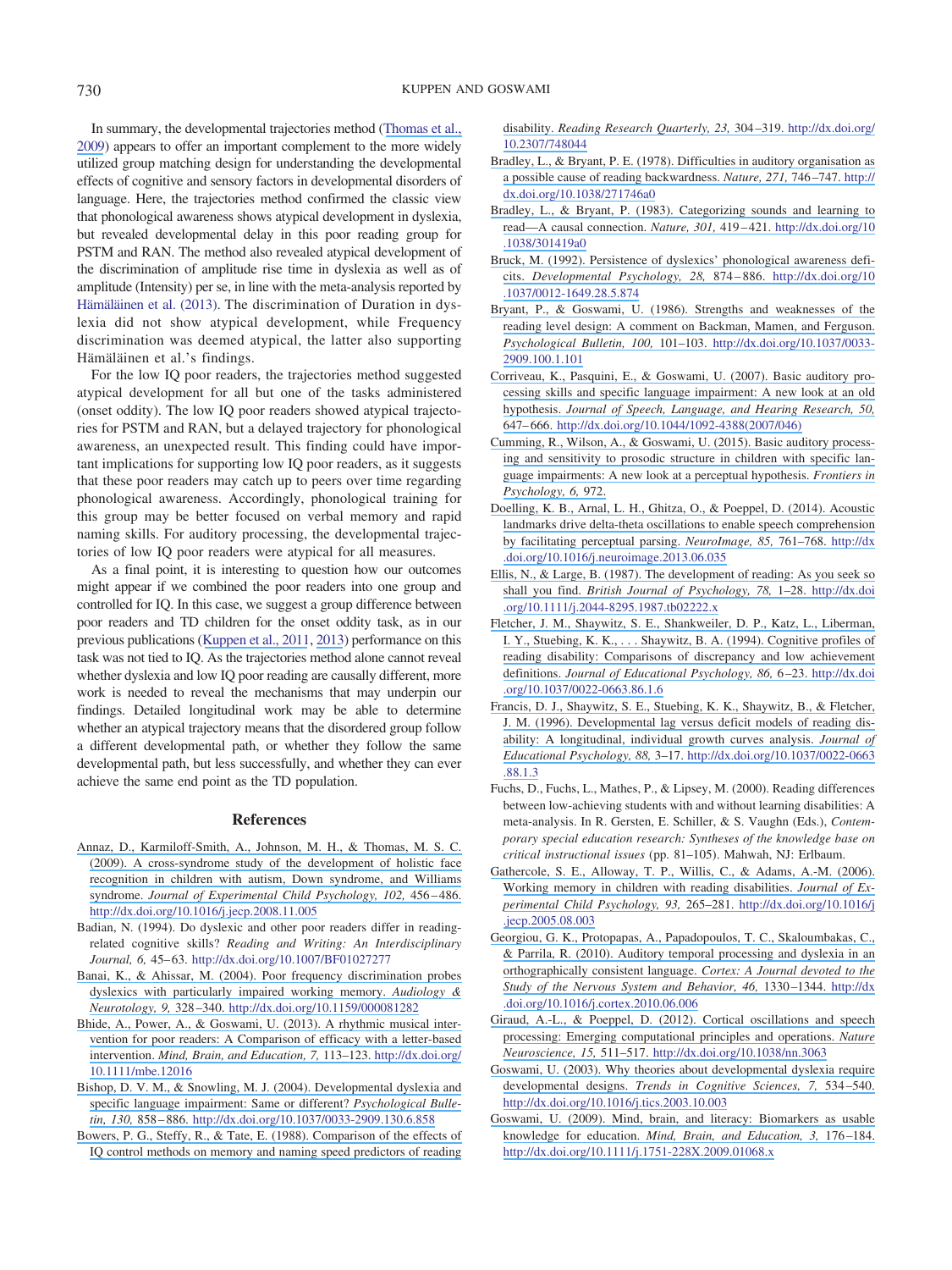In summary, the developmental trajectories method ([Thomas et al.,](https://www.researchgate.net/publication/24146666_Using_Developmental_Trajectories_to_Understand_Developmental_Disorders?el=1_x_8&enrichId=rgreq-a40c86c9051bab4ff578799ea7bd80c4-XXX&enrichSource=Y292ZXJQYWdlOzMwMTYzOTEwNDtBUzozNjQ5Njk4MjU3MTgyNzJAMTQ2NDAyNjk5NTUzMQ==) [2009](https://www.researchgate.net/publication/24146666_Using_Developmental_Trajectories_to_Understand_Developmental_Disorders?el=1_x_8&enrichId=rgreq-a40c86c9051bab4ff578799ea7bd80c4-XXX&enrichSource=Y292ZXJQYWdlOzMwMTYzOTEwNDtBUzozNjQ5Njk4MjU3MTgyNzJAMTQ2NDAyNjk5NTUzMQ==)) appears to offer an important complement to the more widely utilized group matching design for understanding the developmental effects of cognitive and sensory factors in developmental disorders of language. Here, the trajectories method confirmed the classic view that phonological awareness shows atypical development in dyslexia, but revealed developmental delay in this poor reading group for PSTM and RAN. The method also revealed atypical development of the discrimination of amplitude rise time in dyslexia as well as of amplitude (Intensity) per se, in line with the meta-analysis reported by Hämäläinen et al. (2013). The discrimination of Duration in dyslexia did not show atypical development, while Frequency discrimination was deemed atypical, the latter also supporting Hämäläinen et al.'s findings.

For the low IQ poor readers, the trajectories method suggested atypical development for all but one of the tasks administered (onset oddity). The low IQ poor readers showed atypical trajectories for PSTM and RAN, but a delayed trajectory for phonological awareness, an unexpected result. This finding could have important implications for supporting low IQ poor readers, as it suggests that these poor readers may catch up to peers over time regarding phonological awareness. Accordingly, phonological training for this group may be better focused on verbal memory and rapid naming skills. For auditory processing, the developmental trajectories of low IQ poor readers were atypical for all measures.

As a final point, it is interesting to question how our outcomes might appear if we combined the poor readers into one group and controlled for IQ. In this case, we suggest a group difference between poor readers and TD children for the onset oddity task, as in our previous publications ([Kuppen et al., 2011](https://www.researchgate.net/publication/233192936_Basic_Auditory_Processing_Skills_and_Phonological_Awareness_in_Low-IQ_Readers_and_Typically_Developing_Controls?el=1_x_8&enrichId=rgreq-a40c86c9051bab4ff578799ea7bd80c4-XXX&enrichSource=Y292ZXJQYWdlOzMwMTYzOTEwNDtBUzozNjQ5Njk4MjU3MTgyNzJAMTQ2NDAyNjk5NTUzMQ==), [2013](https://www.researchgate.net/publication/259286874_A_longitudinal_study_of_basic_auditory_processing_and_phonological_skills_in_children_with_low_IQ?el=1_x_8&enrichId=rgreq-a40c86c9051bab4ff578799ea7bd80c4-XXX&enrichSource=Y292ZXJQYWdlOzMwMTYzOTEwNDtBUzozNjQ5Njk4MjU3MTgyNzJAMTQ2NDAyNjk5NTUzMQ==)) performance on this task was not tied to IQ. As the trajectories method alone cannot reveal whether dyslexia and low IQ poor reading are causally different, more work is needed to reveal the mechanisms that may underpin our findings. Detailed longitudinal work may be able to determine whether an atypical trajectory means that the disordered group follow a different developmental path, or whether they follow the same developmental path, but less successfully, and whether they can ever achieve the same end point as the TD population.

#### **References**

- [Annaz, D., Karmiloff-Smith, A., Johnson, M. H., & Thomas, M. S. C.](https://www.researchgate.net/publication/23979867_A_cross-syndrome_study_of_the_development_of_holistic_face_recognition_in_children_with_autism_Down_syndrome_and_Williams_syndrome?el=1_x_8&enrichId=rgreq-a40c86c9051bab4ff578799ea7bd80c4-XXX&enrichSource=Y292ZXJQYWdlOzMwMTYzOTEwNDtBUzozNjQ5Njk4MjU3MTgyNzJAMTQ2NDAyNjk5NTUzMQ==) [\(2009\). A cross-syndrome study of the development of holistic face](https://www.researchgate.net/publication/23979867_A_cross-syndrome_study_of_the_development_of_holistic_face_recognition_in_children_with_autism_Down_syndrome_and_Williams_syndrome?el=1_x_8&enrichId=rgreq-a40c86c9051bab4ff578799ea7bd80c4-XXX&enrichSource=Y292ZXJQYWdlOzMwMTYzOTEwNDtBUzozNjQ5Njk4MjU3MTgyNzJAMTQ2NDAyNjk5NTUzMQ==) [recognition in children with autism, Down syndrome, and Williams](https://www.researchgate.net/publication/23979867_A_cross-syndrome_study_of_the_development_of_holistic_face_recognition_in_children_with_autism_Down_syndrome_and_Williams_syndrome?el=1_x_8&enrichId=rgreq-a40c86c9051bab4ff578799ea7bd80c4-XXX&enrichSource=Y292ZXJQYWdlOzMwMTYzOTEwNDtBUzozNjQ5Njk4MjU3MTgyNzJAMTQ2NDAyNjk5NTUzMQ==) syndrome. *[Journal of Experimental Child Psychology, 102,](https://www.researchgate.net/publication/23979867_A_cross-syndrome_study_of_the_development_of_holistic_face_recognition_in_children_with_autism_Down_syndrome_and_Williams_syndrome?el=1_x_8&enrichId=rgreq-a40c86c9051bab4ff578799ea7bd80c4-XXX&enrichSource=Y292ZXJQYWdlOzMwMTYzOTEwNDtBUzozNjQ5Njk4MjU3MTgyNzJAMTQ2NDAyNjk5NTUzMQ==)* 456–486. <http://dx.doi.org/10.1016/j.jecp.2008.11.005>
- Badian, N. (1994). Do dyslexic and other poor readers differ in readingrelated cognitive skills? *Reading and Writing: An Interdisciplinary Journal, 6,* 45–63. <http://dx.doi.org/10.1007/BF01027277>
- [Banai, K., & Ahissar, M. \(2004\). Poor frequency discrimination probes](https://www.researchgate.net/publication/8248939_Poor_Frequency_Discrimination_Probes_Dyslexics_with_Particularly_Impaired_Working_Memory?el=1_x_8&enrichId=rgreq-a40c86c9051bab4ff578799ea7bd80c4-XXX&enrichSource=Y292ZXJQYWdlOzMwMTYzOTEwNDtBUzozNjQ5Njk4MjU3MTgyNzJAMTQ2NDAyNjk5NTUzMQ==) [dyslexics with particularly impaired working memory.](https://www.researchgate.net/publication/8248939_Poor_Frequency_Discrimination_Probes_Dyslexics_with_Particularly_Impaired_Working_Memory?el=1_x_8&enrichId=rgreq-a40c86c9051bab4ff578799ea7bd80c4-XXX&enrichSource=Y292ZXJQYWdlOzMwMTYzOTEwNDtBUzozNjQ5Njk4MjU3MTgyNzJAMTQ2NDAyNjk5NTUzMQ==) *Audiology & Neurotology, 9,* 328–340. <http://dx.doi.org/10.1159/000081282>
- [Bhide, A., Power, A., & Goswami, U. \(2013\). A rhythmic musical inter](https://www.researchgate.net/publication/264733848_A_Rhythmic_Musical_Intervention_for_Poor_Readers_A_Comparison_of_Efficacy_With_a_Letter-Based_Intervention?el=1_x_8&enrichId=rgreq-a40c86c9051bab4ff578799ea7bd80c4-XXX&enrichSource=Y292ZXJQYWdlOzMwMTYzOTEwNDtBUzozNjQ5Njk4MjU3MTgyNzJAMTQ2NDAyNjk5NTUzMQ==)[vention for poor readers: A Comparison of efficacy with a letter-based](https://www.researchgate.net/publication/264733848_A_Rhythmic_Musical_Intervention_for_Poor_Readers_A_Comparison_of_Efficacy_With_a_Letter-Based_Intervention?el=1_x_8&enrichId=rgreq-a40c86c9051bab4ff578799ea7bd80c4-XXX&enrichSource=Y292ZXJQYWdlOzMwMTYzOTEwNDtBUzozNjQ5Njk4MjU3MTgyNzJAMTQ2NDAyNjk5NTUzMQ==) intervention. *[Mind, Brain, and Education, 7,](https://www.researchgate.net/publication/264733848_A_Rhythmic_Musical_Intervention_for_Poor_Readers_A_Comparison_of_Efficacy_With_a_Letter-Based_Intervention?el=1_x_8&enrichId=rgreq-a40c86c9051bab4ff578799ea7bd80c4-XXX&enrichSource=Y292ZXJQYWdlOzMwMTYzOTEwNDtBUzozNjQ5Njk4MjU3MTgyNzJAMTQ2NDAyNjk5NTUzMQ==)* 113–123. [http://dx.doi.org/](http://dx.doi.org/10.1111/mbe.12016) [10.1111/mbe.12016](http://dx.doi.org/10.1111/mbe.12016)
- [Bishop, D. V. M., & Snowling, M. J. \(2004\). Developmental dyslexia and](https://www.researchgate.net/publication/215626859_Developmental_Dyslexia_and_Specific_Language_Impairment_Same_or_Different?el=1_x_8&enrichId=rgreq-a40c86c9051bab4ff578799ea7bd80c4-XXX&enrichSource=Y292ZXJQYWdlOzMwMTYzOTEwNDtBUzozNjQ5Njk4MjU3MTgyNzJAMTQ2NDAyNjk5NTUzMQ==) [specific language impairment: Same or different?](https://www.researchgate.net/publication/215626859_Developmental_Dyslexia_and_Specific_Language_Impairment_Same_or_Different?el=1_x_8&enrichId=rgreq-a40c86c9051bab4ff578799ea7bd80c4-XXX&enrichSource=Y292ZXJQYWdlOzMwMTYzOTEwNDtBUzozNjQ5Njk4MjU3MTgyNzJAMTQ2NDAyNjk5NTUzMQ==) *Psychological Bulletin, 130,* 858–886. <http://dx.doi.org/10.1037/0033-2909.130.6.858>
- [Bowers, P. G., Steffy, R., & Tate, E. \(1988\). Comparison of the effects of](https://www.researchgate.net/publication/235954350_Comparison_of_the_Effects_of_IQ_Control_Methods_on_Memory_and_Naming_Speed_Predictors_of_Reading_Disability?el=1_x_8&enrichId=rgreq-a40c86c9051bab4ff578799ea7bd80c4-XXX&enrichSource=Y292ZXJQYWdlOzMwMTYzOTEwNDtBUzozNjQ5Njk4MjU3MTgyNzJAMTQ2NDAyNjk5NTUzMQ==) [IQ control methods on memory and naming speed predictors of reading](https://www.researchgate.net/publication/235954350_Comparison_of_the_Effects_of_IQ_Control_Methods_on_Memory_and_Naming_Speed_Predictors_of_Reading_Disability?el=1_x_8&enrichId=rgreq-a40c86c9051bab4ff578799ea7bd80c4-XXX&enrichSource=Y292ZXJQYWdlOzMwMTYzOTEwNDtBUzozNjQ5Njk4MjU3MTgyNzJAMTQ2NDAyNjk5NTUzMQ==)

disability. *[Reading Research Quarterly, 23,](https://www.researchgate.net/publication/235954350_Comparison_of_the_Effects_of_IQ_Control_Methods_on_Memory_and_Naming_Speed_Predictors_of_Reading_Disability?el=1_x_8&enrichId=rgreq-a40c86c9051bab4ff578799ea7bd80c4-XXX&enrichSource=Y292ZXJQYWdlOzMwMTYzOTEwNDtBUzozNjQ5Njk4MjU3MTgyNzJAMTQ2NDAyNjk5NTUzMQ==)* 304–319. [http://dx.doi.org/](http://dx.doi.org/10.2307/748044) [10.2307/748044](http://dx.doi.org/10.2307/748044)

- [Bradley, L., & Bryant, P. E. \(1978\). Difficulties in auditory organisation as](https://www.researchgate.net/publication/22517648_Difficulties_in_Auditory_Organisation_as_a_Possible_Cause_of_Reading_Backwardness?el=1_x_8&enrichId=rgreq-a40c86c9051bab4ff578799ea7bd80c4-XXX&enrichSource=Y292ZXJQYWdlOzMwMTYzOTEwNDtBUzozNjQ5Njk4MjU3MTgyNzJAMTQ2NDAyNjk5NTUzMQ==) [a possible cause of reading backwardness.](https://www.researchgate.net/publication/22517648_Difficulties_in_Auditory_Organisation_as_a_Possible_Cause_of_Reading_Backwardness?el=1_x_8&enrichId=rgreq-a40c86c9051bab4ff578799ea7bd80c4-XXX&enrichSource=Y292ZXJQYWdlOzMwMTYzOTEwNDtBUzozNjQ5Njk4MjU3MTgyNzJAMTQ2NDAyNjk5NTUzMQ==) *Nature, 271,* 746–747. [http://](http://dx.doi.org/10.1038/271746a0) [dx.doi.org/10.1038/271746a0](http://dx.doi.org/10.1038/271746a0)
- [Bradley, L., & Bryant, P. \(1983\). Categorizing sounds and learning to](https://www.researchgate.net/publication/232463183_Categorizing_sounds_and_learning_to_read_A_causal_connection?el=1_x_8&enrichId=rgreq-a40c86c9051bab4ff578799ea7bd80c4-XXX&enrichSource=Y292ZXJQYWdlOzMwMTYzOTEwNDtBUzozNjQ5Njk4MjU3MTgyNzJAMTQ2NDAyNjk5NTUzMQ==) [read—A causal connection.](https://www.researchgate.net/publication/232463183_Categorizing_sounds_and_learning_to_read_A_causal_connection?el=1_x_8&enrichId=rgreq-a40c86c9051bab4ff578799ea7bd80c4-XXX&enrichSource=Y292ZXJQYWdlOzMwMTYzOTEwNDtBUzozNjQ5Njk4MjU3MTgyNzJAMTQ2NDAyNjk5NTUzMQ==) *Nature, 301,* 419–421. [http://dx.doi.org/10](http://dx.doi.org/10.1038/301419a0) [.1038/301419a0](http://dx.doi.org/10.1038/301419a0)
- [Bruck, M. \(1992\). Persistence of dyslexics' phonological awareness defi](https://www.researchgate.net/publication/232482534_Persistence_of_Dyslexics)cits. *[Developmental Psychology, 28,](https://www.researchgate.net/publication/232482534_Persistence_of_Dyslexics)* 874–886. [http://dx.doi.org/10](http://dx.doi.org/10.1037/0012-1649.28.5.874) [.1037/0012-1649.28.5.874](http://dx.doi.org/10.1037/0012-1649.28.5.874)
- [Bryant, P., & Goswami, U. \(1986\). Strengths and weaknesses of the](https://www.researchgate.net/publication/232497529_Strengths_and_Weaknesses_of_the_Reading_Level_Design_A_Comment_on_Backman_Mamen_and_Ferguson?el=1_x_8&enrichId=rgreq-a40c86c9051bab4ff578799ea7bd80c4-XXX&enrichSource=Y292ZXJQYWdlOzMwMTYzOTEwNDtBUzozNjQ5Njk4MjU3MTgyNzJAMTQ2NDAyNjk5NTUzMQ==) [reading level design: A comment on Backman, Mamen, and Ferguson.](https://www.researchgate.net/publication/232497529_Strengths_and_Weaknesses_of_the_Reading_Level_Design_A_Comment_on_Backman_Mamen_and_Ferguson?el=1_x_8&enrichId=rgreq-a40c86c9051bab4ff578799ea7bd80c4-XXX&enrichSource=Y292ZXJQYWdlOzMwMTYzOTEwNDtBUzozNjQ5Njk4MjU3MTgyNzJAMTQ2NDAyNjk5NTUzMQ==) *Psychological Bulletin, 100,* 101–103. [http://dx.doi.org/10.1037/0033-](http://dx.doi.org/10.1037/0033-2909.100.1.101) [2909.100.1.101](http://dx.doi.org/10.1037/0033-2909.100.1.101)
- [Corriveau, K., Pasquini, E., & Goswami, U. \(2007\). Basic auditory pro](https://www.researchgate.net/publication/6298320_Basic_Auditory_Processing_Skills_and_Specific_Language_Impairment_A_New_Look_at_an_Old_Hypothesis?el=1_x_8&enrichId=rgreq-a40c86c9051bab4ff578799ea7bd80c4-XXX&enrichSource=Y292ZXJQYWdlOzMwMTYzOTEwNDtBUzozNjQ5Njk4MjU3MTgyNzJAMTQ2NDAyNjk5NTUzMQ==)[cessing skills and specific language impairment: A new look at an old](https://www.researchgate.net/publication/6298320_Basic_Auditory_Processing_Skills_and_Specific_Language_Impairment_A_New_Look_at_an_Old_Hypothesis?el=1_x_8&enrichId=rgreq-a40c86c9051bab4ff578799ea7bd80c4-XXX&enrichSource=Y292ZXJQYWdlOzMwMTYzOTEwNDtBUzozNjQ5Njk4MjU3MTgyNzJAMTQ2NDAyNjk5NTUzMQ==) hypothesis. *[Journal of Speech, Language, and Hearing Research, 50,](https://www.researchgate.net/publication/6298320_Basic_Auditory_Processing_Skills_and_Specific_Language_Impairment_A_New_Look_at_an_Old_Hypothesis?el=1_x_8&enrichId=rgreq-a40c86c9051bab4ff578799ea7bd80c4-XXX&enrichSource=Y292ZXJQYWdlOzMwMTYzOTEwNDtBUzozNjQ5Njk4MjU3MTgyNzJAMTQ2NDAyNjk5NTUzMQ==)* 647–666. [http://dx.doi.org/10.1044/1092-4388\(2007/046\)](http://dx.doi.org/10.1044/1092-4388%282007/046%29)
- [Cumming, R., Wilson, A., & Goswami, U. \(2015\). Basic auditory process](https://www.researchgate.net/publication/280305181_Basic_auditory_processing_and_sensitivity_to_prosodic_structure_in_children_with_specific_language_impairments_A_new_look_at_a_perceptual_hypothesis?el=1_x_8&enrichId=rgreq-a40c86c9051bab4ff578799ea7bd80c4-XXX&enrichSource=Y292ZXJQYWdlOzMwMTYzOTEwNDtBUzozNjQ5Njk4MjU3MTgyNzJAMTQ2NDAyNjk5NTUzMQ==)[ing and sensitivity to prosodic structure in children with specific lan](https://www.researchgate.net/publication/280305181_Basic_auditory_processing_and_sensitivity_to_prosodic_structure_in_children_with_specific_language_impairments_A_new_look_at_a_perceptual_hypothesis?el=1_x_8&enrichId=rgreq-a40c86c9051bab4ff578799ea7bd80c4-XXX&enrichSource=Y292ZXJQYWdlOzMwMTYzOTEwNDtBUzozNjQ5Njk4MjU3MTgyNzJAMTQ2NDAyNjk5NTUzMQ==)[guage impairments: A new look at a perceptual hypothesis.](https://www.researchgate.net/publication/280305181_Basic_auditory_processing_and_sensitivity_to_prosodic_structure_in_children_with_specific_language_impairments_A_new_look_at_a_perceptual_hypothesis?el=1_x_8&enrichId=rgreq-a40c86c9051bab4ff578799ea7bd80c4-XXX&enrichSource=Y292ZXJQYWdlOzMwMTYzOTEwNDtBUzozNjQ5Njk4MjU3MTgyNzJAMTQ2NDAyNjk5NTUzMQ==) *Frontiers in [Psychology, 6,](https://www.researchgate.net/publication/280305181_Basic_auditory_processing_and_sensitivity_to_prosodic_structure_in_children_with_specific_language_impairments_A_new_look_at_a_perceptual_hypothesis?el=1_x_8&enrichId=rgreq-a40c86c9051bab4ff578799ea7bd80c4-XXX&enrichSource=Y292ZXJQYWdlOzMwMTYzOTEwNDtBUzozNjQ5Njk4MjU3MTgyNzJAMTQ2NDAyNjk5NTUzMQ==)* 972.
- [Doelling, K. B., Arnal, L. H., Ghitza, O., & Poeppel, D. \(2014\). Acoustic](https://www.researchgate.net/publication/241692138_Acoustic_landmarks_drive_delta-theta_oscillations_to_enable_speech_comprehension_by_facilitating_perceptual_parsing?el=1_x_8&enrichId=rgreq-a40c86c9051bab4ff578799ea7bd80c4-XXX&enrichSource=Y292ZXJQYWdlOzMwMTYzOTEwNDtBUzozNjQ5Njk4MjU3MTgyNzJAMTQ2NDAyNjk5NTUzMQ==) [landmarks drive delta-theta oscillations to enable speech comprehension](https://www.researchgate.net/publication/241692138_Acoustic_landmarks_drive_delta-theta_oscillations_to_enable_speech_comprehension_by_facilitating_perceptual_parsing?el=1_x_8&enrichId=rgreq-a40c86c9051bab4ff578799ea7bd80c4-XXX&enrichSource=Y292ZXJQYWdlOzMwMTYzOTEwNDtBUzozNjQ5Njk4MjU3MTgyNzJAMTQ2NDAyNjk5NTUzMQ==) [by facilitating perceptual parsing.](https://www.researchgate.net/publication/241692138_Acoustic_landmarks_drive_delta-theta_oscillations_to_enable_speech_comprehension_by_facilitating_perceptual_parsing?el=1_x_8&enrichId=rgreq-a40c86c9051bab4ff578799ea7bd80c4-XXX&enrichSource=Y292ZXJQYWdlOzMwMTYzOTEwNDtBUzozNjQ5Njk4MjU3MTgyNzJAMTQ2NDAyNjk5NTUzMQ==) *NeuroImage, 85,* 761–768. [http://dx](http://dx.doi.org/10.1016/j.neuroimage.2013.06.035) [.doi.org/10.1016/j.neuroimage.2013.06.035](http://dx.doi.org/10.1016/j.neuroimage.2013.06.035)
- [Ellis, N., & Large, B. \(1987\). The development of reading: As you seek so](https://www.researchgate.net/publication/19332595_The_Development_of_Reading_As_You_Seek_So_Shall_You_Find?el=1_x_8&enrichId=rgreq-a40c86c9051bab4ff578799ea7bd80c4-XXX&enrichSource=Y292ZXJQYWdlOzMwMTYzOTEwNDtBUzozNjQ5Njk4MjU3MTgyNzJAMTQ2NDAyNjk5NTUzMQ==) shall you find. *[British Journal of Psychology, 78,](https://www.researchgate.net/publication/19332595_The_Development_of_Reading_As_You_Seek_So_Shall_You_Find?el=1_x_8&enrichId=rgreq-a40c86c9051bab4ff578799ea7bd80c4-XXX&enrichSource=Y292ZXJQYWdlOzMwMTYzOTEwNDtBUzozNjQ5Njk4MjU3MTgyNzJAMTQ2NDAyNjk5NTUzMQ==)* 1–28. [http://dx.doi](http://dx.doi.org/10.1111/j.2044-8295.1987.tb02222.x) [.org/10.1111/j.2044-8295.1987.tb02222.x](http://dx.doi.org/10.1111/j.2044-8295.1987.tb02222.x)
- [Fletcher, J. M., Shaywitz, S. E., Shankweiler, D. P., Katz, L., Liberman,](https://www.researchgate.net/publication/232487442_Cognitive_Profiles_of_Reading_Disability_Comparisons_of_Discrepancy_and_Low_Achievement_Definitions?el=1_x_8&enrichId=rgreq-a40c86c9051bab4ff578799ea7bd80c4-XXX&enrichSource=Y292ZXJQYWdlOzMwMTYzOTEwNDtBUzozNjQ5Njk4MjU3MTgyNzJAMTQ2NDAyNjk5NTUzMQ==) I. Y., Stuebing, K. K.,... [Shaywitz, B. A. \(1994\). Cognitive profiles of](https://www.researchgate.net/publication/232487442_Cognitive_Profiles_of_Reading_Disability_Comparisons_of_Discrepancy_and_Low_Achievement_Definitions?el=1_x_8&enrichId=rgreq-a40c86c9051bab4ff578799ea7bd80c4-XXX&enrichSource=Y292ZXJQYWdlOzMwMTYzOTEwNDtBUzozNjQ5Njk4MjU3MTgyNzJAMTQ2NDAyNjk5NTUzMQ==) [reading disability: Comparisons of discrepancy and low achievement](https://www.researchgate.net/publication/232487442_Cognitive_Profiles_of_Reading_Disability_Comparisons_of_Discrepancy_and_Low_Achievement_Definitions?el=1_x_8&enrichId=rgreq-a40c86c9051bab4ff578799ea7bd80c4-XXX&enrichSource=Y292ZXJQYWdlOzMwMTYzOTEwNDtBUzozNjQ5Njk4MjU3MTgyNzJAMTQ2NDAyNjk5NTUzMQ==) definitions. *[Journal of Educational Psychology, 86,](https://www.researchgate.net/publication/232487442_Cognitive_Profiles_of_Reading_Disability_Comparisons_of_Discrepancy_and_Low_Achievement_Definitions?el=1_x_8&enrichId=rgreq-a40c86c9051bab4ff578799ea7bd80c4-XXX&enrichSource=Y292ZXJQYWdlOzMwMTYzOTEwNDtBUzozNjQ5Njk4MjU3MTgyNzJAMTQ2NDAyNjk5NTUzMQ==)* 6–23. [http://dx.doi](http://dx.doi.org/10.1037/0022-0663.86.1.6) [.org/10.1037/0022-0663.86.1.6](http://dx.doi.org/10.1037/0022-0663.86.1.6)
- [Francis, D. J., Shaywitz, S. E., Stuebing, K. K., Shaywitz, B., & Fletcher,](https://www.researchgate.net/publication/232465873_Developmental_Lag_Versus_Deficit_Models_of_Reading_Disability_A_Longitudinal_Individual_Growth_Curves_Analysis?el=1_x_8&enrichId=rgreq-a40c86c9051bab4ff578799ea7bd80c4-XXX&enrichSource=Y292ZXJQYWdlOzMwMTYzOTEwNDtBUzozNjQ5Njk4MjU3MTgyNzJAMTQ2NDAyNjk5NTUzMQ==) [J. M. \(1996\). Developmental lag versus deficit models of reading dis](https://www.researchgate.net/publication/232465873_Developmental_Lag_Versus_Deficit_Models_of_Reading_Disability_A_Longitudinal_Individual_Growth_Curves_Analysis?el=1_x_8&enrichId=rgreq-a40c86c9051bab4ff578799ea7bd80c4-XXX&enrichSource=Y292ZXJQYWdlOzMwMTYzOTEwNDtBUzozNjQ5Njk4MjU3MTgyNzJAMTQ2NDAyNjk5NTUzMQ==)[ability: A longitudinal, individual growth curves analysis.](https://www.researchgate.net/publication/232465873_Developmental_Lag_Versus_Deficit_Models_of_Reading_Disability_A_Longitudinal_Individual_Growth_Curves_Analysis?el=1_x_8&enrichId=rgreq-a40c86c9051bab4ff578799ea7bd80c4-XXX&enrichSource=Y292ZXJQYWdlOzMwMTYzOTEwNDtBUzozNjQ5Njk4MjU3MTgyNzJAMTQ2NDAyNjk5NTUzMQ==) *Journal of Educational Psychology, 88,* 3–17. [http://dx.doi.org/10.1037/0022-0663](http://dx.doi.org/10.1037/0022-0663.88.1.3) [.88.1.3](http://dx.doi.org/10.1037/0022-0663.88.1.3)
- Fuchs, D., Fuchs, L., Mathes, P., & Lipsey, M. (2000). Reading differences between low-achieving students with and without learning disabilities: A meta-analysis. In R. Gersten, E. Schiller, & S. Vaughn (Eds.), *Contemporary special education research: Syntheses of the knowledge base on critical instructional issues* (pp. 81–105). Mahwah, NJ: Erlbaum.
- [Gathercole, S. E., Alloway, T. P., Willis, C., & Adams, A.-M. \(2006\).](https://www.researchgate.net/publication/7475840_Working_memory_in_children_with_reading_disabilities?el=1_x_8&enrichId=rgreq-a40c86c9051bab4ff578799ea7bd80c4-XXX&enrichSource=Y292ZXJQYWdlOzMwMTYzOTEwNDtBUzozNjQ5Njk4MjU3MTgyNzJAMTQ2NDAyNjk5NTUzMQ==) [Working memory in children with reading disabilities.](https://www.researchgate.net/publication/7475840_Working_memory_in_children_with_reading_disabilities?el=1_x_8&enrichId=rgreq-a40c86c9051bab4ff578799ea7bd80c4-XXX&enrichSource=Y292ZXJQYWdlOzMwMTYzOTEwNDtBUzozNjQ5Njk4MjU3MTgyNzJAMTQ2NDAyNjk5NTUzMQ==) *Journal of Ex[perimental Child Psychology, 93,](https://www.researchgate.net/publication/7475840_Working_memory_in_children_with_reading_disabilities?el=1_x_8&enrichId=rgreq-a40c86c9051bab4ff578799ea7bd80c4-XXX&enrichSource=Y292ZXJQYWdlOzMwMTYzOTEwNDtBUzozNjQ5Njk4MjU3MTgyNzJAMTQ2NDAyNjk5NTUzMQ==)* 265–281. [http://dx.doi.org/10.1016/j](http://dx.doi.org/10.1016/j.jecp.2005.08.003) [.jecp.2005.08.003](http://dx.doi.org/10.1016/j.jecp.2005.08.003)
- [Georgiou, G. K., Protopapas, A., Papadopoulos, T. C., Skaloumbakas, C.,](https://www.researchgate.net/publication/45460908_Auditory_temporal_processing_and_dyslexia_in_an_orthographically_consistent_language?el=1_x_8&enrichId=rgreq-a40c86c9051bab4ff578799ea7bd80c4-XXX&enrichSource=Y292ZXJQYWdlOzMwMTYzOTEwNDtBUzozNjQ5Njk4MjU3MTgyNzJAMTQ2NDAyNjk5NTUzMQ==) [& Parrila, R. \(2010\). Auditory temporal processing and dyslexia in an](https://www.researchgate.net/publication/45460908_Auditory_temporal_processing_and_dyslexia_in_an_orthographically_consistent_language?el=1_x_8&enrichId=rgreq-a40c86c9051bab4ff578799ea7bd80c4-XXX&enrichSource=Y292ZXJQYWdlOzMwMTYzOTEwNDtBUzozNjQ5Njk4MjU3MTgyNzJAMTQ2NDAyNjk5NTUzMQ==) [orthographically consistent language.](https://www.researchgate.net/publication/45460908_Auditory_temporal_processing_and_dyslexia_in_an_orthographically_consistent_language?el=1_x_8&enrichId=rgreq-a40c86c9051bab4ff578799ea7bd80c4-XXX&enrichSource=Y292ZXJQYWdlOzMwMTYzOTEwNDtBUzozNjQ5Njk4MjU3MTgyNzJAMTQ2NDAyNjk5NTUzMQ==) *Cortex: A Journal devoted to the [Study of the Nervous System and Behavior, 46,](https://www.researchgate.net/publication/45460908_Auditory_temporal_processing_and_dyslexia_in_an_orthographically_consistent_language?el=1_x_8&enrichId=rgreq-a40c86c9051bab4ff578799ea7bd80c4-XXX&enrichSource=Y292ZXJQYWdlOzMwMTYzOTEwNDtBUzozNjQ5Njk4MjU3MTgyNzJAMTQ2NDAyNjk5NTUzMQ==)* 1330–1344. [http://dx](http://dx.doi.org/10.1016/j.cortex.2010.06.006) [.doi.org/10.1016/j.cortex.2010.06.006](http://dx.doi.org/10.1016/j.cortex.2010.06.006)
- [Giraud, A.-L., & Poeppel, D. \(2012\). Cortical oscillations and speech](https://www.researchgate.net/publication/221714690_Cortical_oscillations_and_speech_processing_Emerging_computational_principles_and_operations?el=1_x_8&enrichId=rgreq-a40c86c9051bab4ff578799ea7bd80c4-XXX&enrichSource=Y292ZXJQYWdlOzMwMTYzOTEwNDtBUzozNjQ5Njk4MjU3MTgyNzJAMTQ2NDAyNjk5NTUzMQ==) [processing: Emerging computational principles and operations.](https://www.researchgate.net/publication/221714690_Cortical_oscillations_and_speech_processing_Emerging_computational_principles_and_operations?el=1_x_8&enrichId=rgreq-a40c86c9051bab4ff578799ea7bd80c4-XXX&enrichSource=Y292ZXJQYWdlOzMwMTYzOTEwNDtBUzozNjQ5Njk4MjU3MTgyNzJAMTQ2NDAyNjk5NTUzMQ==) *Nature Neuroscience, 15,* 511–517. <http://dx.doi.org/10.1038/nn.3063>
- [Goswami, U. \(2003\). Why theories about developmental dyslexia require](https://www.researchgate.net/publication/8987542_Why_theories_about_developmental_dyslexia_require_developmental_design?el=1_x_8&enrichId=rgreq-a40c86c9051bab4ff578799ea7bd80c4-XXX&enrichSource=Y292ZXJQYWdlOzMwMTYzOTEwNDtBUzozNjQ5Njk4MjU3MTgyNzJAMTQ2NDAyNjk5NTUzMQ==) developmental designs. *[Trends in Cognitive Sciences, 7,](https://www.researchgate.net/publication/8987542_Why_theories_about_developmental_dyslexia_require_developmental_design?el=1_x_8&enrichId=rgreq-a40c86c9051bab4ff578799ea7bd80c4-XXX&enrichSource=Y292ZXJQYWdlOzMwMTYzOTEwNDtBUzozNjQ5Njk4MjU3MTgyNzJAMTQ2NDAyNjk5NTUzMQ==)* 534–540. <http://dx.doi.org/10.1016/j.tics.2003.10.003>
- [Goswami, U. \(2009\). Mind, brain, and literacy: Biomarkers as usable](https://www.researchgate.net/publication/227629492_Mind_Brain_and_Literacy_Biomarkers_as_Usable_Knowledge_for_Education?el=1_x_8&enrichId=rgreq-a40c86c9051bab4ff578799ea7bd80c4-XXX&enrichSource=Y292ZXJQYWdlOzMwMTYzOTEwNDtBUzozNjQ5Njk4MjU3MTgyNzJAMTQ2NDAyNjk5NTUzMQ==) knowledge for education. *[Mind, Brain, and Education, 3,](https://www.researchgate.net/publication/227629492_Mind_Brain_and_Literacy_Biomarkers_as_Usable_Knowledge_for_Education?el=1_x_8&enrichId=rgreq-a40c86c9051bab4ff578799ea7bd80c4-XXX&enrichSource=Y292ZXJQYWdlOzMwMTYzOTEwNDtBUzozNjQ5Njk4MjU3MTgyNzJAMTQ2NDAyNjk5NTUzMQ==)* 176–184. <http://dx.doi.org/10.1111/j.1751-228X.2009.01068.x>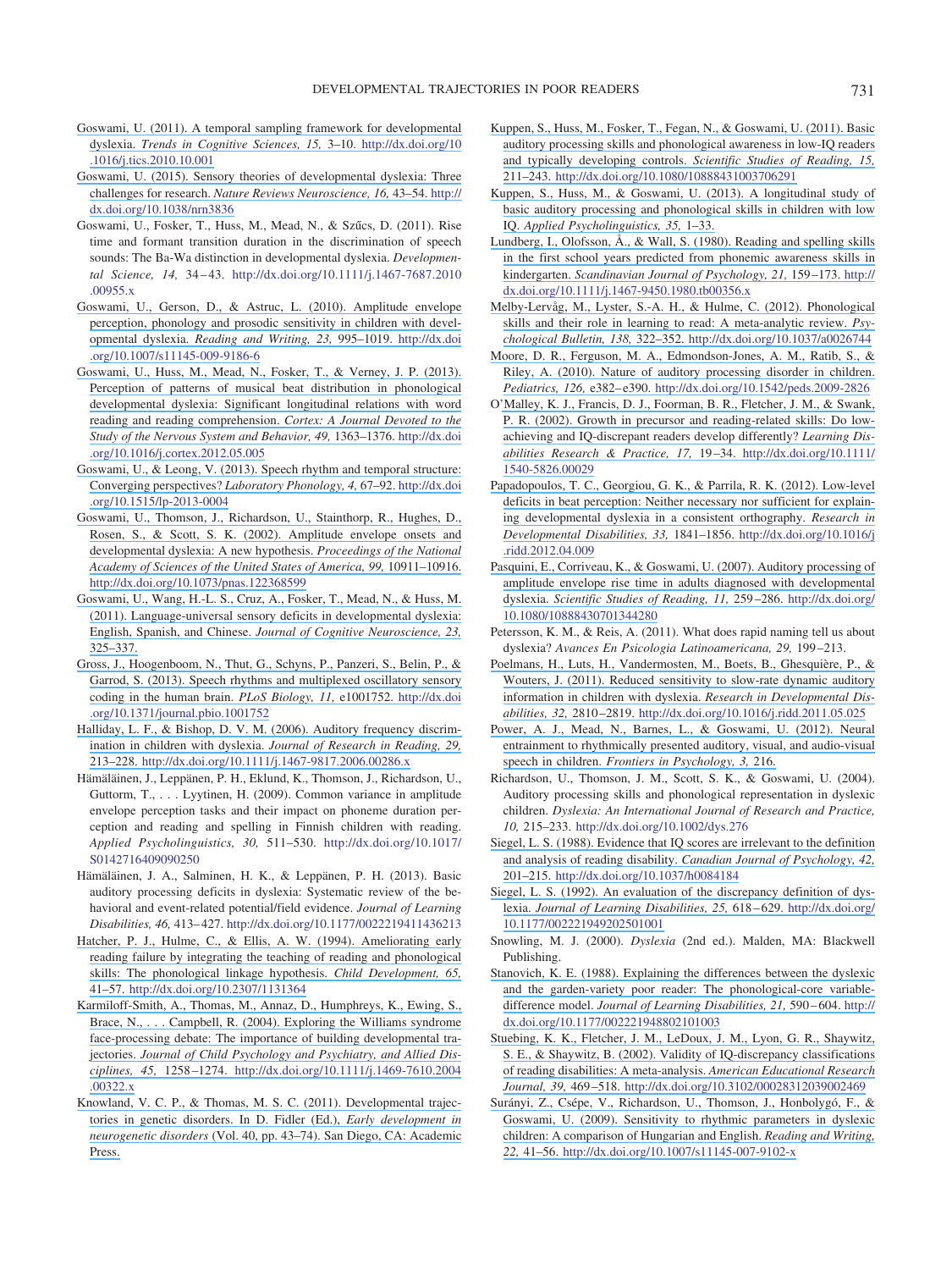- [Goswami, U. \(2011\). A temporal sampling framework for developmental](https://www.researchgate.net/publication/49624594_Temporal_sampling_framework_for_developmental_dyslexia?el=1_x_8&enrichId=rgreq-a40c86c9051bab4ff578799ea7bd80c4-XXX&enrichSource=Y292ZXJQYWdlOzMwMTYzOTEwNDtBUzozNjQ5Njk4MjU3MTgyNzJAMTQ2NDAyNjk5NTUzMQ==) dyslexia. *[Trends in Cognitive Sciences, 15,](https://www.researchgate.net/publication/49624594_Temporal_sampling_framework_for_developmental_dyslexia?el=1_x_8&enrichId=rgreq-a40c86c9051bab4ff578799ea7bd80c4-XXX&enrichSource=Y292ZXJQYWdlOzMwMTYzOTEwNDtBUzozNjQ5Njk4MjU3MTgyNzJAMTQ2NDAyNjk5NTUzMQ==)* 3–10. [http://dx.doi.org/10](http://dx.doi.org/10.1016/j.tics.2010.10.001) [.1016/j.tics.2010.10.001](http://dx.doi.org/10.1016/j.tics.2010.10.001)
- [Goswami, U. \(2015\). Sensory theories of developmental dyslexia: Three](https://www.researchgate.net/publication/267933289_Sensory_theories_of_developmental_dyslexia_Three_challenges_for_research?el=1_x_8&enrichId=rgreq-a40c86c9051bab4ff578799ea7bd80c4-XXX&enrichSource=Y292ZXJQYWdlOzMwMTYzOTEwNDtBUzozNjQ5Njk4MjU3MTgyNzJAMTQ2NDAyNjk5NTUzMQ==) challenges for research. *[Nature Reviews Neuroscience, 16,](https://www.researchgate.net/publication/267933289_Sensory_theories_of_developmental_dyslexia_Three_challenges_for_research?el=1_x_8&enrichId=rgreq-a40c86c9051bab4ff578799ea7bd80c4-XXX&enrichSource=Y292ZXJQYWdlOzMwMTYzOTEwNDtBUzozNjQ5Njk4MjU3MTgyNzJAMTQ2NDAyNjk5NTUzMQ==)* 43–54. [http://](http://dx.doi.org/10.1038/nrn3836) [dx.doi.org/10.1038/nrn3836](http://dx.doi.org/10.1038/nrn3836)
- Goswami, U., Fosker, T., Huss, M., Mead, N., & Szűcs, D. (2011). Rise time and formant transition duration in the discrimination of speech sounds: The Ba-Wa distinction in developmental dyslexia. *Developmental Science, 14,* 34–43. [http://dx.doi.org/10.1111/j.1467-7687.2010](http://dx.doi.org/10.1111/j.1467-7687.2010.00955.x) [.00955.x](http://dx.doi.org/10.1111/j.1467-7687.2010.00955.x)
- [Goswami, U., Gerson, D., & Astruc, L. \(2010\). Amplitude envelope](https://www.researchgate.net/publication/225775880_Amplitude_envelope_perception_phonology_and_prosodic_sensitivity_in_children_with_developmental_dyslexia?el=1_x_8&enrichId=rgreq-a40c86c9051bab4ff578799ea7bd80c4-XXX&enrichSource=Y292ZXJQYWdlOzMwMTYzOTEwNDtBUzozNjQ5Njk4MjU3MTgyNzJAMTQ2NDAyNjk5NTUzMQ==) [perception, phonology and prosodic sensitivity in children with devel](https://www.researchgate.net/publication/225775880_Amplitude_envelope_perception_phonology_and_prosodic_sensitivity_in_children_with_developmental_dyslexia?el=1_x_8&enrichId=rgreq-a40c86c9051bab4ff578799ea7bd80c4-XXX&enrichSource=Y292ZXJQYWdlOzMwMTYzOTEwNDtBUzozNjQ5Njk4MjU3MTgyNzJAMTQ2NDAyNjk5NTUzMQ==)opmental dyslexia. *[Reading and Writing, 23,](https://www.researchgate.net/publication/225775880_Amplitude_envelope_perception_phonology_and_prosodic_sensitivity_in_children_with_developmental_dyslexia?el=1_x_8&enrichId=rgreq-a40c86c9051bab4ff578799ea7bd80c4-XXX&enrichSource=Y292ZXJQYWdlOzMwMTYzOTEwNDtBUzozNjQ5Njk4MjU3MTgyNzJAMTQ2NDAyNjk5NTUzMQ==)* 995–1019. [http://dx.doi](http://dx.doi.org/10.1007/s11145-009-9186-6) [.org/10.1007/s11145-009-9186-6](http://dx.doi.org/10.1007/s11145-009-9186-6)
- [Goswami, U., Huss, M., Mead, N., Fosker, T., & Verney, J. P. \(2013\).](https://www.researchgate.net/publication/228060711_Perception_of_patterns_of_musical_beat_distribution_in_phonological_developmental_dyslexia_Significant_longitudinal_relations_with_word_reading_and_reading_comprehension?el=1_x_8&enrichId=rgreq-a40c86c9051bab4ff578799ea7bd80c4-XXX&enrichSource=Y292ZXJQYWdlOzMwMTYzOTEwNDtBUzozNjQ5Njk4MjU3MTgyNzJAMTQ2NDAyNjk5NTUzMQ==) [Perception of patterns of musical beat distribution in phonological](https://www.researchgate.net/publication/228060711_Perception_of_patterns_of_musical_beat_distribution_in_phonological_developmental_dyslexia_Significant_longitudinal_relations_with_word_reading_and_reading_comprehension?el=1_x_8&enrichId=rgreq-a40c86c9051bab4ff578799ea7bd80c4-XXX&enrichSource=Y292ZXJQYWdlOzMwMTYzOTEwNDtBUzozNjQ5Njk4MjU3MTgyNzJAMTQ2NDAyNjk5NTUzMQ==) [developmental dyslexia: Significant longitudinal relations with word](https://www.researchgate.net/publication/228060711_Perception_of_patterns_of_musical_beat_distribution_in_phonological_developmental_dyslexia_Significant_longitudinal_relations_with_word_reading_and_reading_comprehension?el=1_x_8&enrichId=rgreq-a40c86c9051bab4ff578799ea7bd80c4-XXX&enrichSource=Y292ZXJQYWdlOzMwMTYzOTEwNDtBUzozNjQ5Njk4MjU3MTgyNzJAMTQ2NDAyNjk5NTUzMQ==) [reading and reading comprehension.](https://www.researchgate.net/publication/228060711_Perception_of_patterns_of_musical_beat_distribution_in_phonological_developmental_dyslexia_Significant_longitudinal_relations_with_word_reading_and_reading_comprehension?el=1_x_8&enrichId=rgreq-a40c86c9051bab4ff578799ea7bd80c4-XXX&enrichSource=Y292ZXJQYWdlOzMwMTYzOTEwNDtBUzozNjQ5Njk4MjU3MTgyNzJAMTQ2NDAyNjk5NTUzMQ==) *Cortex: A Journal Devoted to the [Study of the Nervous System and Behavior, 49,](https://www.researchgate.net/publication/228060711_Perception_of_patterns_of_musical_beat_distribution_in_phonological_developmental_dyslexia_Significant_longitudinal_relations_with_word_reading_and_reading_comprehension?el=1_x_8&enrichId=rgreq-a40c86c9051bab4ff578799ea7bd80c4-XXX&enrichSource=Y292ZXJQYWdlOzMwMTYzOTEwNDtBUzozNjQ5Njk4MjU3MTgyNzJAMTQ2NDAyNjk5NTUzMQ==)* 1363–1376. [http://dx.doi](http://dx.doi.org/10.1016/j.cortex.2012.05.005) [.org/10.1016/j.cortex.2012.05.005](http://dx.doi.org/10.1016/j.cortex.2012.05.005)
- [Goswami, U., & Leong, V. \(2013\). Speech rhythm and temporal structure:](https://www.researchgate.net/publication/254862759_Speech_rhythm_and_temporal_structure_Converging_perspectives?el=1_x_8&enrichId=rgreq-a40c86c9051bab4ff578799ea7bd80c4-XXX&enrichSource=Y292ZXJQYWdlOzMwMTYzOTEwNDtBUzozNjQ5Njk4MjU3MTgyNzJAMTQ2NDAyNjk5NTUzMQ==) Converging perspectives? *[Laboratory Phonology, 4,](https://www.researchgate.net/publication/254862759_Speech_rhythm_and_temporal_structure_Converging_perspectives?el=1_x_8&enrichId=rgreq-a40c86c9051bab4ff578799ea7bd80c4-XXX&enrichSource=Y292ZXJQYWdlOzMwMTYzOTEwNDtBUzozNjQ5Njk4MjU3MTgyNzJAMTQ2NDAyNjk5NTUzMQ==)* 67–92. [http://dx.doi](http://dx.doi.org/10.1515/lp-2013-0004) [.org/10.1515/lp-2013-0004](http://dx.doi.org/10.1515/lp-2013-0004)
- [Goswami, U., Thomson, J., Richardson, U., Stainthorp, R., Hughes, D.,](https://www.researchgate.net/publication/11240524_Amplitude_envelope_onsets_and_developmental_dyslexia_A_new_hypothesis?el=1_x_8&enrichId=rgreq-a40c86c9051bab4ff578799ea7bd80c4-XXX&enrichSource=Y292ZXJQYWdlOzMwMTYzOTEwNDtBUzozNjQ5Njk4MjU3MTgyNzJAMTQ2NDAyNjk5NTUzMQ==) [Rosen, S., & Scott, S. K. \(2002\). Amplitude envelope onsets and](https://www.researchgate.net/publication/11240524_Amplitude_envelope_onsets_and_developmental_dyslexia_A_new_hypothesis?el=1_x_8&enrichId=rgreq-a40c86c9051bab4ff578799ea7bd80c4-XXX&enrichSource=Y292ZXJQYWdlOzMwMTYzOTEwNDtBUzozNjQ5Njk4MjU3MTgyNzJAMTQ2NDAyNjk5NTUzMQ==) [developmental dyslexia: A new hypothesis.](https://www.researchgate.net/publication/11240524_Amplitude_envelope_onsets_and_developmental_dyslexia_A_new_hypothesis?el=1_x_8&enrichId=rgreq-a40c86c9051bab4ff578799ea7bd80c4-XXX&enrichSource=Y292ZXJQYWdlOzMwMTYzOTEwNDtBUzozNjQ5Njk4MjU3MTgyNzJAMTQ2NDAyNjk5NTUzMQ==) *Proceedings of the National [Academy of Sciences of the United States of America, 99,](https://www.researchgate.net/publication/11240524_Amplitude_envelope_onsets_and_developmental_dyslexia_A_new_hypothesis?el=1_x_8&enrichId=rgreq-a40c86c9051bab4ff578799ea7bd80c4-XXX&enrichSource=Y292ZXJQYWdlOzMwMTYzOTEwNDtBUzozNjQ5Njk4MjU3MTgyNzJAMTQ2NDAyNjk5NTUzMQ==)* 10911–10916. <http://dx.doi.org/10.1073/pnas.122368599>
- [Goswami, U., Wang, H.-L. S., Cruz, A., Fosker, T., Mead, N., & Huss, M.](https://www.researchgate.net/publication/41421000_Language-universal_Sensory_Deficits_in_Developmental_Dyslexia_English_Spanish_and_Chinese?el=1_x_8&enrichId=rgreq-a40c86c9051bab4ff578799ea7bd80c4-XXX&enrichSource=Y292ZXJQYWdlOzMwMTYzOTEwNDtBUzozNjQ5Njk4MjU3MTgyNzJAMTQ2NDAyNjk5NTUzMQ==) [\(2011\). Language-universal sensory deficits in developmental dyslexia:](https://www.researchgate.net/publication/41421000_Language-universal_Sensory_Deficits_in_Developmental_Dyslexia_English_Spanish_and_Chinese?el=1_x_8&enrichId=rgreq-a40c86c9051bab4ff578799ea7bd80c4-XXX&enrichSource=Y292ZXJQYWdlOzMwMTYzOTEwNDtBUzozNjQ5Njk4MjU3MTgyNzJAMTQ2NDAyNjk5NTUzMQ==) English, Spanish, and Chinese. *[Journal of Cognitive Neuroscience, 23,](https://www.researchgate.net/publication/41421000_Language-universal_Sensory_Deficits_in_Developmental_Dyslexia_English_Spanish_and_Chinese?el=1_x_8&enrichId=rgreq-a40c86c9051bab4ff578799ea7bd80c4-XXX&enrichSource=Y292ZXJQYWdlOzMwMTYzOTEwNDtBUzozNjQ5Njk4MjU3MTgyNzJAMTQ2NDAyNjk5NTUzMQ==)* [325–337.](https://www.researchgate.net/publication/41421000_Language-universal_Sensory_Deficits_in_Developmental_Dyslexia_English_Spanish_and_Chinese?el=1_x_8&enrichId=rgreq-a40c86c9051bab4ff578799ea7bd80c4-XXX&enrichSource=Y292ZXJQYWdlOzMwMTYzOTEwNDtBUzozNjQ5Njk4MjU3MTgyNzJAMTQ2NDAyNjk5NTUzMQ==)
- [Gross, J., Hoogenboom, N., Thut, G., Schyns, P., Panzeri, S., Belin, P., &](https://www.researchgate.net/publication/259588302_Speech_Rhythms_and_Multiplexed_Oscillatory_Sensory_Coding_in_the_Human_Brain?el=1_x_8&enrichId=rgreq-a40c86c9051bab4ff578799ea7bd80c4-XXX&enrichSource=Y292ZXJQYWdlOzMwMTYzOTEwNDtBUzozNjQ5Njk4MjU3MTgyNzJAMTQ2NDAyNjk5NTUzMQ==) [Garrod, S. \(2013\). Speech rhythms and multiplexed oscillatory sensory](https://www.researchgate.net/publication/259588302_Speech_Rhythms_and_Multiplexed_Oscillatory_Sensory_Coding_in_the_Human_Brain?el=1_x_8&enrichId=rgreq-a40c86c9051bab4ff578799ea7bd80c4-XXX&enrichSource=Y292ZXJQYWdlOzMwMTYzOTEwNDtBUzozNjQ5Njk4MjU3MTgyNzJAMTQ2NDAyNjk5NTUzMQ==) [coding in the human brain.](https://www.researchgate.net/publication/259588302_Speech_Rhythms_and_Multiplexed_Oscillatory_Sensory_Coding_in_the_Human_Brain?el=1_x_8&enrichId=rgreq-a40c86c9051bab4ff578799ea7bd80c4-XXX&enrichSource=Y292ZXJQYWdlOzMwMTYzOTEwNDtBUzozNjQ5Njk4MjU3MTgyNzJAMTQ2NDAyNjk5NTUzMQ==) *PLoS Biology, 11,* e1001752. [http://dx.doi](http://dx.doi.org/10.1371/journal.pbio.1001752) [.org/10.1371/journal.pbio.1001752](http://dx.doi.org/10.1371/journal.pbio.1001752)
- [Halliday, L. F., & Bishop, D. V. M. \(2006\). Auditory frequency discrim](https://www.researchgate.net/publication/227625921_Auditory_frequency_discrimination_in_children_with_dyslexia?el=1_x_8&enrichId=rgreq-a40c86c9051bab4ff578799ea7bd80c4-XXX&enrichSource=Y292ZXJQYWdlOzMwMTYzOTEwNDtBUzozNjQ5Njk4MjU3MTgyNzJAMTQ2NDAyNjk5NTUzMQ==)ination in children with dyslexia. *[Journal of Research in Reading, 29,](https://www.researchgate.net/publication/227625921_Auditory_frequency_discrimination_in_children_with_dyslexia?el=1_x_8&enrichId=rgreq-a40c86c9051bab4ff578799ea7bd80c4-XXX&enrichSource=Y292ZXJQYWdlOzMwMTYzOTEwNDtBUzozNjQ5Njk4MjU3MTgyNzJAMTQ2NDAyNjk5NTUzMQ==)* 213–228. <http://dx.doi.org/10.1111/j.1467-9817.2006.00286.x>
- Hämäläinen, J., Leppänen, P. H., Eklund, K., Thomson, J., Richardson, U., Guttorm, T.,... Lyytinen, H. (2009). Common variance in amplitude envelope perception tasks and their impact on phoneme duration perception and reading and spelling in Finnish children with reading. *Applied Psycholinguistics, 30,* 511–530. [http://dx.doi.org/10.1017/](http://dx.doi.org/10.1017/S0142716409090250) [S0142716409090250](http://dx.doi.org/10.1017/S0142716409090250)
- Hämäläinen, J. A., Salminen, H. K., & Leppänen, P. H. (2013). Basic auditory processing deficits in dyslexia: Systematic review of the behavioral and event-related potential/field evidence. *Journal of Learning Disabilities, 46,* 413–427. <http://dx.doi.org/10.1177/0022219411436213>
- [Hatcher, P. J., Hulme, C., & Ellis, A. W. \(1994\). Ameliorating early](https://www.researchgate.net/publication/227687377_Ameliorating_Early_Reading_Failure_by_Integrating_the_Teaching_of_Reading_and_Phonological_Skills_The_Phonological_Linkage_Hypothesis?el=1_x_8&enrichId=rgreq-a40c86c9051bab4ff578799ea7bd80c4-XXX&enrichSource=Y292ZXJQYWdlOzMwMTYzOTEwNDtBUzozNjQ5Njk4MjU3MTgyNzJAMTQ2NDAyNjk5NTUzMQ==) [reading failure by integrating the teaching of reading and phonological](https://www.researchgate.net/publication/227687377_Ameliorating_Early_Reading_Failure_by_Integrating_the_Teaching_of_Reading_and_Phonological_Skills_The_Phonological_Linkage_Hypothesis?el=1_x_8&enrichId=rgreq-a40c86c9051bab4ff578799ea7bd80c4-XXX&enrichSource=Y292ZXJQYWdlOzMwMTYzOTEwNDtBUzozNjQ5Njk4MjU3MTgyNzJAMTQ2NDAyNjk5NTUzMQ==) [skills: The phonological linkage hypothesis.](https://www.researchgate.net/publication/227687377_Ameliorating_Early_Reading_Failure_by_Integrating_the_Teaching_of_Reading_and_Phonological_Skills_The_Phonological_Linkage_Hypothesis?el=1_x_8&enrichId=rgreq-a40c86c9051bab4ff578799ea7bd80c4-XXX&enrichSource=Y292ZXJQYWdlOzMwMTYzOTEwNDtBUzozNjQ5Njk4MjU3MTgyNzJAMTQ2NDAyNjk5NTUzMQ==) *Child Development, 65,* 41–57. <http://dx.doi.org/10.2307/1131364>
- [Karmiloff-Smith, A., Thomas, M., Annaz, D., Humphreys, K., Ewing, S.,](https://www.researchgate.net/publication/8377757_Exploring_the_Williams_syndrome_face-processing_debate_The_importance_of_building_developmental_trajectories?el=1_x_8&enrichId=rgreq-a40c86c9051bab4ff578799ea7bd80c4-XXX&enrichSource=Y292ZXJQYWdlOzMwMTYzOTEwNDtBUzozNjQ5Njk4MjU3MTgyNzJAMTQ2NDAyNjk5NTUzMQ==) Brace, N., . . . [Campbell, R. \(2004\). Exploring the Williams syndrome](https://www.researchgate.net/publication/8377757_Exploring_the_Williams_syndrome_face-processing_debate_The_importance_of_building_developmental_trajectories?el=1_x_8&enrichId=rgreq-a40c86c9051bab4ff578799ea7bd80c4-XXX&enrichSource=Y292ZXJQYWdlOzMwMTYzOTEwNDtBUzozNjQ5Njk4MjU3MTgyNzJAMTQ2NDAyNjk5NTUzMQ==) [face-processing debate: The importance of building developmental tra](https://www.researchgate.net/publication/8377757_Exploring_the_Williams_syndrome_face-processing_debate_The_importance_of_building_developmental_trajectories?el=1_x_8&enrichId=rgreq-a40c86c9051bab4ff578799ea7bd80c4-XXX&enrichSource=Y292ZXJQYWdlOzMwMTYzOTEwNDtBUzozNjQ5Njk4MjU3MTgyNzJAMTQ2NDAyNjk5NTUzMQ==)jectories. *[Journal of Child Psychology and Psychiatry, and Allied Dis](https://www.researchgate.net/publication/8377757_Exploring_the_Williams_syndrome_face-processing_debate_The_importance_of_building_developmental_trajectories?el=1_x_8&enrichId=rgreq-a40c86c9051bab4ff578799ea7bd80c4-XXX&enrichSource=Y292ZXJQYWdlOzMwMTYzOTEwNDtBUzozNjQ5Njk4MjU3MTgyNzJAMTQ2NDAyNjk5NTUzMQ==)ciplines, 45,* 1258–1274. [http://dx.doi.org/10.1111/j.1469-7610.2004](http://dx.doi.org/10.1111/j.1469-7610.2004.00322.x) [.00322.x](http://dx.doi.org/10.1111/j.1469-7610.2004.00322.x)
- [Knowland, V. C. P., & Thomas, M. S. C. \(2011\). Developmental trajec](https://www.researchgate.net/publication/8377757_Exploring_the_Williams_syndrome_face-processing_debate_The_importance_of_building_developmental_trajectories?el=1_x_8&enrichId=rgreq-a40c86c9051bab4ff578799ea7bd80c4-XXX&enrichSource=Y292ZXJQYWdlOzMwMTYzOTEwNDtBUzozNjQ5Njk4MjU3MTgyNzJAMTQ2NDAyNjk5NTUzMQ==)[tories in genetic disorders. In D. Fidler \(Ed.\),](https://www.researchgate.net/publication/8377757_Exploring_the_Williams_syndrome_face-processing_debate_The_importance_of_building_developmental_trajectories?el=1_x_8&enrichId=rgreq-a40c86c9051bab4ff578799ea7bd80c4-XXX&enrichSource=Y292ZXJQYWdlOzMwMTYzOTEwNDtBUzozNjQ5Njk4MjU3MTgyNzJAMTQ2NDAyNjk5NTUzMQ==) *Early development in neurogenetic disorders* [\(Vol. 40, pp. 43–74\). San Diego, CA: Academic](https://www.researchgate.net/publication/8377757_Exploring_the_Williams_syndrome_face-processing_debate_The_importance_of_building_developmental_trajectories?el=1_x_8&enrichId=rgreq-a40c86c9051bab4ff578799ea7bd80c4-XXX&enrichSource=Y292ZXJQYWdlOzMwMTYzOTEwNDtBUzozNjQ5Njk4MjU3MTgyNzJAMTQ2NDAyNjk5NTUzMQ==) [Press.](https://www.researchgate.net/publication/8377757_Exploring_the_Williams_syndrome_face-processing_debate_The_importance_of_building_developmental_trajectories?el=1_x_8&enrichId=rgreq-a40c86c9051bab4ff578799ea7bd80c4-XXX&enrichSource=Y292ZXJQYWdlOzMwMTYzOTEwNDtBUzozNjQ5Njk4MjU3MTgyNzJAMTQ2NDAyNjk5NTUzMQ==)
- [Kuppen, S., Huss, M., Fosker, T., Fegan, N., & Goswami, U. \(2011\). Basic](https://www.researchgate.net/publication/233192936_Basic_Auditory_Processing_Skills_and_Phonological_Awareness_in_Low-IQ_Readers_and_Typically_Developing_Controls?el=1_x_8&enrichId=rgreq-a40c86c9051bab4ff578799ea7bd80c4-XXX&enrichSource=Y292ZXJQYWdlOzMwMTYzOTEwNDtBUzozNjQ5Njk4MjU3MTgyNzJAMTQ2NDAyNjk5NTUzMQ==) [auditory processing skills and phonological awareness in low-IQ readers](https://www.researchgate.net/publication/233192936_Basic_Auditory_Processing_Skills_and_Phonological_Awareness_in_Low-IQ_Readers_and_Typically_Developing_Controls?el=1_x_8&enrichId=rgreq-a40c86c9051bab4ff578799ea7bd80c4-XXX&enrichSource=Y292ZXJQYWdlOzMwMTYzOTEwNDtBUzozNjQ5Njk4MjU3MTgyNzJAMTQ2NDAyNjk5NTUzMQ==) [and typically developing controls.](https://www.researchgate.net/publication/233192936_Basic_Auditory_Processing_Skills_and_Phonological_Awareness_in_Low-IQ_Readers_and_Typically_Developing_Controls?el=1_x_8&enrichId=rgreq-a40c86c9051bab4ff578799ea7bd80c4-XXX&enrichSource=Y292ZXJQYWdlOzMwMTYzOTEwNDtBUzozNjQ5Njk4MjU3MTgyNzJAMTQ2NDAyNjk5NTUzMQ==) *Scientific Studies of Reading, 15,* 211–243. <http://dx.doi.org/10.1080/10888431003706291>
- [Kuppen, S., Huss, M., & Goswami, U. \(2013\). A longitudinal study of](https://www.researchgate.net/publication/259286874_A_longitudinal_study_of_basic_auditory_processing_and_phonological_skills_in_children_with_low_IQ?el=1_x_8&enrichId=rgreq-a40c86c9051bab4ff578799ea7bd80c4-XXX&enrichSource=Y292ZXJQYWdlOzMwMTYzOTEwNDtBUzozNjQ5Njk4MjU3MTgyNzJAMTQ2NDAyNjk5NTUzMQ==) [basic auditory processing and phonological skills in children with low](https://www.researchgate.net/publication/259286874_A_longitudinal_study_of_basic_auditory_processing_and_phonological_skills_in_children_with_low_IQ?el=1_x_8&enrichId=rgreq-a40c86c9051bab4ff578799ea7bd80c4-XXX&enrichSource=Y292ZXJQYWdlOzMwMTYzOTEwNDtBUzozNjQ5Njk4MjU3MTgyNzJAMTQ2NDAyNjk5NTUzMQ==) IQ. *[Applied Psycholinguistics, 35,](https://www.researchgate.net/publication/259286874_A_longitudinal_study_of_basic_auditory_processing_and_phonological_skills_in_children_with_low_IQ?el=1_x_8&enrichId=rgreq-a40c86c9051bab4ff578799ea7bd80c4-XXX&enrichSource=Y292ZXJQYWdlOzMwMTYzOTEwNDtBUzozNjQ5Njk4MjU3MTgyNzJAMTQ2NDAyNjk5NTUzMQ==)* 1–33.
- [Lundberg, I., Olofsson, Å., & Wall, S. \(1980\). Reading and spelling skills](https://www.researchgate.net/publication/227584917_Reading_and_Spelling_Skills_in_the_First_School_Years_Predicted_from_Phonemic_Awareness_Skills_in_Kindergarten?el=1_x_8&enrichId=rgreq-a40c86c9051bab4ff578799ea7bd80c4-XXX&enrichSource=Y292ZXJQYWdlOzMwMTYzOTEwNDtBUzozNjQ5Njk4MjU3MTgyNzJAMTQ2NDAyNjk5NTUzMQ==) [in the first school years predicted from phonemic awareness skills in](https://www.researchgate.net/publication/227584917_Reading_and_Spelling_Skills_in_the_First_School_Years_Predicted_from_Phonemic_Awareness_Skills_in_Kindergarten?el=1_x_8&enrichId=rgreq-a40c86c9051bab4ff578799ea7bd80c4-XXX&enrichSource=Y292ZXJQYWdlOzMwMTYzOTEwNDtBUzozNjQ5Njk4MjU3MTgyNzJAMTQ2NDAyNjk5NTUzMQ==) kindergarten. *[Scandinavian Journal of Psychology, 21,](https://www.researchgate.net/publication/227584917_Reading_and_Spelling_Skills_in_the_First_School_Years_Predicted_from_Phonemic_Awareness_Skills_in_Kindergarten?el=1_x_8&enrichId=rgreq-a40c86c9051bab4ff578799ea7bd80c4-XXX&enrichSource=Y292ZXJQYWdlOzMwMTYzOTEwNDtBUzozNjQ5Njk4MjU3MTgyNzJAMTQ2NDAyNjk5NTUzMQ==)* 159–173. [http://](http://dx.doi.org/10.1111/j.1467-9450.1980.tb00356.x) [dx.doi.org/10.1111/j.1467-9450.1980.tb00356.x](http://dx.doi.org/10.1111/j.1467-9450.1980.tb00356.x)
- [Melby-Lervåg, M., Lyster, S.-A. H., & Hulme, C. \(2012\). Phonological](https://www.researchgate.net/publication/221752875_Phonological_skills_and_their_role_in_learning_to_read_A_meta-analytic_review?el=1_x_8&enrichId=rgreq-a40c86c9051bab4ff578799ea7bd80c4-XXX&enrichSource=Y292ZXJQYWdlOzMwMTYzOTEwNDtBUzozNjQ5Njk4MjU3MTgyNzJAMTQ2NDAyNjk5NTUzMQ==) [skills and their role in learning to read: A meta-analytic review.](https://www.researchgate.net/publication/221752875_Phonological_skills_and_their_role_in_learning_to_read_A_meta-analytic_review?el=1_x_8&enrichId=rgreq-a40c86c9051bab4ff578799ea7bd80c4-XXX&enrichSource=Y292ZXJQYWdlOzMwMTYzOTEwNDtBUzozNjQ5Njk4MjU3MTgyNzJAMTQ2NDAyNjk5NTUzMQ==) *Psychological Bulletin, 138,* 322–352. <http://dx.doi.org/10.1037/a0026744>
- [Moore, D. R., Ferguson, M. A., Edmondson-Jones, A. M., Ratib, S., &](https://www.researchgate.net/publication/45366151_Nature_of_Auditory_Processing_Disorder_in_Children?el=1_x_8&enrichId=rgreq-a40c86c9051bab4ff578799ea7bd80c4-XXX&enrichSource=Y292ZXJQYWdlOzMwMTYzOTEwNDtBUzozNjQ5Njk4MjU3MTgyNzJAMTQ2NDAyNjk5NTUzMQ==) [Riley, A. \(2010\). Nature of auditory processing disorder in children.](https://www.researchgate.net/publication/45366151_Nature_of_Auditory_Processing_Disorder_in_Children?el=1_x_8&enrichId=rgreq-a40c86c9051bab4ff578799ea7bd80c4-XXX&enrichSource=Y292ZXJQYWdlOzMwMTYzOTEwNDtBUzozNjQ5Njk4MjU3MTgyNzJAMTQ2NDAyNjk5NTUzMQ==) *Pediatrics, 126,* e382–e390. <http://dx.doi.org/10.1542/peds.2009-2826>
- O['Malley, K. J., Francis, D. J., Foorman, B. R., Fletcher, J. M., & Swank,](https://www.researchgate.net/publication/227609605_Growth_in_Precursor_and_Reading-Related_Skills_Do_Low-Achieving_and_IQ-Discrepant_Readers_Develop_Differently?el=1_x_8&enrichId=rgreq-a40c86c9051bab4ff578799ea7bd80c4-XXX&enrichSource=Y292ZXJQYWdlOzMwMTYzOTEwNDtBUzozNjQ5Njk4MjU3MTgyNzJAMTQ2NDAyNjk5NTUzMQ==) [P. R. \(2002\). Growth in precursor and reading-related skills: Do low](https://www.researchgate.net/publication/227609605_Growth_in_Precursor_and_Reading-Related_Skills_Do_Low-Achieving_and_IQ-Discrepant_Readers_Develop_Differently?el=1_x_8&enrichId=rgreq-a40c86c9051bab4ff578799ea7bd80c4-XXX&enrichSource=Y292ZXJQYWdlOzMwMTYzOTEwNDtBUzozNjQ5Njk4MjU3MTgyNzJAMTQ2NDAyNjk5NTUzMQ==)[achieving and IQ-discrepant readers develop differently?](https://www.researchgate.net/publication/227609605_Growth_in_Precursor_and_Reading-Related_Skills_Do_Low-Achieving_and_IQ-Discrepant_Readers_Develop_Differently?el=1_x_8&enrichId=rgreq-a40c86c9051bab4ff578799ea7bd80c4-XXX&enrichSource=Y292ZXJQYWdlOzMwMTYzOTEwNDtBUzozNjQ5Njk4MjU3MTgyNzJAMTQ2NDAyNjk5NTUzMQ==) *Learning Dis[abilities Research & Practice, 17,](https://www.researchgate.net/publication/227609605_Growth_in_Precursor_and_Reading-Related_Skills_Do_Low-Achieving_and_IQ-Discrepant_Readers_Develop_Differently?el=1_x_8&enrichId=rgreq-a40c86c9051bab4ff578799ea7bd80c4-XXX&enrichSource=Y292ZXJQYWdlOzMwMTYzOTEwNDtBUzozNjQ5Njk4MjU3MTgyNzJAMTQ2NDAyNjk5NTUzMQ==)* 19–34. [http://dx.doi.org/10.1111/](http://dx.doi.org/10.1111/1540-5826.00029) [1540-5826.00029](http://dx.doi.org/10.1111/1540-5826.00029)
- [Papadopoulos, T. C., Georgiou, G. K., & Parrila, R. K. \(2012\). Low-level](https://www.researchgate.net/publication/225306516_Low-level_deficits_in_beat_perception_Neither_necessary_nor_sufficient_for_explaining_developmental_dyslexia_in_a_consistent_orthography?el=1_x_8&enrichId=rgreq-a40c86c9051bab4ff578799ea7bd80c4-XXX&enrichSource=Y292ZXJQYWdlOzMwMTYzOTEwNDtBUzozNjQ5Njk4MjU3MTgyNzJAMTQ2NDAyNjk5NTUzMQ==) [deficits in beat perception: Neither necessary nor sufficient for explain](https://www.researchgate.net/publication/225306516_Low-level_deficits_in_beat_perception_Neither_necessary_nor_sufficient_for_explaining_developmental_dyslexia_in_a_consistent_orthography?el=1_x_8&enrichId=rgreq-a40c86c9051bab4ff578799ea7bd80c4-XXX&enrichSource=Y292ZXJQYWdlOzMwMTYzOTEwNDtBUzozNjQ5Njk4MjU3MTgyNzJAMTQ2NDAyNjk5NTUzMQ==)[ing developmental dyslexia in a consistent orthography.](https://www.researchgate.net/publication/225306516_Low-level_deficits_in_beat_perception_Neither_necessary_nor_sufficient_for_explaining_developmental_dyslexia_in_a_consistent_orthography?el=1_x_8&enrichId=rgreq-a40c86c9051bab4ff578799ea7bd80c4-XXX&enrichSource=Y292ZXJQYWdlOzMwMTYzOTEwNDtBUzozNjQ5Njk4MjU3MTgyNzJAMTQ2NDAyNjk5NTUzMQ==) *Research in [Developmental Disabilities, 33,](https://www.researchgate.net/publication/225306516_Low-level_deficits_in_beat_perception_Neither_necessary_nor_sufficient_for_explaining_developmental_dyslexia_in_a_consistent_orthography?el=1_x_8&enrichId=rgreq-a40c86c9051bab4ff578799ea7bd80c4-XXX&enrichSource=Y292ZXJQYWdlOzMwMTYzOTEwNDtBUzozNjQ5Njk4MjU3MTgyNzJAMTQ2NDAyNjk5NTUzMQ==)* 1841–1856. [http://dx.doi.org/10.1016/j](http://dx.doi.org/10.1016/j.ridd.2012.04.009) [.ridd.2012.04.009](http://dx.doi.org/10.1016/j.ridd.2012.04.009)
- [Pasquini, E., Corriveau, K., & Goswami, U. \(2007\). Auditory processing of](https://www.researchgate.net/publication/252973596_Auditory_Processing_of_Amplitude_Envelope_Rise_Time_in_Adults_Diagnosed_With_Developmental_Dyslexia?el=1_x_8&enrichId=rgreq-a40c86c9051bab4ff578799ea7bd80c4-XXX&enrichSource=Y292ZXJQYWdlOzMwMTYzOTEwNDtBUzozNjQ5Njk4MjU3MTgyNzJAMTQ2NDAyNjk5NTUzMQ==) [amplitude envelope rise time in adults diagnosed with developmental](https://www.researchgate.net/publication/252973596_Auditory_Processing_of_Amplitude_Envelope_Rise_Time_in_Adults_Diagnosed_With_Developmental_Dyslexia?el=1_x_8&enrichId=rgreq-a40c86c9051bab4ff578799ea7bd80c4-XXX&enrichSource=Y292ZXJQYWdlOzMwMTYzOTEwNDtBUzozNjQ5Njk4MjU3MTgyNzJAMTQ2NDAyNjk5NTUzMQ==) dyslexia. *[Scientific Studies of Reading, 11,](https://www.researchgate.net/publication/252973596_Auditory_Processing_of_Amplitude_Envelope_Rise_Time_in_Adults_Diagnosed_With_Developmental_Dyslexia?el=1_x_8&enrichId=rgreq-a40c86c9051bab4ff578799ea7bd80c4-XXX&enrichSource=Y292ZXJQYWdlOzMwMTYzOTEwNDtBUzozNjQ5Njk4MjU3MTgyNzJAMTQ2NDAyNjk5NTUzMQ==)* 259–286. [http://dx.doi.org/](http://dx.doi.org/10.1080/10888430701344280) [10.1080/10888430701344280](http://dx.doi.org/10.1080/10888430701344280)
- Petersson, K. M., & Reis, A. (2011). What does rapid naming tell us about dyslexia? *Avances En Psicologia Latinoamericana, 29,* 199–213.
- [Poelmans, H., Luts, H., Vandermosten, M., Boets, B., Ghesquière, P., &](https://www.researchgate.net/publication/51196167_Reduced_sensitivity_to_slow-rate_dynamic_auditory_information_in_children_with_dyslexia?el=1_x_8&enrichId=rgreq-a40c86c9051bab4ff578799ea7bd80c4-XXX&enrichSource=Y292ZXJQYWdlOzMwMTYzOTEwNDtBUzozNjQ5Njk4MjU3MTgyNzJAMTQ2NDAyNjk5NTUzMQ==) [Wouters, J. \(2011\). Reduced sensitivity to slow-rate dynamic auditory](https://www.researchgate.net/publication/51196167_Reduced_sensitivity_to_slow-rate_dynamic_auditory_information_in_children_with_dyslexia?el=1_x_8&enrichId=rgreq-a40c86c9051bab4ff578799ea7bd80c4-XXX&enrichSource=Y292ZXJQYWdlOzMwMTYzOTEwNDtBUzozNjQ5Njk4MjU3MTgyNzJAMTQ2NDAyNjk5NTUzMQ==) [information in children with dyslexia.](https://www.researchgate.net/publication/51196167_Reduced_sensitivity_to_slow-rate_dynamic_auditory_information_in_children_with_dyslexia?el=1_x_8&enrichId=rgreq-a40c86c9051bab4ff578799ea7bd80c4-XXX&enrichSource=Y292ZXJQYWdlOzMwMTYzOTEwNDtBUzozNjQ5Njk4MjU3MTgyNzJAMTQ2NDAyNjk5NTUzMQ==) *Research in Developmental Disabilities, 32,* 2810–2819. <http://dx.doi.org/10.1016/j.ridd.2011.05.025>
- [Power, A. J., Mead, N., Barnes, L., & Goswami, U. \(2012\). Neural](https://www.researchgate.net/publication/230571030_Neural_Entrainment_to_Rhythmically_Presented_Auditory_Visual_and_Audio-Visual_Speech_in_Children?el=1_x_8&enrichId=rgreq-a40c86c9051bab4ff578799ea7bd80c4-XXX&enrichSource=Y292ZXJQYWdlOzMwMTYzOTEwNDtBUzozNjQ5Njk4MjU3MTgyNzJAMTQ2NDAyNjk5NTUzMQ==) [entrainment to rhythmically presented auditory, visual, and audio-visual](https://www.researchgate.net/publication/230571030_Neural_Entrainment_to_Rhythmically_Presented_Auditory_Visual_and_Audio-Visual_Speech_in_Children?el=1_x_8&enrichId=rgreq-a40c86c9051bab4ff578799ea7bd80c4-XXX&enrichSource=Y292ZXJQYWdlOzMwMTYzOTEwNDtBUzozNjQ5Njk4MjU3MTgyNzJAMTQ2NDAyNjk5NTUzMQ==) speech in children. *[Frontiers in Psychology, 3,](https://www.researchgate.net/publication/230571030_Neural_Entrainment_to_Rhythmically_Presented_Auditory_Visual_and_Audio-Visual_Speech_in_Children?el=1_x_8&enrichId=rgreq-a40c86c9051bab4ff578799ea7bd80c4-XXX&enrichSource=Y292ZXJQYWdlOzMwMTYzOTEwNDtBUzozNjQ5Njk4MjU3MTgyNzJAMTQ2NDAyNjk5NTUzMQ==)* 216.
- Richardson, U., Thomson, J. M., Scott, S. K., & Goswami, U. (2004). Auditory processing skills and phonological representation in dyslexic children. *Dyslexia: An International Journal of Research and Practice, 10,* 215–233. <http://dx.doi.org/10.1002/dys.276>
- [Siegel, L. S. \(1988\). Evidence that IQ scores are irrelevant to the definition](https://www.researchgate.net/publication/19988005_Evidence_that_IQ_Scores_are_Irrelevant_to_the_Definition_and_Analysis_of_Reading_Disability?el=1_x_8&enrichId=rgreq-a40c86c9051bab4ff578799ea7bd80c4-XXX&enrichSource=Y292ZXJQYWdlOzMwMTYzOTEwNDtBUzozNjQ5Njk4MjU3MTgyNzJAMTQ2NDAyNjk5NTUzMQ==) and analysis of reading disability. *[Canadian Journal of Psychology, 42,](https://www.researchgate.net/publication/19988005_Evidence_that_IQ_Scores_are_Irrelevant_to_the_Definition_and_Analysis_of_Reading_Disability?el=1_x_8&enrichId=rgreq-a40c86c9051bab4ff578799ea7bd80c4-XXX&enrichSource=Y292ZXJQYWdlOzMwMTYzOTEwNDtBUzozNjQ5Njk4MjU3MTgyNzJAMTQ2NDAyNjk5NTUzMQ==)* 201–215. <http://dx.doi.org/10.1037/h0084184>
- [Siegel, L. S. \(1992\). An evaluation of the discrepancy definition of dys](https://www.researchgate.net/publication/21696102_An_Evaluation_of_the_Discrepancy_Definition_of_Dyslexia?el=1_x_8&enrichId=rgreq-a40c86c9051bab4ff578799ea7bd80c4-XXX&enrichSource=Y292ZXJQYWdlOzMwMTYzOTEwNDtBUzozNjQ5Njk4MjU3MTgyNzJAMTQ2NDAyNjk5NTUzMQ==)lexia. *[Journal of Learning Disabilities, 25,](https://www.researchgate.net/publication/21696102_An_Evaluation_of_the_Discrepancy_Definition_of_Dyslexia?el=1_x_8&enrichId=rgreq-a40c86c9051bab4ff578799ea7bd80c4-XXX&enrichSource=Y292ZXJQYWdlOzMwMTYzOTEwNDtBUzozNjQ5Njk4MjU3MTgyNzJAMTQ2NDAyNjk5NTUzMQ==)* 618–629. [http://dx.doi.org/](http://dx.doi.org/10.1177/002221949202501001) [10.1177/002221949202501001](http://dx.doi.org/10.1177/002221949202501001)
- Snowling, M. J. (2000). *Dyslexia* (2nd ed.). Malden, MA: Blackwell Publishing.
- [Stanovich, K. E. \(1988\). Explaining the differences between the dyslexic](https://www.researchgate.net/publication/20691499_Explaining_the_Differences_Between_the_Dyslexic_and_the_Garden-Variety_Poor_Reader_The_Phonological-Core_Variable-Difference_Model?el=1_x_8&enrichId=rgreq-a40c86c9051bab4ff578799ea7bd80c4-XXX&enrichSource=Y292ZXJQYWdlOzMwMTYzOTEwNDtBUzozNjQ5Njk4MjU3MTgyNzJAMTQ2NDAyNjk5NTUzMQ==) [and the garden-variety poor reader: The phonological-core variable](https://www.researchgate.net/publication/20691499_Explaining_the_Differences_Between_the_Dyslexic_and_the_Garden-Variety_Poor_Reader_The_Phonological-Core_Variable-Difference_Model?el=1_x_8&enrichId=rgreq-a40c86c9051bab4ff578799ea7bd80c4-XXX&enrichSource=Y292ZXJQYWdlOzMwMTYzOTEwNDtBUzozNjQ5Njk4MjU3MTgyNzJAMTQ2NDAyNjk5NTUzMQ==)difference model. *[Journal of Learning Disabilities, 21,](https://www.researchgate.net/publication/20691499_Explaining_the_Differences_Between_the_Dyslexic_and_the_Garden-Variety_Poor_Reader_The_Phonological-Core_Variable-Difference_Model?el=1_x_8&enrichId=rgreq-a40c86c9051bab4ff578799ea7bd80c4-XXX&enrichSource=Y292ZXJQYWdlOzMwMTYzOTEwNDtBUzozNjQ5Njk4MjU3MTgyNzJAMTQ2NDAyNjk5NTUzMQ==)* 590–604. [http://](http://dx.doi.org/10.1177/002221948802101003) [dx.doi.org/10.1177/002221948802101003](http://dx.doi.org/10.1177/002221948802101003)
- [Stuebing, K. K., Fletcher, J. M., LeDoux, J. M., Lyon, G. R., Shaywitz,](https://www.researchgate.net/publication/250185019_Validity_of_IQ-Discrepancy_Classifications_of_Reading_Disabilities_A_Meta-Analysis?el=1_x_8&enrichId=rgreq-a40c86c9051bab4ff578799ea7bd80c4-XXX&enrichSource=Y292ZXJQYWdlOzMwMTYzOTEwNDtBUzozNjQ5Njk4MjU3MTgyNzJAMTQ2NDAyNjk5NTUzMQ==) [S. E., & Shaywitz, B. \(2002\). Validity of IQ-discrepancy classifications](https://www.researchgate.net/publication/250185019_Validity_of_IQ-Discrepancy_Classifications_of_Reading_Disabilities_A_Meta-Analysis?el=1_x_8&enrichId=rgreq-a40c86c9051bab4ff578799ea7bd80c4-XXX&enrichSource=Y292ZXJQYWdlOzMwMTYzOTEwNDtBUzozNjQ5Njk4MjU3MTgyNzJAMTQ2NDAyNjk5NTUzMQ==) [of reading disabilities: A meta-analysis.](https://www.researchgate.net/publication/250185019_Validity_of_IQ-Discrepancy_Classifications_of_Reading_Disabilities_A_Meta-Analysis?el=1_x_8&enrichId=rgreq-a40c86c9051bab4ff578799ea7bd80c4-XXX&enrichSource=Y292ZXJQYWdlOzMwMTYzOTEwNDtBUzozNjQ5Njk4MjU3MTgyNzJAMTQ2NDAyNjk5NTUzMQ==) *American Educational Research Journal, 39,* 469–518. <http://dx.doi.org/10.3102/00028312039002469>
- [Surányi, Z., Csépe, V., Richardson, U., Thomson, J., Honbolygó, F., &](https://www.researchgate.net/publication/225734983_Sensitivity_to_rhythmic_parameters_in_dyslexic_children_A_comparison_of_Hungarian_and_English?el=1_x_8&enrichId=rgreq-a40c86c9051bab4ff578799ea7bd80c4-XXX&enrichSource=Y292ZXJQYWdlOzMwMTYzOTEwNDtBUzozNjQ5Njk4MjU3MTgyNzJAMTQ2NDAyNjk5NTUzMQ==) [Goswami, U. \(2009\). Sensitivity to rhythmic parameters in dyslexic](https://www.researchgate.net/publication/225734983_Sensitivity_to_rhythmic_parameters_in_dyslexic_children_A_comparison_of_Hungarian_and_English?el=1_x_8&enrichId=rgreq-a40c86c9051bab4ff578799ea7bd80c4-XXX&enrichSource=Y292ZXJQYWdlOzMwMTYzOTEwNDtBUzozNjQ5Njk4MjU3MTgyNzJAMTQ2NDAyNjk5NTUzMQ==) [children: A comparison of Hungarian and English.](https://www.researchgate.net/publication/225734983_Sensitivity_to_rhythmic_parameters_in_dyslexic_children_A_comparison_of_Hungarian_and_English?el=1_x_8&enrichId=rgreq-a40c86c9051bab4ff578799ea7bd80c4-XXX&enrichSource=Y292ZXJQYWdlOzMwMTYzOTEwNDtBUzozNjQ5Njk4MjU3MTgyNzJAMTQ2NDAyNjk5NTUzMQ==) *Reading and Writing, 22,* 41–56. <http://dx.doi.org/10.1007/s11145-007-9102-x>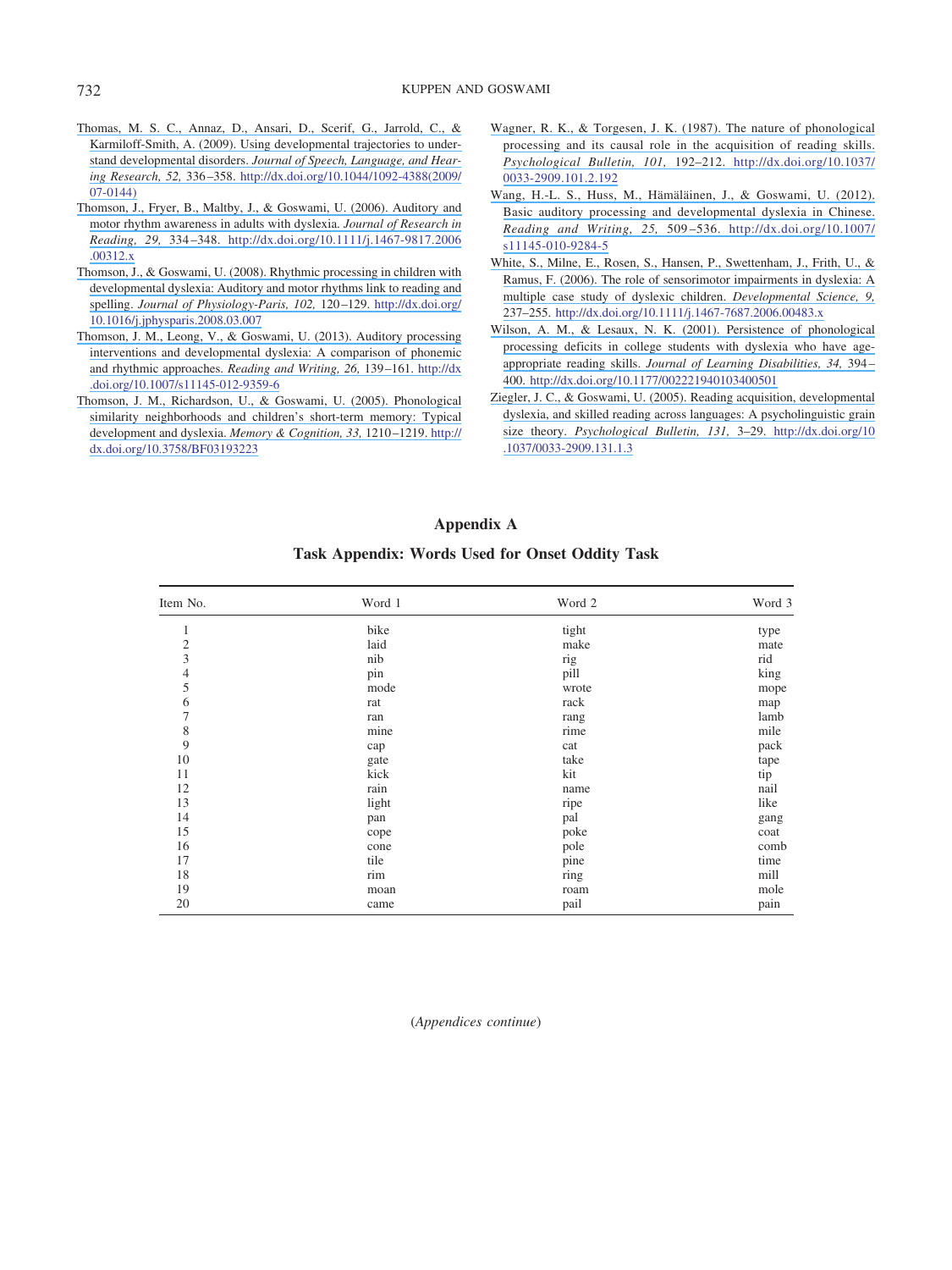- [Thomas, M. S. C., Annaz, D., Ansari, D., Scerif, G., Jarrold, C., &](https://www.researchgate.net/publication/24146666_Using_Developmental_Trajectories_to_Understand_Developmental_Disorders?el=1_x_8&enrichId=rgreq-a40c86c9051bab4ff578799ea7bd80c4-XXX&enrichSource=Y292ZXJQYWdlOzMwMTYzOTEwNDtBUzozNjQ5Njk4MjU3MTgyNzJAMTQ2NDAyNjk5NTUzMQ==) [Karmiloff-Smith, A. \(2009\). Using developmental trajectories to under](https://www.researchgate.net/publication/24146666_Using_Developmental_Trajectories_to_Understand_Developmental_Disorders?el=1_x_8&enrichId=rgreq-a40c86c9051bab4ff578799ea7bd80c4-XXX&enrichSource=Y292ZXJQYWdlOzMwMTYzOTEwNDtBUzozNjQ5Njk4MjU3MTgyNzJAMTQ2NDAyNjk5NTUzMQ==)stand developmental disorders. *[Journal of Speech, Language, and Hear](https://www.researchgate.net/publication/24146666_Using_Developmental_Trajectories_to_Understand_Developmental_Disorders?el=1_x_8&enrichId=rgreq-a40c86c9051bab4ff578799ea7bd80c4-XXX&enrichSource=Y292ZXJQYWdlOzMwMTYzOTEwNDtBUzozNjQ5Njk4MjU3MTgyNzJAMTQ2NDAyNjk5NTUzMQ==)ing Research, 52,* 336–358. [http://dx.doi.org/10.1044/1092-4388\(2009/](http://dx.doi.org/10.1044/1092-4388%282009/07-0144%29) [07-0144\)](http://dx.doi.org/10.1044/1092-4388%282009/07-0144%29)
- [Thomson, J., Fryer, B., Maltby, J., & Goswami, U. \(2006\). Auditory and](https://www.researchgate.net/publication/227514943_Auditory_and_motor_rhythm_awareness_in_adults_with_dyslexia?el=1_x_8&enrichId=rgreq-a40c86c9051bab4ff578799ea7bd80c4-XXX&enrichSource=Y292ZXJQYWdlOzMwMTYzOTEwNDtBUzozNjQ5Njk4MjU3MTgyNzJAMTQ2NDAyNjk5NTUzMQ==) [motor rhythm awareness in adults with dyslexia.](https://www.researchgate.net/publication/227514943_Auditory_and_motor_rhythm_awareness_in_adults_with_dyslexia?el=1_x_8&enrichId=rgreq-a40c86c9051bab4ff578799ea7bd80c4-XXX&enrichSource=Y292ZXJQYWdlOzMwMTYzOTEwNDtBUzozNjQ5Njk4MjU3MTgyNzJAMTQ2NDAyNjk5NTUzMQ==) *Journal of Research in Reading, 29,* 334–348. [http://dx.doi.org/10.1111/j.1467-9817.2006](http://dx.doi.org/10.1111/j.1467-9817.2006.00312.x) [.00312.x](http://dx.doi.org/10.1111/j.1467-9817.2006.00312.x)
- [Thomson, J., & Goswami, U. \(2008\). Rhythmic processing in children with](https://www.researchgate.net/publication/5404785_Rhythmic_processing_in_children_with_developmental_dyslexia_Auditory_and_motor_rhythms_link_to_reading_and_spelling?el=1_x_8&enrichId=rgreq-a40c86c9051bab4ff578799ea7bd80c4-XXX&enrichSource=Y292ZXJQYWdlOzMwMTYzOTEwNDtBUzozNjQ5Njk4MjU3MTgyNzJAMTQ2NDAyNjk5NTUzMQ==) [developmental dyslexia: Auditory and motor rhythms link to reading and](https://www.researchgate.net/publication/5404785_Rhythmic_processing_in_children_with_developmental_dyslexia_Auditory_and_motor_rhythms_link_to_reading_and_spelling?el=1_x_8&enrichId=rgreq-a40c86c9051bab4ff578799ea7bd80c4-XXX&enrichSource=Y292ZXJQYWdlOzMwMTYzOTEwNDtBUzozNjQ5Njk4MjU3MTgyNzJAMTQ2NDAyNjk5NTUzMQ==) spelling. *[Journal of Physiology-Paris, 102,](https://www.researchgate.net/publication/5404785_Rhythmic_processing_in_children_with_developmental_dyslexia_Auditory_and_motor_rhythms_link_to_reading_and_spelling?el=1_x_8&enrichId=rgreq-a40c86c9051bab4ff578799ea7bd80c4-XXX&enrichSource=Y292ZXJQYWdlOzMwMTYzOTEwNDtBUzozNjQ5Njk4MjU3MTgyNzJAMTQ2NDAyNjk5NTUzMQ==)* 120–129. [http://dx.doi.org/](http://dx.doi.org/10.1016/j.jphysparis.2008.03.007) [10.1016/j.jphysparis.2008.03.007](http://dx.doi.org/10.1016/j.jphysparis.2008.03.007)
- [Thomson, J. M., Leong, V., & Goswami, U. \(2013\). Auditory processing](https://www.researchgate.net/publication/235089617_Auditory_processing_interventions_and_developmental_dyslexia_A_comparison_of_phonemic_and_rhythmic_approaches?el=1_x_8&enrichId=rgreq-a40c86c9051bab4ff578799ea7bd80c4-XXX&enrichSource=Y292ZXJQYWdlOzMwMTYzOTEwNDtBUzozNjQ5Njk4MjU3MTgyNzJAMTQ2NDAyNjk5NTUzMQ==) [interventions and developmental dyslexia: A comparison of phonemic](https://www.researchgate.net/publication/235089617_Auditory_processing_interventions_and_developmental_dyslexia_A_comparison_of_phonemic_and_rhythmic_approaches?el=1_x_8&enrichId=rgreq-a40c86c9051bab4ff578799ea7bd80c4-XXX&enrichSource=Y292ZXJQYWdlOzMwMTYzOTEwNDtBUzozNjQ5Njk4MjU3MTgyNzJAMTQ2NDAyNjk5NTUzMQ==) [and rhythmic approaches.](https://www.researchgate.net/publication/235089617_Auditory_processing_interventions_and_developmental_dyslexia_A_comparison_of_phonemic_and_rhythmic_approaches?el=1_x_8&enrichId=rgreq-a40c86c9051bab4ff578799ea7bd80c4-XXX&enrichSource=Y292ZXJQYWdlOzMwMTYzOTEwNDtBUzozNjQ5Njk4MjU3MTgyNzJAMTQ2NDAyNjk5NTUzMQ==) *Reading and Writing, 26,* 139–161. [http://dx](http://dx.doi.org/10.1007/s11145-012-9359-6) [.doi.org/10.1007/s11145-012-9359-6](http://dx.doi.org/10.1007/s11145-012-9359-6)
- [Thomson, J. M., Richardson, U., & Goswami, U. \(2005\). Phonological](https://www.researchgate.net/publication/7245418_Phonological_similarity_neighborhoods_and_children) [similarity neighborhoods and children's short-term memory: Typical](https://www.researchgate.net/publication/7245418_Phonological_similarity_neighborhoods_and_children) [development and dyslexia.](https://www.researchgate.net/publication/7245418_Phonological_similarity_neighborhoods_and_children) *Memory & Cognition, 33,* 1210–1219. [http://](http://dx.doi.org/10.3758/BF03193223) [dx.doi.org/10.3758/BF03193223](http://dx.doi.org/10.3758/BF03193223)
- [Wagner, R. K., & Torgesen, J. K. \(1987\). The nature of phonological](https://www.researchgate.net/publication/279986719_The_Nature_of_Phonological_Processing_and_Its_Causal_Role_in_the_Acquisition_of_Reading_Skills?el=1_x_8&enrichId=rgreq-a40c86c9051bab4ff578799ea7bd80c4-XXX&enrichSource=Y292ZXJQYWdlOzMwMTYzOTEwNDtBUzozNjQ5Njk4MjU3MTgyNzJAMTQ2NDAyNjk5NTUzMQ==) [processing and its causal role in the acquisition of reading skills.](https://www.researchgate.net/publication/279986719_The_Nature_of_Phonological_Processing_and_Its_Causal_Role_in_the_Acquisition_of_Reading_Skills?el=1_x_8&enrichId=rgreq-a40c86c9051bab4ff578799ea7bd80c4-XXX&enrichSource=Y292ZXJQYWdlOzMwMTYzOTEwNDtBUzozNjQ5Njk4MjU3MTgyNzJAMTQ2NDAyNjk5NTUzMQ==) *[Psychological Bulletin, 101,](https://www.researchgate.net/publication/279986719_The_Nature_of_Phonological_Processing_and_Its_Causal_Role_in_the_Acquisition_of_Reading_Skills?el=1_x_8&enrichId=rgreq-a40c86c9051bab4ff578799ea7bd80c4-XXX&enrichSource=Y292ZXJQYWdlOzMwMTYzOTEwNDtBUzozNjQ5Njk4MjU3MTgyNzJAMTQ2NDAyNjk5NTUzMQ==)* 192–212. [http://dx.doi.org/10.1037/](http://dx.doi.org/10.1037/0033-2909.101.2.192) [0033-2909.101.2.192](http://dx.doi.org/10.1037/0033-2909.101.2.192)
- [Wang, H.-L. S., Huss, M., Hämäläinen, J., & Goswami, U. \(2012\).](https://www.researchgate.net/publication/225957509_Basic_auditory_processing_and_developmental_dyslexia_in_Chinese?el=1_x_8&enrichId=rgreq-a40c86c9051bab4ff578799ea7bd80c4-XXX&enrichSource=Y292ZXJQYWdlOzMwMTYzOTEwNDtBUzozNjQ5Njk4MjU3MTgyNzJAMTQ2NDAyNjk5NTUzMQ==) [Basic auditory processing and developmental dyslexia in Chinese.](https://www.researchgate.net/publication/225957509_Basic_auditory_processing_and_developmental_dyslexia_in_Chinese?el=1_x_8&enrichId=rgreq-a40c86c9051bab4ff578799ea7bd80c4-XXX&enrichSource=Y292ZXJQYWdlOzMwMTYzOTEwNDtBUzozNjQ5Njk4MjU3MTgyNzJAMTQ2NDAyNjk5NTUzMQ==) *[Reading and Writing, 25,](https://www.researchgate.net/publication/225957509_Basic_auditory_processing_and_developmental_dyslexia_in_Chinese?el=1_x_8&enrichId=rgreq-a40c86c9051bab4ff578799ea7bd80c4-XXX&enrichSource=Y292ZXJQYWdlOzMwMTYzOTEwNDtBUzozNjQ5Njk4MjU3MTgyNzJAMTQ2NDAyNjk5NTUzMQ==)* 509–536. [http://dx.doi.org/10.1007/](http://dx.doi.org/10.1007/s11145-010-9284-5) [s11145-010-9284-5](http://dx.doi.org/10.1007/s11145-010-9284-5)
- [White, S., Milne, E., Rosen, S., Hansen, P., Swettenham, J., Frith, U., &](https://www.researchgate.net/publication/7110413_The_role_of_sensorimotor_impairments_in_dyslexia_A_multiple_case_study_of_dyslexic_children?el=1_x_8&enrichId=rgreq-a40c86c9051bab4ff578799ea7bd80c4-XXX&enrichSource=Y292ZXJQYWdlOzMwMTYzOTEwNDtBUzozNjQ5Njk4MjU3MTgyNzJAMTQ2NDAyNjk5NTUzMQ==) [Ramus, F. \(2006\). The role of sensorimotor impairments in dyslexia: A](https://www.researchgate.net/publication/7110413_The_role_of_sensorimotor_impairments_in_dyslexia_A_multiple_case_study_of_dyslexic_children?el=1_x_8&enrichId=rgreq-a40c86c9051bab4ff578799ea7bd80c4-XXX&enrichSource=Y292ZXJQYWdlOzMwMTYzOTEwNDtBUzozNjQ5Njk4MjU3MTgyNzJAMTQ2NDAyNjk5NTUzMQ==) [multiple case study of dyslexic children.](https://www.researchgate.net/publication/7110413_The_role_of_sensorimotor_impairments_in_dyslexia_A_multiple_case_study_of_dyslexic_children?el=1_x_8&enrichId=rgreq-a40c86c9051bab4ff578799ea7bd80c4-XXX&enrichSource=Y292ZXJQYWdlOzMwMTYzOTEwNDtBUzozNjQ5Njk4MjU3MTgyNzJAMTQ2NDAyNjk5NTUzMQ==) *Developmental Science, 9,* 237–255. <http://dx.doi.org/10.1111/j.1467-7687.2006.00483.x>
- [Wilson, A. M., & Lesaux, N. K. \(2001\). Persistence of phonological](https://www.researchgate.net/publication/8212824_Persistence_of_Phonological_Processing_Deficits_in_College_Students_with_Dyslexia_Who_Have_Age-Appropriate_Reading_Skills?el=1_x_8&enrichId=rgreq-a40c86c9051bab4ff578799ea7bd80c4-XXX&enrichSource=Y292ZXJQYWdlOzMwMTYzOTEwNDtBUzozNjQ5Njk4MjU3MTgyNzJAMTQ2NDAyNjk5NTUzMQ==) [processing deficits in college students with dyslexia who have age](https://www.researchgate.net/publication/8212824_Persistence_of_Phonological_Processing_Deficits_in_College_Students_with_Dyslexia_Who_Have_Age-Appropriate_Reading_Skills?el=1_x_8&enrichId=rgreq-a40c86c9051bab4ff578799ea7bd80c4-XXX&enrichSource=Y292ZXJQYWdlOzMwMTYzOTEwNDtBUzozNjQ5Njk4MjU3MTgyNzJAMTQ2NDAyNjk5NTUzMQ==)appropriate reading skills. *[Journal of Learning Disabilities, 34,](https://www.researchgate.net/publication/8212824_Persistence_of_Phonological_Processing_Deficits_in_College_Students_with_Dyslexia_Who_Have_Age-Appropriate_Reading_Skills?el=1_x_8&enrichId=rgreq-a40c86c9051bab4ff578799ea7bd80c4-XXX&enrichSource=Y292ZXJQYWdlOzMwMTYzOTEwNDtBUzozNjQ5Njk4MjU3MTgyNzJAMTQ2NDAyNjk5NTUzMQ==)* 394– 400. <http://dx.doi.org/10.1177/002221940103400501>
- [Ziegler, J. C., & Goswami, U. \(2005\). Reading acquisition, developmental](https://www.researchgate.net/publication/8098564_Reading_Acquisition_Developmental_Dyslexia_and_Skilled_Reading_Across_Languages_A_Psycholinguistic_Grain_Size_Theory?el=1_x_8&enrichId=rgreq-a40c86c9051bab4ff578799ea7bd80c4-XXX&enrichSource=Y292ZXJQYWdlOzMwMTYzOTEwNDtBUzozNjQ5Njk4MjU3MTgyNzJAMTQ2NDAyNjk5NTUzMQ==) [dyslexia, and skilled reading across languages: A psycholinguistic grain](https://www.researchgate.net/publication/8098564_Reading_Acquisition_Developmental_Dyslexia_and_Skilled_Reading_Across_Languages_A_Psycholinguistic_Grain_Size_Theory?el=1_x_8&enrichId=rgreq-a40c86c9051bab4ff578799ea7bd80c4-XXX&enrichSource=Y292ZXJQYWdlOzMwMTYzOTEwNDtBUzozNjQ5Njk4MjU3MTgyNzJAMTQ2NDAyNjk5NTUzMQ==) size theory. *[Psychological Bulletin, 131,](https://www.researchgate.net/publication/8098564_Reading_Acquisition_Developmental_Dyslexia_and_Skilled_Reading_Across_Languages_A_Psycholinguistic_Grain_Size_Theory?el=1_x_8&enrichId=rgreq-a40c86c9051bab4ff578799ea7bd80c4-XXX&enrichSource=Y292ZXJQYWdlOzMwMTYzOTEwNDtBUzozNjQ5Njk4MjU3MTgyNzJAMTQ2NDAyNjk5NTUzMQ==)* 3–29. [http://dx.doi.org/10](http://dx.doi.org/10.1037/0033-2909.131.1.3) [.1037/0033-2909.131.1.3](http://dx.doi.org/10.1037/0033-2909.131.1.3)

# **Appendix A**

# **Task Appendix: Words Used for Onset Oddity Task**

| Item No.       | Word 1 | Word 2 | Word 3 |
|----------------|--------|--------|--------|
| 1              | bike   | tight  | type   |
| $\mathfrak{2}$ | laid   | make   | mate   |
| 3              | nib    | rig    | rid    |
| $\overline{4}$ | pin    | pill   | king   |
| 5              | mode   | wrote  | mope   |
| 6              | rat    | rack   | map    |
| 7              | ran    | rang   | lamb   |
| 8              | mine   | rime   | mile   |
| 9              | cap    | cat    | pack   |
| 10             | gate   | take   | tape   |
| 11             | kick   | kit    | tip    |
| 12             | rain   | name   | nail   |
| 13             | light  | ripe   | like   |
| 14             | pan    | pal    | gang   |
| 15             | cope   | poke   | coat   |
| 16             | cone   | pole   | comb   |
| 17             | tile   | pine   | time   |
| 18             | rim    | ring   | mill   |
| 19             | moan   | roam   | mole   |
| 20             | came   | pail   | pain   |

(*Appendices continue*)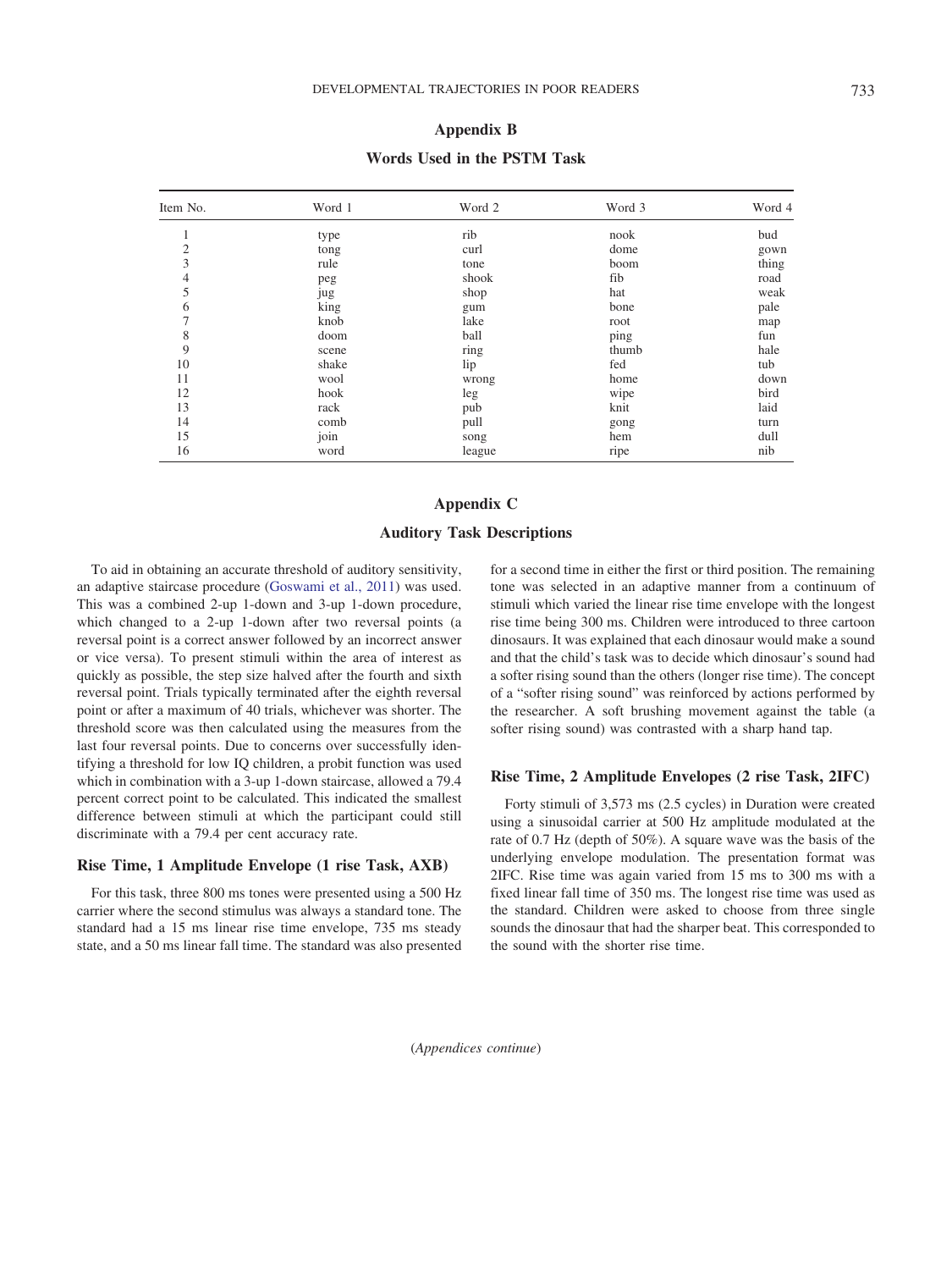| Item No. | Word 1 | Word 2 | Word 3 | Word 4 |
|----------|--------|--------|--------|--------|
| Ŧ        | type   | rib    | nook   | bud    |
| 2        | tong   | curl   | dome   | gown   |
| 3        | rule   | tone   | boom   | thing  |
| 4        | peg    | shook  | fib    | road   |
| 5        | jug    | shop   | hat    | weak   |
| 6        | king   | gum    | bone   | pale   |
| 7        | knob   | lake   | root   | map    |
| 8        | doom   | ball   | ping   | fun    |
| 9        | scene  | ring   | thumb  | hale   |
| 10       | shake  | lip    | fed    | tub    |
| 11       | wool   | wrong  | home   | down   |
| 12       | hook   | leg    | wipe   | bird   |
| 13       | rack   | pub    | knit   | laid   |
| 14       | comb   | pull   | gong   | turn   |
| 15       | join   | song   | hem    | dull   |
| 16       | word   | league | ripe   | nib    |

# **Appendix B**

**Words Used in the PSTM Task**

# **Appendix C**

**Auditory Task Descriptions**

To aid in obtaining an accurate threshold of auditory sensitivity, an adaptive staircase procedure (Goswami et al., 2011) was used. This was a combined 2-up 1-down and 3-up 1-down procedure, which changed to a 2-up 1-down after two reversal points (a reversal point is a correct answer followed by an incorrect answer or vice versa). To present stimuli within the area of interest as quickly as possible, the step size halved after the fourth and sixth reversal point. Trials typically terminated after the eighth reversal point or after a maximum of 40 trials, whichever was shorter. The threshold score was then calculated using the measures from the last four reversal points. Due to concerns over successfully identifying a threshold for low IQ children, a probit function was used which in combination with a 3-up 1-down staircase, allowed a 79.4 percent correct point to be calculated. This indicated the smallest difference between stimuli at which the participant could still discriminate with a 79.4 per cent accuracy rate.

### **Rise Time, 1 Amplitude Envelope (1 rise Task, AXB)**

For this task, three 800 ms tones were presented using a 500 Hz carrier where the second stimulus was always a standard tone. The standard had a 15 ms linear rise time envelope, 735 ms steady state, and a 50 ms linear fall time. The standard was also presented

for a second time in either the first or third position. The remaining tone was selected in an adaptive manner from a continuum of stimuli which varied the linear rise time envelope with the longest rise time being 300 ms. Children were introduced to three cartoon dinosaurs. It was explained that each dinosaur would make a sound and that the child's task was to decide which dinosaur's sound had a softer rising sound than the others (longer rise time). The concept of a "softer rising sound" was reinforced by actions performed by the researcher. A soft brushing movement against the table (a softer rising sound) was contrasted with a sharp hand tap.

# **Rise Time, 2 Amplitude Envelopes (2 rise Task, 2IFC)**

Forty stimuli of 3,573 ms (2.5 cycles) in Duration were created using a sinusoidal carrier at 500 Hz amplitude modulated at the rate of 0.7 Hz (depth of 50%). A square wave was the basis of the underlying envelope modulation. The presentation format was 2IFC. Rise time was again varied from 15 ms to 300 ms with a fixed linear fall time of 350 ms. The longest rise time was used as the standard. Children were asked to choose from three single sounds the dinosaur that had the sharper beat. This corresponded to the sound with the shorter rise time.

(*Appendices continue*)